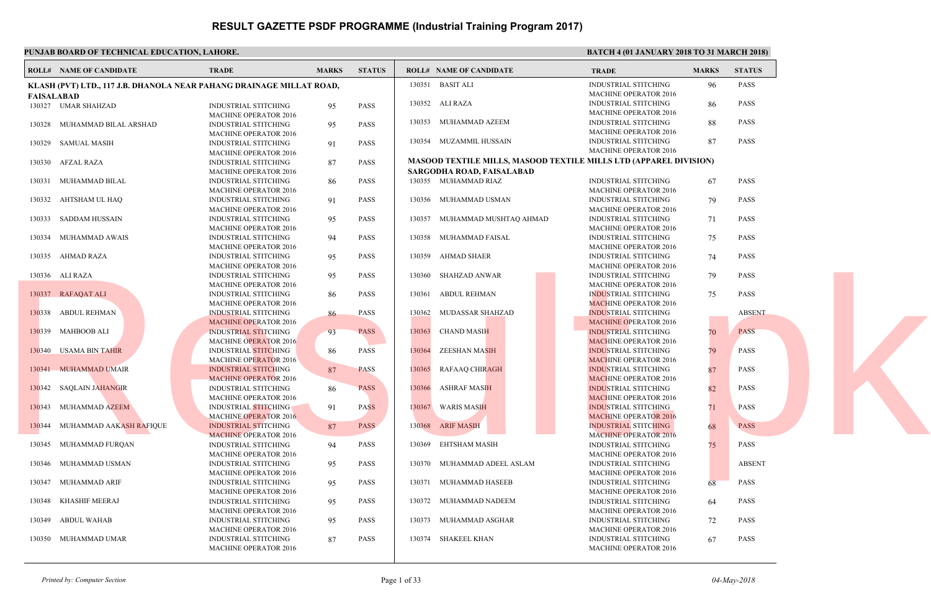#### **PUNJAB BOARD OF TECHNICAL EDUCATION, LAHORE.** BATCH 4 (01 JANUARY 2018 TO 31 MARCH 2018 TO 31 MARCH 2018 TO 31 MARCH 2018) **ROLL# NAME OF CANDIDATE TRADE MARKS STATUS ROLL# NAME OF CANDIDATE TRADE MARKS STATUS KLASH (PVT) LTD., 117 J.B. DHANOLA NEAR PAHANG DRAINAGE MILLAT ROAD, FAISALABAD** INDUSTRIAL STITCHING 95 PASS MACHINE OPERATOR 2016 130327 UMAR SHAHZAD INDUSTRIAL STITCHING 95 PASS MACHINE OPERATOR 2016 130328 MUHAMMAD BILAL ARSHAD INDUSTRIAL STITCHING 91 PASS MACHINE OPERATOR 2016 130329 SAMUAL MASIH INDUSTRIAL STITCHING 87 PASS MACHINE OPERATOR 2016 130330 AFZAL RAZA INDUSTRIAL STITCHING 86 PASS MACHINE OPERATOR 2016 130331 MUHAMMAD BILAL INDUSTRIAL STITCHING 91 PASS MACHINE OPERATOR 2016 130332 AHTSHAM UL HAQ INDUSTRIAL STITCHING 95 PASS MACHINE OPERATOR 2016 130333 SADDAM HUSSAIN INDUSTRIAL STITCHING 94 PASS MACHINE OPERATOR 2016 130334 MUHAMMAD AWAIS INDUSTRIAL STITCHING 95 PASS MACHINE OPERATOR 2016 130335 AHMAD RAZA INDUSTRIAL STITCHING 95 PASS MACHINE OPERATOR 2016 130336 ALI RAZA INDUSTRIAL STITCHING 86 PASS MACHINE OPERATOR 2016 130337 RAFAQAT ALI INDUSTRIAL STITCHING 86 PASS MACHINE OPERATOR 2016 130338 ABDUL REHMAN INDUSTRIAL STITCHING 93 PASS MACHINE OPERATOR 2016 130339 MAHBOOB ALI INDUSTRIAL STITCHING 86 PASS MACHINE OPERATOR 2016 130340 USAMA BIN TAHIR INDUSTRIAL STITCHING 87 PASS MACHINE OPERATOR 2016 130341 MUHAMMAD UMAIR INDUSTRIAL STITCHING 86 PASS MACHINE OPERATOR 2016 130342 SAQLAIN JAHANGIR INDUSTRIAL STITCHING 91 PASS MACHINE OPERATOR 2016 130343 MUHAMMAD AZEEM INDUSTRIAL STITCHING 87 PASS MACHINE OPERATOR 2016 130344 MUHAMMAD AAKASH RAFIQUE INDUSTRIAL STITCHING 94 PASS MACHINE OPERATOR 2016 130345 MUHAMMAD FURQAN INDUSTRIAL STITCHING 95 PASS MACHINE OPERATOR 2016 130346 MUHAMMAD USMAN INDUSTRIAL STITCHING 95 PASS MACHINE OPERATOR 2016 130347 MUHAMMAD ARIF INDUSTRIAL STITCHING 95 PASS MACHINE OPERATOR 2016 130348 KHASHIF MEERAJ INDUSTRIAL STITCHING 95 PASS MACHINE OPERATOR 2016 130349 ABDUL WAHAB INDUSTRIAL STITCHING 87 PASS MACHINE OPERATOR 2016 130350 MUHAMMAD UMAR INDUS **MACH**  130351 BASIT ALI INDUS MACH<sub>1</sub> 130352 ALI RAZA **INDUS MACH**  130353 MUHAMMAD AZEEM INDUS MACH<sub>1</sub> 130354 MUZAMMIL HUSSAIN **MASOOD TEXTILE MILLS, MASOOD TEXTILE MILLS SARGODHA ROAD, FAISALABAD** INDUS **MACH**  130355 MUHAMMAD RIAZ INDUS **MACH**  130356 MUHAMMAD USMAN INDUS MACH<sub>1</sub> 130357 MUHAMMAD MUSHTAQ AHMAD INDUS MAC<sub>H</sub> 130358 MUHAMMAD FAISAL INDUS MAC<sub>H</sub> 130359 AHMAD SHAER INDUS  $MACH$  130360 SHAHZAD ANWAR **INDUS** MAC<sub>H</sub> 130361 ABDUL REHMAN **INDUS** MACH<sub>2</sub> 130362 MUDASSAR SHAHZAD **INDUS** MAC<sub>H</sub> 130363 CHAND MASIH **INDUS** MAC<sub>H</sub> 130364 ZEESHAN MASIH **INDUS** MAC<sub>H</sub> 130365 RAFAAQ CHIRAGH **INDUS MACH** 130366 ASHRAF MASIH **INDUS MACH** 130367 WARIS MASIH **INDUS** MAC<sub>H</sub> 130368 ARIF MASIH INDUS MAC<sub>H</sub> 130369 EHTSHAM MASIH INDUS **MACH**  130370 MUHAMMAD ADEEL ASLAM INDUS MACH<sub>1</sub> 130371 MUHAMMAD HASEEB **INDUS MACH**  130372 MUHAMMAD NADEEM INDUS MACH<sub>1</sub> 130373 MUHAMMAD ASGHAR INDUS MACH<sub>1</sub> 130374 SHAKEEL KHAN Result.pk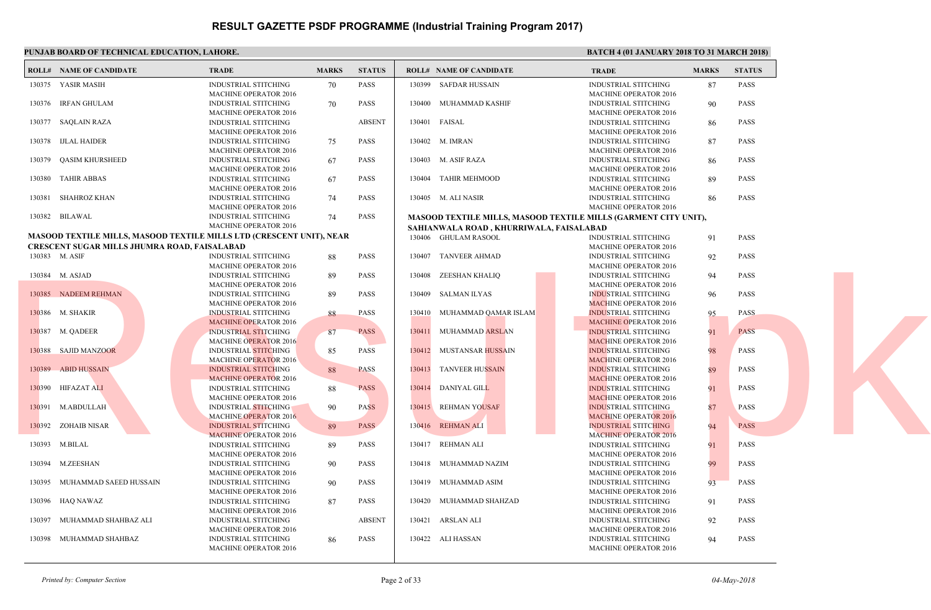|        | <b>ROLL# NAME OF CANDIDATE</b>                                              | <b>TRADE</b>                                         | <b>MARKS</b> | <b>STATUS</b> |        | <b>ROLL# NAME OF CANDIDATE</b>                   | <b>TRAL</b>  |
|--------|-----------------------------------------------------------------------------|------------------------------------------------------|--------------|---------------|--------|--------------------------------------------------|--------------|
|        | 130375 YASIR MASIH                                                          | <b>INDUSTRIAL STITCHING</b>                          | 70           | <b>PASS</b>   |        | 130399 SAFDAR HUSSAIN                            | <b>INDUS</b> |
|        |                                                                             | <b>MACHINE OPERATOR 2016</b>                         |              |               |        |                                                  | <b>MACH</b>  |
|        | 130376 IRFAN GHULAM                                                         | <b>INDUSTRIAL STITCHING</b>                          | 70           | <b>PASS</b>   | 130400 | MUHAMMAD KASHIF                                  | <b>INDUS</b> |
|        |                                                                             | <b>MACHINE OPERATOR 2016</b>                         |              |               |        |                                                  | <b>MACH</b>  |
|        | 130377 SAQLAIN RAZA                                                         | INDUSTRIAL STITCHING                                 |              | <b>ABSENT</b> | 130401 | FAISAL                                           | <b>INDUS</b> |
|        |                                                                             | <b>MACHINE OPERATOR 2016</b>                         |              |               |        |                                                  | <b>MACH</b>  |
|        | 130378 IJLAL HAIDER                                                         | <b>INDUSTRIAL STITCHING</b>                          | 75           | PASS          |        | 130402 M. IMRAN                                  | <b>INDUS</b> |
|        |                                                                             | <b>MACHINE OPERATOR 2016</b>                         |              |               |        |                                                  | <b>MACH</b>  |
|        |                                                                             |                                                      |              | <b>PASS</b>   |        |                                                  | <b>INDUS</b> |
| 130379 | QASIM KHURSHEED                                                             | <b>INDUSTRIAL STITCHING</b>                          | 67           |               |        | 130403 M. ASIF RAZA                              |              |
|        |                                                                             | <b>MACHINE OPERATOR 2016</b>                         |              |               |        |                                                  | <b>MACH</b>  |
| 130380 | <b>TAHIR ABBAS</b>                                                          | <b>INDUSTRIAL STITCHING</b>                          | 67           | <b>PASS</b>   | 130404 | <b>TAHIR MEHMOOD</b>                             | <b>INDUS</b> |
|        |                                                                             | <b>MACHINE OPERATOR 2016</b>                         |              |               |        |                                                  | <b>MACH</b>  |
| 130381 | SHAHROZ KHAN                                                                | <b>INDUSTRIAL STITCHING</b>                          | 74           | <b>PASS</b>   |        | 130405 M. ALI NASIR                              | <b>INDUS</b> |
|        |                                                                             | <b>MACHINE OPERATOR 2016</b>                         |              |               |        |                                                  | <b>MACH</b>  |
|        | 130382 BILAWAL                                                              | <b>INDUSTRIAL STITCHING</b>                          | 74           | PASS          |        | <b>MASOOD TEXTILE MILLS, MASOOD TEXTILE MILL</b> |              |
|        |                                                                             | <b>MACHINE OPERATOR 2016</b>                         |              |               |        | SAHIANWALA ROAD, KHURRIWALA, FAISALABAD          |              |
|        | <b>MASOOD TEXTILE MILLS, MASOOD TEXTILE MILLS LTD (CRESCENT UNIT), NEAR</b> |                                                      |              |               |        | 130406 GHULAM RASOOL                             | <b>INDUS</b> |
|        | CRESCENT SUGAR MILLS JHUMRA ROAD, FAISALABAD                                |                                                      |              |               |        |                                                  | <b>MACH</b>  |
|        | 130383 M. ASIF                                                              | <b>INDUSTRIAL STITCHING</b>                          | 88           | <b>PASS</b>   |        | 130407 TANVEER AHMAD                             | <b>INDUS</b> |
|        |                                                                             | <b>MACHINE OPERATOR 2016</b>                         |              |               |        |                                                  | <b>MACF</b>  |
|        | 130384 M. ASJAD                                                             | <b>INDUSTRIAL STITCHING</b>                          | 89           | <b>PASS</b>   | 130408 | ZEESHAN KHALIQ                                   | <b>INDUS</b> |
|        |                                                                             | <b>MACHINE OPERATOR 2016</b>                         |              |               |        |                                                  | <b>MACH</b>  |
|        | 130385 NADEEM REHMAN                                                        | <b>INDUSTRIAL STITCHING</b>                          | 89           | <b>PASS</b>   | 130409 | SALMAN ILYAS                                     | <b>INDUS</b> |
|        |                                                                             | <b>MACHINE OPERATOR 2016</b>                         |              |               |        |                                                  | <b>MACH</b>  |
|        | 130386 M. SHAKIR                                                            | <b>INDUSTRIAL STITCHING</b>                          | 88           | <b>PASS</b>   |        | 130410 MUHAMMAD QAMAR ISLAM                      | <b>INDUS</b> |
|        |                                                                             | <b>MACHINE OPERATOR 2016</b>                         |              |               |        |                                                  | <b>MACH</b>  |
|        | 130387 M. QADEER                                                            | <b>INDUSTRIAL STITCHING</b>                          | $-87$        | <b>PASS</b>   | 130411 | MUHAMMAD ARSLAN                                  | <b>INDUS</b> |
|        |                                                                             | <b>MACHINE OPERATOR 2016</b>                         |              |               |        |                                                  | <b>MACH</b>  |
|        | 130388 SAJID MANZOOR                                                        |                                                      |              | <b>PASS</b>   |        | 130412 MUSTANSAR HUSSAIN                         | <b>INDUS</b> |
|        |                                                                             | <b>INDUSTRIAL STITCHING</b>                          | 85           |               |        |                                                  | <b>MACE</b>  |
|        |                                                                             | <b>MACHINE OPERATOR 2016</b>                         |              |               |        |                                                  |              |
| 130389 | <b>ABID HUSSAIN</b>                                                         | <b>INDUSTRIAL STITCHING</b>                          | 88           | <b>PASS</b>   | 130413 | <b>TANVEER HUSSAIN</b>                           | <b>INDUS</b> |
|        |                                                                             | <b>MACHINE OPERATOR 2016</b>                         |              |               |        |                                                  | <b>MACH</b>  |
|        | 130390 HIFAZAT ALI                                                          | <b>INDUSTRIAL STITCHING</b>                          | 88           | <b>PASS</b>   |        | 130414 DANIYAL GILL                              | <b>INDUS</b> |
|        |                                                                             | <b>MACHINE OPERATOR 2016</b>                         |              |               |        |                                                  | <b>MACH</b>  |
|        | 130391 M.ABDULLAH                                                           | <b>INDUSTRIAL STITCHING</b>                          | 90           | <b>PASS</b>   |        | 130415 REHMAN YOUSAF                             | <b>INDUS</b> |
|        |                                                                             | <b>MACHINE OPERATOR 2016</b>                         |              |               |        |                                                  | <b>MACH</b>  |
|        | 130392 ZOHAIB NISAR                                                         | <b>INDUSTRIAL STITCHING</b>                          | 89           | <b>PASS</b>   |        | 130416 REHMAN ALI                                | <b>INDUS</b> |
|        |                                                                             | <b>MACHINE OPERATOR 2016</b>                         |              |               |        |                                                  | <b>MACH</b>  |
|        | 130393 M.BILAL                                                              | <b>INDUSTRIAL STITCHING</b>                          | 89           | <b>PASS</b>   |        | 130417 REHMAN ALI                                | <b>INDUS</b> |
|        |                                                                             | <b>MACHINE OPERATOR 2016</b>                         |              |               |        |                                                  | <b>MACH</b>  |
|        | 130394 M.ZEESHAN                                                            | <b>INDUSTRIAL STITCHING</b>                          | 90           | <b>PASS</b>   |        | 130418 MUHAMMAD NAZIM                            | <b>INDUS</b> |
|        |                                                                             | <b>MACHINE OPERATOR 2016</b>                         |              |               |        |                                                  | <b>MACH</b>  |
| 130395 | MUHAMMAD SAEED HUSSAIN                                                      | <b>INDUSTRIAL STITCHING</b>                          | 90           | <b>PASS</b>   |        | 130419 MUHAMMAD ASIM                             | <b>INDUS</b> |
|        |                                                                             | <b>MACHINE OPERATOR 2016</b>                         |              |               |        |                                                  | <b>MACH</b>  |
|        | 130396 HAQ NAWAZ                                                            | <b>INDUSTRIAL STITCHING</b>                          | 87           | <b>PASS</b>   |        | 130420 MUHAMMAD SHAHZAD                          | <b>INDUS</b> |
|        |                                                                             | <b>MACHINE OPERATOR 2016</b>                         |              |               |        |                                                  | <b>MACH</b>  |
| 130397 | MUHAMMAD SHAHBAZ ALI                                                        | <b>INDUSTRIAL STITCHING</b>                          |              | <b>ABSENT</b> |        | 130421 ARSLAN ALI                                | <b>INDUS</b> |
|        |                                                                             |                                                      |              |               |        |                                                  | <b>MACH</b>  |
|        | 130398 MUHAMMAD SHAHBAZ                                                     | MACHINE OPERATOR 2016<br><b>INDUSTRIAL STITCHING</b> | 86           | <b>PASS</b>   |        | 130422 ALI HASSAN                                | <b>INDUS</b> |
|        |                                                                             |                                                      |              |               |        |                                                  | <b>MACH</b>  |
|        |                                                                             | <b>MACHINE OPERATOR 2016</b>                         |              |               |        |                                                  |              |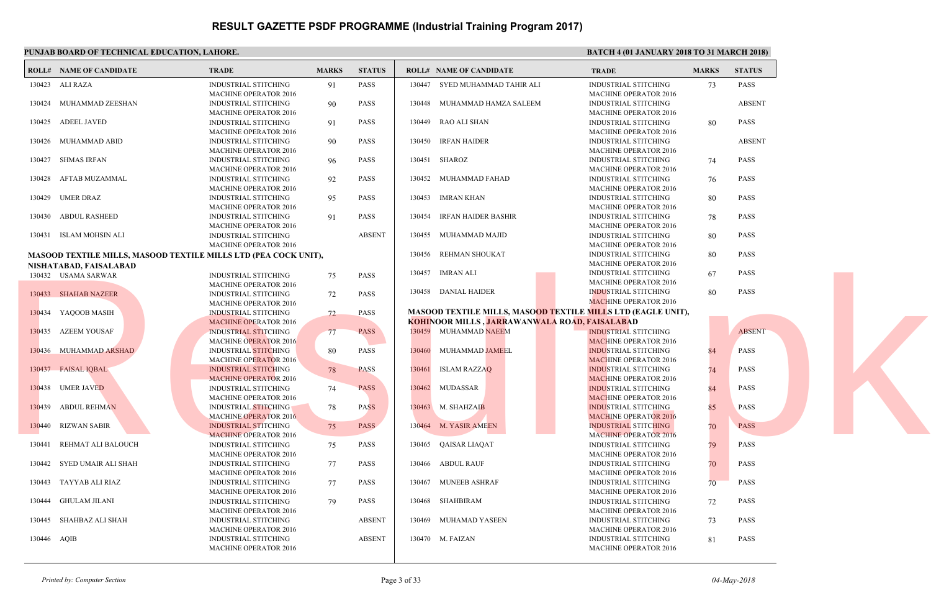|             | PUNJAB BOARD OF TECHNICAL EDUCATION, LAHORE. |                                                                                             | <b>BATC</b>  |               |               |                                                                          |  |                                            |
|-------------|----------------------------------------------|---------------------------------------------------------------------------------------------|--------------|---------------|---------------|--------------------------------------------------------------------------|--|--------------------------------------------|
|             | <b>ROLL# NAME OF CANDIDATE</b>               | <b>TRADE</b>                                                                                | <b>MARKS</b> | <b>STATUS</b> |               | <b>ROLL# NAME OF CANDIDATE</b>                                           |  | <b>TRAL</b>                                |
|             | 130423 ALI RAZA                              | <b>INDUSTRIAL STITCHING</b><br><b>MACHINE OPERATOR 2016</b>                                 | 91           | <b>PASS</b>   |               | 130447 SYED MUHAMMAD TAHIR ALI                                           |  | <b>INDUS</b><br><b>MACH</b>                |
|             | 130424 MUHAMMAD ZEESHAN                      | <b>INDUSTRIAL STITCHING</b><br><b>MACHINE OPERATOR 2016</b>                                 | 90           | <b>PASS</b>   |               | 130448 MUHAMMAD HAMZA SALEEM                                             |  | <b>INDUS</b><br><b>MACH</b>                |
| 130425      | ADEEL JAVED                                  | INDUSTRIAL STITCHING<br><b>MACHINE OPERATOR 2016</b>                                        | 91           | <b>PASS</b>   |               | 130449 RAO ALI SHAN                                                      |  | <b>INDUS</b><br><b>MACH</b>                |
|             | 130426 MUHAMMAD ABID                         | <b>INDUSTRIAL STITCHING</b><br><b>MACHINE OPERATOR 2016</b>                                 | -90          | <b>PASS</b>   |               | 130450 IRFAN HAIDER                                                      |  | <b>INDUS</b><br><b>MACH</b>                |
| 130427      | SHMAS IRFAN                                  | INDUSTRIAL STITCHING<br><b>MACHINE OPERATOR 2016</b>                                        | 96           | <b>PASS</b>   | 130451 SHAROZ |                                                                          |  | <b>INDUS</b><br><b>MACH</b>                |
| 130428      | AFTAB MUZAMMAL                               | <b>INDUSTRIAL STITCHING</b><br>MACHINE OPERATOR 2016                                        | 92           | <b>PASS</b>   |               | 130452 MUHAMMAD FAHAD                                                    |  | <b>INDUS</b><br><b>MACH</b>                |
| 130429      | UMER DRAZ                                    | INDUSTRIAL STITCHING<br><b>MACHINE OPERATOR 2016</b>                                        | 95           | <b>PASS</b>   | 130453        | IMRAN KHAN                                                               |  | <b>INDUS</b><br><b>MACH</b>                |
|             | 130430 ABDUL RASHEED                         | <b>INDUSTRIAL STITCHING</b><br><b>MACHINE OPERATOR 2016</b>                                 | 91           | <b>PASS</b>   |               | 130454 IRFAN HAIDER BASHIR                                               |  | <b>INDUS</b><br><b>MACH</b>                |
|             | 130431 ISLAM MOHSIN ALI                      | <b>INDUSTRIAL STITCHING</b><br><b>MACHINE OPERATOR 2016</b>                                 |              | <b>ABSENT</b> | 130455        | MUHAMMAD MAJID                                                           |  | <b>INDUS</b><br><b>MACH</b>                |
|             | NISHATABAD, FAISALABAD                       | <b>MASOOD TEXTILE MILLS, MASOOD TEXTILE MILLS LTD (PEA COCK UNIT),</b>                      |              |               | 130456        | REHMAN SHOUKAT                                                           |  | <b>INDUS</b><br><b>MACH</b>                |
|             | 130432 USAMA SARWAR                          | <b>INDUSTRIAL STITCHING</b>                                                                 | 75           | PASS          | 130457        | <b>IMRAN ALI</b>                                                         |  | <b>INDUS</b>                               |
|             | 130433 SHAHAB NAZEER                         | <b>MACHINE OPERATOR 2016</b><br><b>INDUSTRIAL STITCHING</b><br><b>MACHINE OPERATOR 2016</b> | 72           | <b>PASS</b>   |               | 130458 DANIAL HAIDER                                                     |  | <b>MACH</b><br><b>INDUS</b><br><b>MACF</b> |
|             | 130434 YAQOOB MASIH                          | <b>INDUSTRIAL STITCHING</b>                                                                 | 72           | <b>PASS</b>   |               | <b>MASOOD TEXTILE MILLS, MASOOD TEXTILE MILL</b>                         |  |                                            |
|             | 130435 AZEEM YOUSAF                          | <b>MACHINE OPERATOR 2016</b><br><b>INDUSTRIAL STITCHING</b>                                 | 77           | <b>PASS</b>   |               | <b>KOHINOOR MILLS, JARRAWANWALA ROAD, FAISA</b><br>130459 MUHAMMAD NAEEM |  | <b>INDUS</b>                               |
|             | 130436 MUHAMMAD ARSHAD                       | <b>MACHINE OPERATOR 2016</b><br><b>INDUSTRIAL STITCHING</b>                                 | 80           | <b>PASS</b>   | 130460        | MUHAMMAD JAMEEL                                                          |  | <b>MACF</b><br><b>INDUS</b>                |
|             | 130437 FAISAL IQBAL                          | <b>MACHINE OPERATOR 2016</b><br><b>INDUSTRIAL STITCHING</b>                                 | 78           | <b>PASS</b>   | 130461        | <b>ISLAM RAZZAQ</b>                                                      |  | <b>MACF</b><br><b>INDUS</b>                |
|             | 130438 UMER JAVED                            | <b>MACHINE OPERATOR 2016</b><br><b>INDUSTRIAL STITCHING</b>                                 | 74           | <b>PASS</b>   |               | 130462 MUDASSAR                                                          |  | <b>MACE</b><br><b>INDUS</b>                |
|             | 130439 ABDUL REHMAN                          | <b>MACHINE OPERATOR 2016</b><br><b>INDUSTRIAL STITCHING</b>                                 | 78           | <b>PASS</b>   |               | 130463 M. SHAHZAIB                                                       |  | <b>MACH</b><br><b>INDUS</b>                |
| 130440      | RIZWAN SABIR                                 | <b>MACHINE OPERATOR 2016</b><br><b>INDUSTRIAL STITCHING</b><br><b>MACHINE OPERATOR 2016</b> | 75           | <b>PASS</b>   |               | 130464 M. YASIR AMEEN                                                    |  | <b>MACH</b><br><b>INDUS</b><br><b>MACH</b> |
| 130441      | REHMAT ALI BALOUCH                           | <b>INDUSTRIAL STITCHING</b><br><b>MACHINE OPERATOR 2016</b>                                 | 75           | <b>PASS</b>   | 130465        | QAISAR LIAQAT                                                            |  | <b>INDUS</b><br><b>MACH</b>                |
| 130442      | SYED UMAIR ALI SHAH                          | <b>INDUSTRIAL STITCHING</b><br>MACHINE OPERATOR 2016                                        | 77           | <b>PASS</b>   | 130466        | <b>ABDUL RAUF</b>                                                        |  | <b>INDUS</b><br><b>MACH</b>                |
| 130443      | TAYYAB ALI RIAZ                              | INDUSTRIAL STITCHING<br><b>MACHINE OPERATOR 2016</b>                                        | 77           | PASS          | 130467        | <b>MUNEEB ASHRAF</b>                                                     |  | <b>INDUS</b><br><b>MACH</b>                |
|             | 130444 GHULAM JILANI                         | INDUSTRIAL STITCHING<br><b>MACHINE OPERATOR 2016</b>                                        | 79           | <b>PASS</b>   |               | 130468 SHAHBIRAM                                                         |  | <b>INDUS</b><br><b>MACH</b>                |
| 130445      | SHAHBAZ ALI SHAH                             | <b>INDUSTRIAL STITCHING</b><br><b>MACHINE OPERATOR 2016</b>                                 |              | <b>ABSENT</b> | 130469        | MUHAMAD YASEEN                                                           |  | <b>INDUS</b><br><b>MACH</b>                |
| 130446 AQIB |                                              | INDUSTRIAL STITCHING<br><b>MACHINE OPERATOR 2016</b>                                        |              | <b>ABSENT</b> |               | 130470 M. FAIZAN                                                         |  | <b>INDUS</b><br><b>MACH</b>                |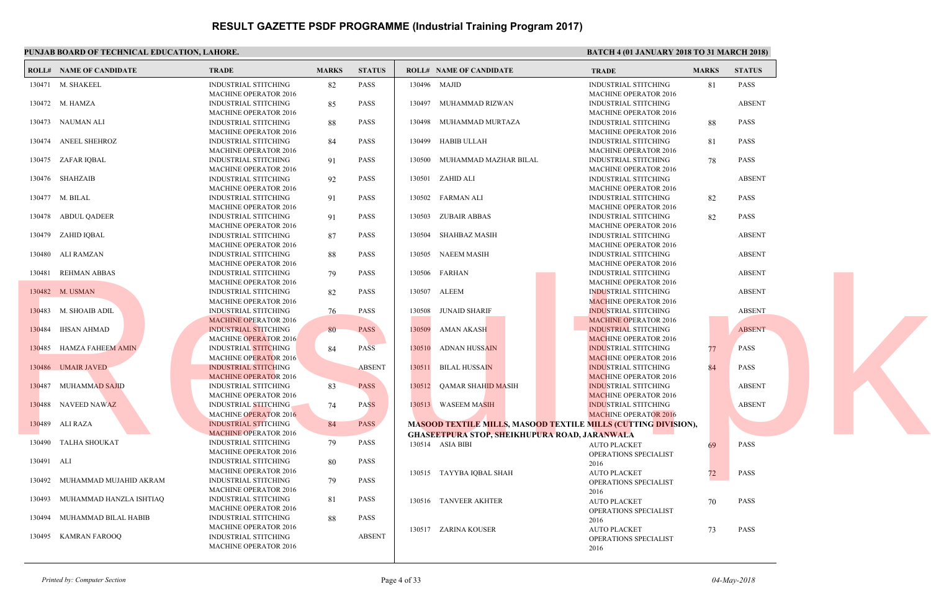|            | PUNJAB BOARD OF TECHNICAL EDUCATION, LAHORE. |                              |              |               |                                                  | <b>BATC</b>  |
|------------|----------------------------------------------|------------------------------|--------------|---------------|--------------------------------------------------|--------------|
|            | <b>ROLL# NAME OF CANDIDATE</b>               | <b>TRADE</b>                 | <b>MARKS</b> | <b>STATUS</b> | <b>ROLL# NAME OF CANDIDATE</b>                   | <b>TRAL</b>  |
|            | 130471 M. SHAKEEL                            | <b>INDUSTRIAL STITCHING</b>  | 82           | PASS          | 130496 MAJID                                     | <b>INDUS</b> |
|            |                                              | <b>MACHINE OPERATOR 2016</b> |              |               |                                                  | <b>MACH</b>  |
|            | 130472 M. HAMZA                              | <b>INDUSTRIAL STITCHING</b>  | 85           | <b>PASS</b>   | 130497<br>MUHAMMAD RIZWAN                        | <b>INDUS</b> |
|            |                                              | <b>MACHINE OPERATOR 2016</b> |              |               |                                                  | <b>MACH</b>  |
|            | 130473 NAUMAN ALI                            | <b>INDUSTRIAL STITCHING</b>  | 88           | <b>PASS</b>   | 130498 MUHAMMAD MURTAZA                          | <b>INDUS</b> |
|            |                                              | <b>MACHINE OPERATOR 2016</b> |              |               |                                                  | <b>MACH</b>  |
|            | 130474 ANEEL SHEHROZ                         | <b>INDUSTRIAL STITCHING</b>  | 84           | <b>PASS</b>   | 130499<br>HABIB ULLAH                            | <b>INDUS</b> |
|            |                                              | <b>MACHINE OPERATOR 2016</b> |              |               |                                                  | <b>MACH</b>  |
|            | 130475 ZAFAR IQBAL                           | <b>INDUSTRIAL STITCHING</b>  | 91           | <b>PASS</b>   | 130500<br>MUHAMMAD MAZHAR BILAL                  | <b>INDUS</b> |
|            |                                              | <b>MACHINE OPERATOR 2016</b> |              |               |                                                  | <b>MACH</b>  |
|            | 130476 SHAHZAIB                              | <b>INDUSTRIAL STITCHING</b>  | 92           | <b>PASS</b>   | ZAHID ALI<br>130501                              | <b>INDUS</b> |
|            |                                              | <b>MACHINE OPERATOR 2016</b> |              |               |                                                  | <b>MACH</b>  |
|            | 130477 M. BILAL                              | <b>INDUSTRIAL STITCHING</b>  | 91           | PASS          | 130502 FARMAN ALI                                | <b>INDUS</b> |
|            |                                              | <b>MACHINE OPERATOR 2016</b> |              |               |                                                  | <b>MACH</b>  |
|            | 130478 ABDUL QADEER                          | <b>INDUSTRIAL STITCHING</b>  | 91           | <b>PASS</b>   | 130503 ZUBAIR ABBAS                              | <b>INDUS</b> |
|            |                                              | <b>MACHINE OPERATOR 2016</b> |              |               |                                                  | <b>MACH</b>  |
|            |                                              |                              |              | <b>PASS</b>   |                                                  |              |
| 130479     | ZAHID IQBAL                                  | <b>INDUSTRIAL STITCHING</b>  | 87           |               | SHAHBAZ MASIH<br>130504                          | <b>INDUS</b> |
|            |                                              | <b>MACHINE OPERATOR 2016</b> |              |               |                                                  | <b>MACH</b>  |
| 130480     | ALI RAMZAN                                   | <b>INDUSTRIAL STITCHING</b>  | 88           | <b>PASS</b>   | 130505<br>NAEEM MASIH                            | <b>INDUS</b> |
|            |                                              | <b>MACHINE OPERATOR 2016</b> |              |               |                                                  | <b>MACH</b>  |
| 130481     | <b>REHMAN ABBAS</b>                          | INDUSTRIAL STITCHING         | 79           | <b>PASS</b>   | 130506<br>FARHAN                                 | <b>INDUS</b> |
|            |                                              | <b>MACHINE OPERATOR 2016</b> |              |               |                                                  | <b>MACH</b>  |
|            | 130482 M. USMAN                              | <b>INDUSTRIAL STITCHING</b>  | 82           | <b>PASS</b>   | 130507 ALEEM                                     | <b>INDUS</b> |
|            |                                              | <b>MACHINE OPERATOR 2016</b> |              |               |                                                  | <b>MACF</b>  |
|            | 130483 M. SHOAIB ADIL                        | <b>INDUSTRIAL STITCHING</b>  | 76           | <b>PASS</b>   | 130508<br>JUNAID SHARIF                          | <b>INDUS</b> |
|            |                                              | <b>MACHINE OPERATOR 2016</b> |              |               |                                                  | <b>MACH</b>  |
|            | 130484 IHSAN AHMAD                           | <b>INDUSTRIAL STITCHING</b>  | 80           | <b>PASS</b>   | 130509<br><b>AMAN AKASH</b>                      | <b>INDUS</b> |
|            |                                              | <b>MACHINE OPERATOR 2016</b> |              |               |                                                  | <b>MACH</b>  |
|            | 130485 HAMZA FAHEEM AMIN                     | <b>INDUSTRIAL STITCHING</b>  | 84           | <b>PASS</b>   | 130510<br><b>ADNAN HUSSAIN</b>                   | <b>INDUS</b> |
|            |                                              | <b>MACHINE OPERATOR 2016</b> |              |               |                                                  | <b>MACH</b>  |
|            | 130486 UMAIR JAVED                           | <b>INDUSTRIAL STITCHING</b>  |              | <b>ABSENT</b> | 130511<br><b>BILAL HUSSAIN</b>                   | <b>INDUS</b> |
|            |                                              | <b>MACHINE OPERATOR 2016</b> |              |               |                                                  | <b>MACH</b>  |
|            | 130487 MUHAMMAD SAJID                        | INDUSTRIAL STITCHING         | 83           | <b>PASS</b>   | 130512<br>QAMAR SHAH <mark>ID MA</mark> SIH      | <b>INDUS</b> |
|            |                                              | <b>MACHINE OPERATOR 2016</b> |              |               |                                                  | <b>MACH</b>  |
|            | 130488 NAVEED NAWAZ                          | <b>INDUSTRIAL STITCHING</b>  | 74           | <b>PASS</b>   | 130513 WASEEM MASIH                              | <b>INDUS</b> |
|            |                                              | <b>MACHINE OPERATOR 2016</b> |              |               |                                                  | <b>MACF</b>  |
|            |                                              |                              |              |               |                                                  |              |
| 130489     | ALI RAZA                                     | <b>INDUSTRIAL STITCHING</b>  | 84           | <b>PASS</b>   | <b>MASOOD TEXTILE MILLS, MASOOD TEXTILE MILL</b> |              |
|            |                                              | <b>MACHINE OPERATOR 2016</b> |              |               | <b>GHASEETPURA STOP, SHEIKHUPURA ROAD, JARAN</b> |              |
| 130490     | TALHA SHOUKAT                                | INDUSTRIAL STITCHING         | 79           | <b>PASS</b>   | 130514 ASIA BIBI                                 | <b>AUTO</b>  |
|            |                                              | <b>MACHINE OPERATOR 2016</b> |              |               |                                                  | OPER/        |
| 130491 ALI |                                              | INDUSTRIAL STITCHING         | 80           | <b>PASS</b>   |                                                  | 2016         |
|            |                                              | <b>MACHINE OPERATOR 2016</b> |              |               | 130515 TAYYBA IQBAL SHAH                         | <b>AUTO</b>  |
| 130492     | MUHAMMAD MUJAHID AKRAM                       | INDUSTRIAL STITCHING         | 79           | <b>PASS</b>   |                                                  | OPERA        |
|            |                                              | <b>MACHINE OPERATOR 2016</b> |              |               |                                                  | 2016         |
| 130493     | MUHAMMAD HANZLA ISHTIAQ                      | INDUSTRIAL STITCHING         | 81           | PASS          | 130516 TANVEER AKHTER                            | <b>AUTO</b>  |
|            |                                              | <b>MACHINE OPERATOR 2016</b> |              |               |                                                  | OPERA        |
| 130494     | MUHAMMAD BILAL HABIB                         | <b>INDUSTRIAL STITCHING</b>  | 88           | <b>PASS</b>   |                                                  | 2016         |
|            |                                              | <b>MACHINE OPERATOR 2016</b> |              |               | 130517 ZARINA KOUSER                             | <b>AUTO</b>  |
|            | 130495 KAMRAN FAROOQ                         | INDUSTRIAL STITCHING         |              | <b>ABSENT</b> |                                                  | OPER/        |
|            |                                              | <b>MACHINE OPERATOR 2016</b> |              |               |                                                  | 2016         |
|            |                                              |                              |              |               |                                                  |              |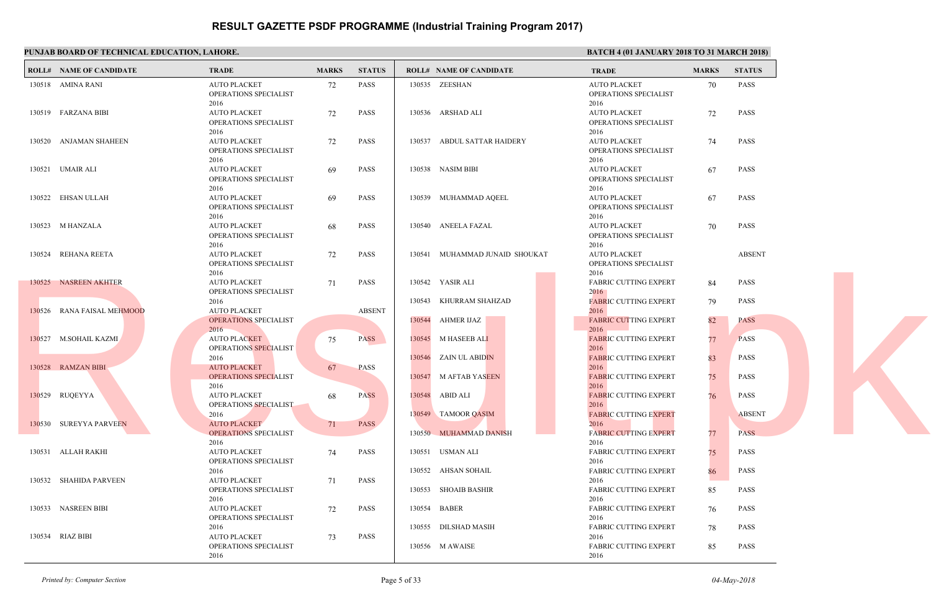| PUNJAB BOARD OF TECHNICAL EDUCATION, LAHORE. |                                                             |              |               |                                              |                                      |
|----------------------------------------------|-------------------------------------------------------------|--------------|---------------|----------------------------------------------|--------------------------------------|
| <b>ROLL# NAME OF CANDIDATE</b>               | <b>TRADE</b>                                                | <b>MARKS</b> | <b>STATUS</b> | <b>ROLL# NAME OF CANDIDATE</b>               |                                      |
| 130518 AMINA RANI                            | <b>AUTO PLACKET</b><br>OPERATIONS SPECIALIST<br>2016        | 72           | PASS          | 130535 ZEESHAN                               | <b>AUTO</b><br>OPERA<br>2016         |
| 130519 FARZANA BIBI                          | <b>AUTO PLACKET</b><br>OPERATIONS SPECIALIST<br>2016        | 72           | PASS          | 130536 ARSHAD ALI                            | <b>AUTO</b><br>OPER/<br>2016         |
| 130520 ANJAMAN SHAHEEN                       | <b>AUTO PLACKET</b><br>OPERATIONS SPECIALIST<br>2016        | 72           | PASS          | 130537 ABDUL SATTAR HAIDERY                  | <b>AUTO</b><br>OPERA<br>2016         |
| 130521 UMAIR ALI                             | <b>AUTO PLACKET</b><br>OPERATIONS SPECIALIST<br>2016        | 69           | <b>PASS</b>   | 130538 NASIM BIBI                            | <b>AUTO</b><br>OPER/<br>2016         |
| 130522 EHSAN ULLAH                           | <b>AUTO PLACKET</b><br>OPERATIONS SPECIALIST<br>2016        | 69           | <b>PASS</b>   | 130539 MUHAMMAD AQEEL                        | <b>AUTO</b><br>OPERA<br>2016         |
| 130523 M HANZALA                             | <b>AUTO PLACKET</b><br>OPERATIONS SPECIALIST<br>2016        | 68           | <b>PASS</b>   | 130540 ANEELA FAZAL                          | <b>AUTO</b><br>OPER/<br>2016         |
| 130524 REHANA REETA                          | <b>AUTO PLACKET</b><br>OPERATIONS SPECIALIST<br>2016        | 72           | PASS          | 130541 MUHAMMAD JUNAID SHOUKAT               | <b>AUTO</b><br>OPERA<br>2016         |
| 130525 NASREEN AKHTER                        | <b>AUTO PLACKET</b><br>OPERATIONS SPECIALIST<br>2016        | 71           | <b>PASS</b>   | 130542 YASIR ALI<br>130543 KHURRAM SHAHZAD   | <b>FABRI</b><br>2016<br><b>FABRI</b> |
| 130526 RANA FAISAL MEHMOOD                   | <b>AUTO PLACKET</b><br><b>OPERATIONS SPECIALIST</b><br>2016 |              | <b>ABSENT</b> | 130544 AHMER IJAZ                            | 2016<br><b>FABRI</b><br>2016         |
| 130527 M.SOHAIL KAZMI                        | <b>AUTO PLACKET</b><br>OPERATIONS SPECIALIST<br>2016        | 75           | <b>PASS</b>   | 130545 M HASEEB ALI<br>130546 ZAIN UL ABIDIN | <b>FABRI</b><br>2016<br><b>FABRI</b> |
| 130528 RAMZAN BIBI                           | <b>AUTO PLACKET</b><br><b>OPERATIONS SPECIALIST</b><br>2016 | 67           | <b>PASS</b>   | 130547 M AFTAB YASEEN                        | 2016<br><b>FABRI</b><br>2016         |
| 130529 RUQEYYA                               | <b>AUTO PLACKET</b><br>OPERATIONS SPECIALIST<br>2016        | 68           | <b>PASS</b>   | 130548 ABID ALI<br>130549 TAMOOR QASIM       | <b>FABRI</b><br>2016<br><b>FABRI</b> |
| 130530 SUREYYA PARVEEN                       | <b>AUTO PLACKET</b><br><b>OPERATIONS SPECIALIST</b><br>2016 | 71           | <b>PASS</b>   | 130550 MUHAMMAD DANISH                       | 2016<br><b>FABRI</b><br>2016         |
| 130531 ALLAH RAKHI                           | <b>AUTO PLACKET</b><br>OPERATIONS SPECIALIST<br>2016        | 74           | PASS          | 130551 USMAN ALI<br>130552 AHSAN SOHAIL      | FABRI<br>2016<br><b>FABRI</b>        |
| 130532 SHAHIDA PARVEEN                       | <b>AUTO PLACKET</b><br>OPERATIONS SPECIALIST<br>2016        | 71           | PASS          | 130553 SHOAIB BASHIR                         | 2016<br>FABRI<br>2016                |
| 130533 NASREEN BIBI                          | <b>AUTO PLACKET</b><br>OPERATIONS SPECIALIST<br>2016        | 72           | PASS          | 130554 BABER<br>130555 DILSHAD MASIH         | FABRI<br>2016<br>FABRI               |
| 130534 RIAZ BIBI                             | <b>AUTO PLACKET</b><br>OPERATIONS SPECIALIST<br>2016        | 73           | PASS          | 130556 M AWAISE                              | 2016<br><b>FABRI</b><br>2016         |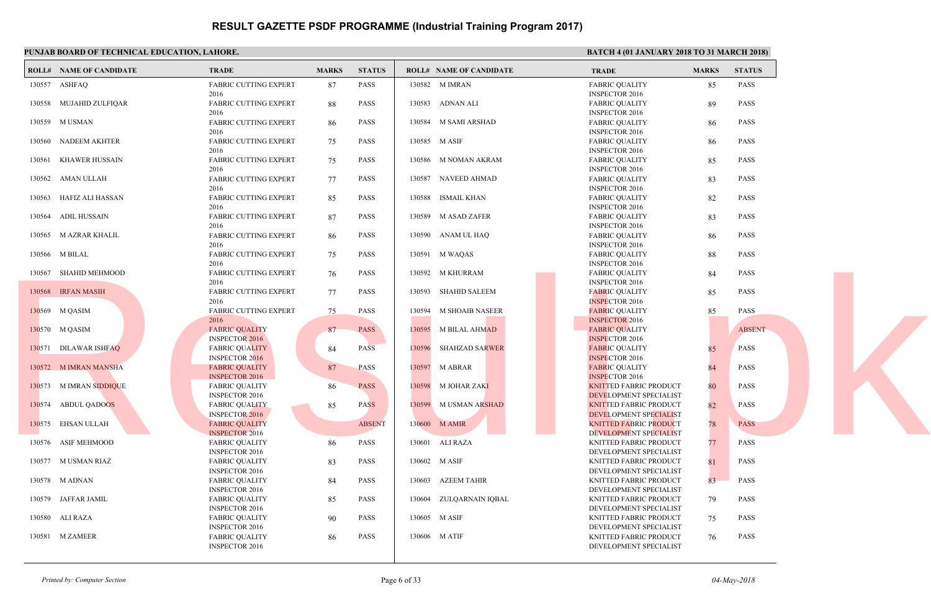#### **PUNJAB BOARD OF TECHNICAL EDUCATION, LAHORE.** BATCH 4 (01 JANUARY 2018 TO 31 MARCH 2018 TO 31 MARCH 2018 TO 31 MARCH 2018) **ROLL# NAME OF CANDIDATE TRADE MARKS STATUS ROLL# NAME OF CANDIDATE TRADE MARKS STATUS** FABRIC CUTTING EXPERT 87 PASS 2016 130557 ASHFAQ FABRIC CUTTING EXPERT 88 PASS 2016 130558 MUJAHID ZULFIQAR FABRIC CUTTING EXPERT 86 PASS 2016 130559 M USMAN FABRIC CUTTING EXPERT 75 PASS 2016 130560 NADEEM AKHTER FABRIC CUTTING EXPERT 75 PASS 2016 130561 KHAWER HUSSAIN FABRIC CUTTING EXPERT 77 PASS 2016 130562 AMAN ULLAH FABRIC CUTTING EXPERT 85 PASS 2016 130563 HAFIZ ALI HASSAN FABRIC CUTTING EXPERT 87 PASS 2016 130564 ADIL HUSSAIN FABRIC CUTTING EXPERT 86 PASS 2016 130565 M AZRAR KHALIL FABRIC CUTTING EXPERT 75 PASS 2016 130566 M BILAL FABRIC CUTTING EXPERT 76 PASS 2016 130567 SHAHID MEHMOOD FABRIC CUTTING EXPERT 77 PASS 2016 130568 IRFAN MASIH FABRIC CUTTING EXPERT 75 PASS 2016 130569 M QASIM FABRIC QUALITY 87 PASS INSPECTOR 2016 130570 M QASIM FABRIC QUALITY 84 PASS INSPECTOR 2016 130571 DILAWAR ISHFAQ FABRIC QUALITY 87 PASS INSPECTOR 2016 130572 M IMRAN MANSHA FABRIC QUALITY 86 PASS INSPECTOR 2016 130573 M IMRAN SIDDIQUE FABRIC QUALITY 85 PASS INSPECTOR 2016 130574 ABDUL QADOOS FABRIC QUALITY ABSENT INSPECTOR 2016 130575 EHSAN ULLAH FABRIC QUALITY 86 PASS INSPECTOR 2016 130576 ASIF MEHMOOD FABRIC QUALITY 83 PASS INSPECTOR 2016 130577 M USMAN RIAZ FABRIC QUALITY 84 PASS INSPECTOR 2016 130578 M ADNAN FABRIC QUALITY 85 PASS INSPECTOR 2016 130579 JAFFAR JAMIL FABRIC QUALITY 90 PASS INSPECTOR 2016 130580 ALI RAZA FABRIC QUALITY 86 PASS INSPECTOR 2016 130581 M ZAMEER FABRI **INSPE**  130582 M IMRAN FABRI **INSPE**  130583 ADNAN ALI FABRI **INSPE**  130584 M SAMI ARSHAD FABRI **INSPE**  130585 M ASIF FABRI **INSPE**  130586 M NOMAN AKRAM FABRI **INSPE**  130587 NAVEED AHMAD FABRI **INSPE**  130588 ISMAIL KHAN FABRI **INSPE**  130589 M ASAD ZAFER FABRI **INSPE**  130590 ANAM UL HAQ FABRI **INSPE**  130591 M WAQAS FABRI **INSPE**  130592 M KHURRAM FABRI **INSPE**  130593 SHAHID SALEEM FABRI **INSPE**  130594 M SHOAIB NASEER **FABRI INSPE**  130595 M BILAL AHMAD FABRI **INSPE**  130596 SHAHZAD SARWER FABRI **INSPE**  130597 M ABRAR KNITT DEVE<sub>l</sub> 130598 M JOHAR ZAKI KNITT DEVE<sub>l</sub> 130599 M USMAN ARSHAD KNITT DEVEL 130600 M AMIR KNITT DEVEL 130601 ALI RAZA KNITT DEVE<sub>l</sub> 130602 M ASIF KNITT DEVE<sub>l</sub> 130603 AZEEM TAHIR KNITT DEVE<sub>l</sub> 130604 ZULQARNAIN IQBAL KNITT DEVE<sub>l</sub> 130605 M ASIF KNITT DEVEL 130606 M ATIF 13056 SHAHD MEHMOOD PAIR CUTTING EXPERT 76 PASS 13092 M KHURRAM PAIR PAIR 13057<br>
13056 HEAN MASHI<br>
13058 HEAN MASHI<br>
13058 M QASIM<br>
13058 M QASIM<br>
13058 M QASIM<br>
13058 M QASIM<br>
13058 M QASIM<br>
13068 M QASIM<br>
2016 CUTTING EX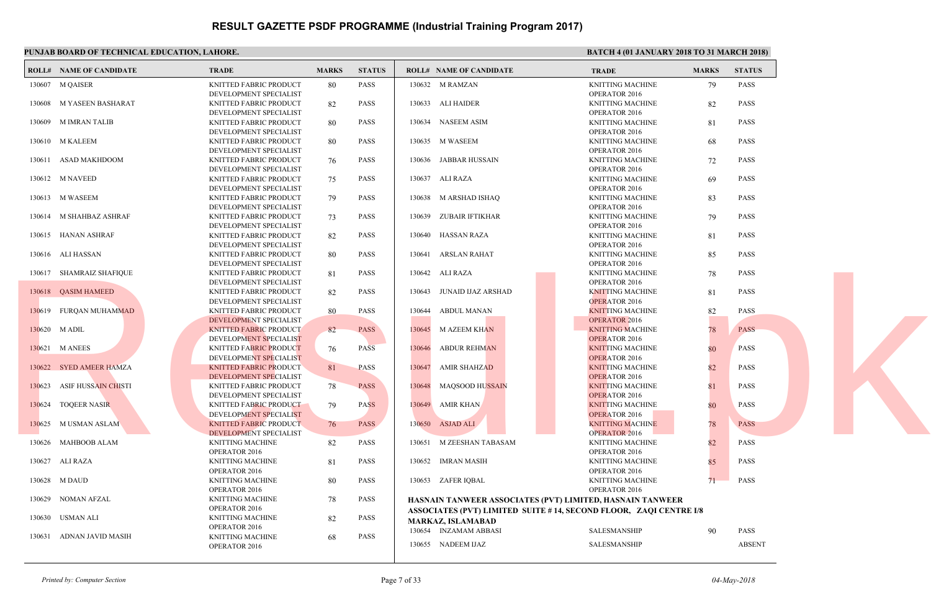|        | PUNJAB BOARD OF TECHNICAL EDUCATION, LAHORE. |                               |              |               |                                                      | <b>BATC</b>       |
|--------|----------------------------------------------|-------------------------------|--------------|---------------|------------------------------------------------------|-------------------|
|        | <b>ROLL# NAME OF CANDIDATE</b>               | <b>TRADE</b>                  | <b>MARKS</b> | <b>STATUS</b> | <b>ROLL# NAME OF CANDIDATE</b>                       | <b>TRAL</b>       |
|        | 130607 M QAISER                              | KNITTED FABRIC PRODUCT        | 80           | <b>PASS</b>   | 130632 M RAMZAN                                      | <b>KNITT</b>      |
|        |                                              | DEVELOPMENT SPECIALIST        |              |               |                                                      | OPER/             |
| 130608 | M YASEEN BASHARAT                            | KNITTED FABRIC PRODUCT        | 82           | <b>PASS</b>   | 130633 ALI HAIDER                                    | <b>KNITT</b>      |
|        |                                              | DEVELOPMENT SPECIALIST        |              |               |                                                      | OPER/             |
|        | 130609 M IMRAN TALIB                         | KNITTED FABRIC PRODUCT        | 80           | PASS          | 130634 NASEEM ASIM                                   | <b>KNITT</b>      |
|        |                                              | DEVELOPMENT SPECIALIST        |              |               |                                                      | OPER/             |
|        | 130610 M KALEEM                              | KNITTED FABRIC PRODUCT        | 80           | PASS          | 130635 M WASEEM                                      | <b>KNITT</b>      |
|        |                                              | DEVELOPMENT SPECIALIST        |              |               |                                                      | OPER/             |
|        | 130611 ASAD MAKHDOOM                         | KNITTED FABRIC PRODUCT        | 76           | <b>PASS</b>   | 130636 JABBAR HUSSAIN                                | <b>KNITT</b>      |
|        |                                              | DEVELOPMENT SPECIALIST        |              |               |                                                      | OPER/             |
|        | 130612 M NAVEED                              | KNITTED FABRIC PRODUCT        | 75           | <b>PASS</b>   | 130637<br>ALI RAZA                                   | <b>KNITT</b>      |
|        |                                              | DEVELOPMENT SPECIALIST        |              |               |                                                      | OPER/             |
|        | 130613 M WASEEM                              |                               |              | <b>PASS</b>   |                                                      | <b>KNITT</b>      |
|        |                                              | KNITTED FABRIC PRODUCT        | 79           |               | 130638 M ARSHAD ISHAQ                                |                   |
|        |                                              | DEVELOPMENT SPECIALIST        |              |               |                                                      | OPER/             |
|        | 130614 M SHAHBAZ ASHRAF                      | KNITTED FABRIC PRODUCT        | 73           | <b>PASS</b>   | 130639 ZUBAIR IFTIKHAR                               | <b>KNITT</b>      |
|        |                                              | DEVELOPMENT SPECIALIST        |              |               |                                                      | OPER/             |
|        | 130615 HANAN ASHRAF                          | KNITTED FABRIC PRODUCT        | 82           | <b>PASS</b>   | 130640 HASSAN RAZA                                   | <b>KNITT</b>      |
|        |                                              | DEVELOPMENT SPECIALIST        |              |               |                                                      | OPER/             |
|        | 130616 ALI HASSAN                            | KNITTED FABRIC PRODUCT        | 80           | <b>PASS</b>   | 130641<br>ARSLAN RAHAT                               | <b>KNITT</b>      |
|        |                                              | DEVELOPMENT SPECIALIST        |              |               |                                                      | OPER/             |
|        | 130617 SHAMRAIZ SHAFIQUE                     | KNITTED FABRIC PRODUCT        | 81           | <b>PASS</b>   | 130642 ALI RAZA                                      | <b>KNITT</b>      |
|        |                                              | DEVELOPMENT SPECIALIST        |              |               |                                                      | OPER/             |
|        | 130618 QASIM HAMEED                          | KNITTED FABRIC PRODUCT        | 82           | <b>PASS</b>   | 130643<br>JUNAID IJAZ ARSHAD                         | <b>KNITT</b>      |
|        |                                              | DEVELOPMENT SPECIALIST        |              |               |                                                      | OPER/             |
|        | 130619 FURQAN MUHAMMAD                       | KNITTED FABRIC PRODUCT        | 80           | <b>PASS</b>   | <b>ABDUL MANAN</b><br>130644                         | <b>KNITT</b>      |
|        |                                              | DEVELOPMENT SPECIALIST        |              |               |                                                      | OPER <sub>A</sub> |
|        | 130620 M ADIL                                | <b>KNITTED FABRIC PRODUCT</b> | 82           | <b>PASS</b>   | 130645<br><b>M AZEEM KHAN</b>                        | <b>KNITT</b>      |
|        |                                              | DEVELOPMENT SPECIALIST        |              |               |                                                      | <b>OPER</b>       |
|        | 130621 M ANEES                               | <b>KNITTED FABRIC PRODUCT</b> | 76           | <b>PASS</b>   | 130646<br><b>ABDUR REHMAN</b>                        | <b>KNITT</b>      |
|        |                                              | DEVELOPMENT SPECIALIST        |              |               |                                                      | <b>OPER</b>       |
|        |                                              |                               |              |               | 130647                                               |                   |
|        | 130622 SYED AMEER HAMZA                      | <b>KNITTED FABRIC PRODUCT</b> | 81           | <b>PASS</b>   | <b>AMIR SHAHZAD</b>                                  | <b>KNITT</b>      |
|        |                                              | DEVELOPMENT SPECIALIST        |              |               |                                                      | <b>OPER</b>       |
|        | 130623 ASIF HUSSAIN CHISTI                   | KNITTED FABRIC PRODUCT        | 78           | <b>PASS</b>   | MAQSOOD HU <mark>SSAIN</mark><br>130648              | <b>KNITT</b>      |
|        |                                              | DEVELOPMENT SPECIALIST        |              |               |                                                      | OPER/             |
|        | 130624 TOQEER NASIR                          | KNITTED FABRIC PRODUCT        | 79           | <b>PASS</b>   | 130649 AMIR KHAN                                     | <b>KNITT</b>      |
|        |                                              | DEVELOPMENT SPECIALIST        |              |               |                                                      | <b>OPER</b>       |
|        | 130625 M USMAN ASLAM                         | <b>KNITTED FABRIC PRODUCT</b> | 76           | <b>PASS</b>   | 130650 ASJAD ALI                                     | <b>KNITT</b>      |
|        |                                              | DEVELOPMENT SPECIALIST        |              |               |                                                      | OPER/             |
|        | 130626 MAHBOOB ALAM                          | <b>KNITTING MACHINE</b>       | 82           | <b>PASS</b>   | 130651 M ZEESHAN TABASAM                             | <b>KNITT</b>      |
|        |                                              | OPERATOR 2016                 |              |               |                                                      | OPER/             |
|        | 130627 ALI RAZA                              | KNITTING MACHINE              | 81           | <b>PASS</b>   | 130652 IMRAN MASIH                                   | <b>KNITT</b>      |
|        |                                              | OPERATOR 2016                 |              |               |                                                      | OPER/             |
|        | 130628 M DAUD                                | KNITTING MACHINE              | 80           | <b>PASS</b>   | 130653 ZAFER IQBAL                                   | <b>KNITT</b>      |
|        |                                              | OPERATOR 2016                 |              |               |                                                      | OPER/             |
|        | 130629 NOMAN AFZAL                           | KNITTING MACHINE              |              | <b>PASS</b>   |                                                      |                   |
|        |                                              | OPERATOR 2016                 | 78           |               | HASNAIN TANWEER ASSOCIATES (PVT) LIMITED, H          |                   |
|        |                                              |                               |              |               | <b>ASSOCIATES (PVT) LIMITED SUITE #14, SECOND FL</b> |                   |
| 130630 | USMAN ALI                                    | <b>KNITTING MACHINE</b>       | 82           | <b>PASS</b>   | <b>MARKAZ, ISLAMABAD</b>                             |                   |
|        |                                              | OPERATOR 2016                 |              |               | 130654 INZAMAM ABBASI                                | <b>SALES</b>      |
|        | 130631 ADNAN JAVID MASIH                     | <b>KNITTING MACHINE</b>       | 68           | <b>PASS</b>   |                                                      |                   |
|        |                                              | OPERATOR 2016                 |              |               | 130655 NADEEM IJAZ                                   | <b>SALES</b>      |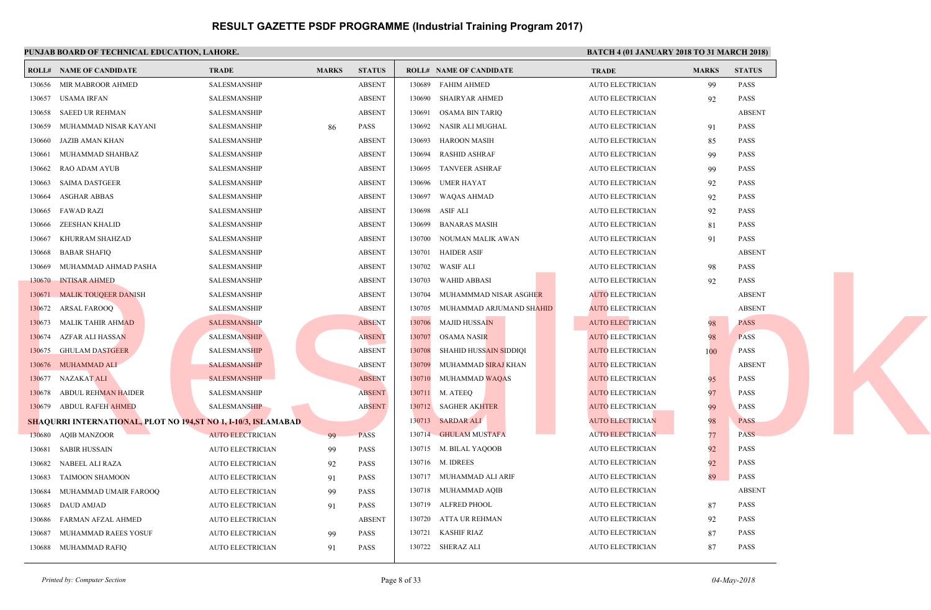|        | PUNJAB BOARD OF TECHNICAL EDUCATION, LAHORE.                          |                         |              |               |        |                                         | <b>BATC</b> |
|--------|-----------------------------------------------------------------------|-------------------------|--------------|---------------|--------|-----------------------------------------|-------------|
|        | <b>ROLL# NAME OF CANDIDATE</b>                                        | <b>TRADE</b>            | <b>MARKS</b> | <b>STATUS</b> |        | <b>ROLL# NAME OF CANDIDATE</b>          | <b>TRAL</b> |
| 130656 | MIR MABROOR AHMED                                                     | SALESMANSHIP            |              | <b>ABSENT</b> | 130689 | FAHIM AHMED                             | <b>AUTO</b> |
| 130657 | <b>USAMA IRFAN</b>                                                    | <b>SALESMANSHIP</b>     |              | <b>ABSENT</b> | 130690 | SHAIRYAR AHMED                          | <b>AUTO</b> |
| 130658 | SAEED UR REHMAN                                                       | SALESMANSHIP            |              | <b>ABSENT</b> | 130691 | OSAMA BIN TARIQ                         | <b>AUTO</b> |
| 130659 | MUHAMMAD NISAR KAYANI                                                 | SALESMANSHIP            | 86           | <b>PASS</b>   | 130692 | NASIR ALI MUGHAL                        | <b>AUTO</b> |
| 130660 | JAZIB AMAN KHAN                                                       | <b>SALESMANSHIP</b>     |              | <b>ABSENT</b> | 130693 | HAROON MASIH                            | <b>AUTO</b> |
| 130661 | MUHAMMAD SHAHBAZ                                                      | SALESMANSHIP            |              | <b>ABSENT</b> | 130694 | RASHID ASHRAF                           | <b>AUTO</b> |
| 130662 | <b>RAO ADAM AYUB</b>                                                  | SALESMANSHIP            |              | <b>ABSENT</b> | 130695 | <b>TANVEER ASHRAF</b>                   | <b>AUTO</b> |
| 130663 | <b>SAIMA DASTGEER</b>                                                 | SALESMANSHIP            |              | <b>ABSENT</b> | 130696 | <b>UMER HAYAT</b>                       | <b>AUTO</b> |
| 130664 | <b>ASGHAR ABBAS</b>                                                   | SALESMANSHIP            |              | <b>ABSENT</b> | 130697 | <b>WAQAS AHMAD</b>                      | <b>AUTO</b> |
| 130665 | <b>FAWAD RAZI</b>                                                     | SALESMANSHIP            |              | <b>ABSENT</b> | 130698 | ASIF ALI                                | <b>AUTO</b> |
| 130666 | ZEESHAN KHALID                                                        | SALESMANSHIP            |              | <b>ABSENT</b> | 130699 | BANARAS MASIH                           | <b>AUTO</b> |
| 130667 | KHURRAM SHAHZAD                                                       | SALESMANSHIP            |              | <b>ABSENT</b> | 130700 | NOUMAN MALIK AWAN                       | <b>AUTO</b> |
| 130668 | <b>BABAR SHAFIQ</b>                                                   | <b>SALESMANSHIP</b>     |              | <b>ABSENT</b> | 130701 | <b>HAIDER ASIF</b>                      | <b>AUTO</b> |
| 130669 | MUHAMMAD AHMAD PASHA                                                  | <b>SALESMANSHIP</b>     |              | <b>ABSENT</b> | 130702 | WASIF ALI                               | <b>AUTO</b> |
| 130670 | <b>INTISAR AHMED</b>                                                  | <b>SALESMANSHIP</b>     |              | <b>ABSENT</b> | 130703 | WAHID ABBASI                            | <b>AUTO</b> |
| 130671 | <b>MALIK TOUQEER DANISH</b>                                           | SALESMANSHIP            |              | <b>ABSENT</b> | 130704 | MUHAMMMAD NISAR ASGHER                  | <b>AUTO</b> |
| 130672 | ARSAL FAROOQ                                                          | SALESMANSHIP            |              | <b>ABSENT</b> | 130705 | MUHAMMAD ARJUMAND SH <mark>AH</mark> ID | <b>AUTO</b> |
| 130673 | MALIK TAHIR AH <mark>MAD</mark>                                       | <b>SALESMANSHIP</b>     |              | <b>ABSENT</b> | 130706 | <b>MAJID HUSSAIN</b>                    | <b>AUTO</b> |
| 130674 | AZFAR ALI HASSAN                                                      | <b>SALESMANSHIP</b>     |              | <b>ABSENT</b> | 130707 | <b>OSAMA NASIR</b>                      | <b>AUTO</b> |
| 130675 | <b>GHULAM DASTGEER</b>                                                | <b>SALESMANSHIP</b>     |              | <b>ABSENT</b> | 130708 | SHAHID HUSSAIN SIDDIQI                  | <b>AUTO</b> |
|        | 130676 MUHAMMAD ALI                                                   | <b>SALESMANSHIP</b>     |              | <b>ABSENT</b> | 130709 | MUHAMMAD SIRAJ KHAN                     | <b>AUTO</b> |
|        | 130677 NAZAKAT ALI                                                    | <b>SALESMANSHIP</b>     |              | <b>ABSENT</b> | 130710 | MUHAMMAD WAQAS                          | <b>AUTO</b> |
| 130678 | ABDUL REHMAN HAIDER                                                   | SALESMANSHIP            |              | <b>ABSENT</b> |        | 130711 M. ATEEQ                         | <b>AUTO</b> |
|        | 130679 ABDUL RAFEH AHMED                                              | <b>SALESMANSHIP</b>     |              | <b>ABSENT</b> |        | 130712 SAGHER AKHTER                    | <b>AUTO</b> |
|        | <b>SHAQURRI INTERNATIONAL, PLOT NO 194,ST NO 1, I-10/3, ISLAMABAD</b> |                         |              |               |        | 130713 SARDAR ALI                       | <b>AUTO</b> |
| 130680 | AQIB MANZOOR                                                          | <b>AUTO ELECTRICIAN</b> | -99          | <b>PASS</b>   | 130714 | <b>GHULAM MUSTAFA</b>                   | <b>AUTO</b> |
| 130681 | SABIR HUSSAIN                                                         | <b>AUTO ELECTRICIAN</b> | 99           | <b>PASS</b>   |        | 130715 M. BILAL YAQOOB                  | <b>AUTO</b> |
| 130682 | NABEEL ALI RAZA                                                       | <b>AUTO ELECTRICIAN</b> | 92           | <b>PASS</b>   |        | 130716 M. IDREES                        | <b>AUTO</b> |
| 130683 | <b>TAIMOON SHAMOON</b>                                                | <b>AUTO ELECTRICIAN</b> | 91           | <b>PASS</b>   |        | 130717 MUHAMMAD ALI ARIF                | <b>AUTO</b> |
| 130684 | MUHAMMAD UMAIR FAROOQ                                                 | <b>AUTO ELECTRICIAN</b> | 99           | <b>PASS</b>   |        | 130718 MUHAMMAD AQIB                    | <b>AUTO</b> |
| 130685 | <b>DAUD AMJAD</b>                                                     | <b>AUTO ELECTRICIAN</b> | 91           | <b>PASS</b>   | 130719 | ALFRED PHOOL                            | <b>AUTO</b> |
| 130686 | FARMAN AFZAL AHMED                                                    | <b>AUTO ELECTRICIAN</b> |              | <b>ABSENT</b> | 130720 | ATTA UR REHMAN                          | <b>AUTO</b> |
| 130687 | MUHAMMAD RAEES YOSUF                                                  | <b>AUTO ELECTRICIAN</b> | 99           | <b>PASS</b>   | 130721 | KASHIF RIAZ                             | <b>AUTO</b> |
|        | 130688 MUHAMMAD RAFIQ                                                 | <b>AUTO ELECTRICIAN</b> | 91           | <b>PASS</b>   |        | 130722 SHERAZ ALI                       | <b>AUTO</b> |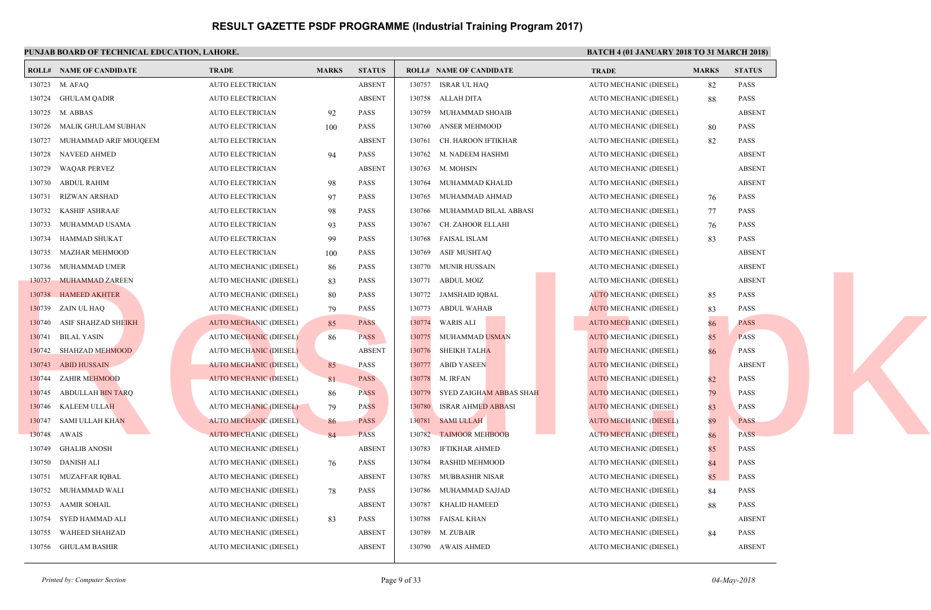|        | PUNJAB BOARD OF TECHNICAL EDUCATION, LAHORE. |                               |              |               |                                     | <b>BATC</b> |
|--------|----------------------------------------------|-------------------------------|--------------|---------------|-------------------------------------|-------------|
|        | <b>ROLL# NAME OF CANDIDATE</b>               | <b>TRADE</b>                  | <b>MARKS</b> | <b>STATUS</b> | <b>ROLL# NAME OF CANDIDATE</b>      | <b>TRAL</b> |
|        | 130723 M. AFAQ                               | <b>AUTO ELECTRICIAN</b>       |              | <b>ABSENT</b> | 130757 ISRAR UL HAQ                 | <b>AUTO</b> |
|        | 130724 GHULAM QADIR                          | <b>AUTO ELECTRICIAN</b>       |              | <b>ABSENT</b> | 130758<br>ALLAH DITA                | <b>AUTO</b> |
|        | 130725 M. ABBAS                              | <b>AUTO ELECTRICIAN</b>       | 92           | <b>PASS</b>   | 130759<br>MUHAMMAD SHOAIB           | <b>AUTO</b> |
| 130726 | MALIK GHULAM SUBHAN                          | <b>AUTO ELECTRICIAN</b>       | 100          | <b>PASS</b>   | 130760<br><b>ANSER MEHMOOD</b>      | <b>AUTO</b> |
| 130727 | MUHAMMAD ARIF MOUQEEM                        | <b>AUTO ELECTRICIAN</b>       |              | <b>ABSENT</b> | 130761<br>CH. HAROON IFTIKHAR       | <b>AUTO</b> |
| 130728 | NAVEED AHMED                                 | AUTO ELECTRICIAN              | 94           | <b>PASS</b>   | 130762 M. NADEEM HASHMI             | <b>AUTO</b> |
| 130729 | <b>WAQAR PERVEZ</b>                          | <b>AUTO ELECTRICIAN</b>       |              | <b>ABSENT</b> | 130763 M. MOHSIN                    | <b>AUTO</b> |
| 130730 | ABDUL RAHIM                                  | <b>AUTO ELECTRICIAN</b>       | 98           | <b>PASS</b>   | 130764<br>MUHAMMAD KHALID           | <b>AUTO</b> |
| 130731 | RIZWAN ARSHAD                                | <b>AUTO ELECTRICIAN</b>       | 97           | <b>PASS</b>   | MUHAMMAD AHMAD<br>130765            | <b>AUTO</b> |
| 130732 | KASHIF ASHRAAF                               | <b>AUTO ELECTRICIAN</b>       | 98           | <b>PASS</b>   | MUHAMMAD BILAL ABBASI<br>130766     | <b>AUTO</b> |
| 130733 | MUHAMMAD USAMA                               | <b>AUTO ELECTRICIAN</b>       | 93           | <b>PASS</b>   | CH. ZAHOOR ELLAHI<br>130767         | <b>AUTO</b> |
| 130734 | HAMMAD SHUKAT                                | <b>AUTO ELECTRICIAN</b>       | 99           | <b>PASS</b>   | <b>FAISAL ISLAM</b><br>130768       | <b>AUTO</b> |
| 130735 | MAZHAR MEHMOOD                               | <b>AUTO ELECTRICIAN</b>       | 100          | PASS          | 130769<br>ASIF MUSHTAQ              | <b>AUTO</b> |
|        | 130736 MUHAMMAD UMER                         | AUTO MECHANIC (DIESEL)        | 86           | <b>PASS</b>   | 130770<br>MUNIR HUSSAIN             | <b>AUTO</b> |
|        | 130737 MUHAMMAD ZAREEN                       | AUTO MECHANIC (DIESEL)        | 83           | <b>PASS</b>   | 130771<br>ABDUL MOIZ                | <b>AUTO</b> |
| 130738 | <b>HAMEED AKHTER</b>                         | AUTO MECHANIC (DIESEL)        | 80           | <b>PASS</b>   | 130772<br>JAMSHAID IQBAL            | <b>AUTO</b> |
|        | 130739 ZAIN UL HAQ                           | AUTO MECHANIC (DIESEL)        | 79           | PASS          | 130773<br>ABDUL WAHAB               | <b>AUTO</b> |
| 130740 | ASIF SHAHZAD S <del>HEIKH</del>              | <b>AUTO MECHANIC (DIESEL)</b> | 85           | <b>PASS</b>   | 130774<br>WARIS ALI                 | <b>AUTO</b> |
|        | 130741 BILAL YASIN                           | <b>AUTO MECHANIC (DIESEL)</b> | 86           | <b>PASS</b>   | 130775<br>MUHAMMAD USMAN            | <b>AUTO</b> |
|        | 130742 SHAHZAD MEHMOOD                       | <b>AUTO MECHANIC (DIESEL)</b> |              | <b>ABSENT</b> | 130776<br><b>SHEIKH TALHA</b>       | <b>AUTO</b> |
|        | 130743 ABID HUSSAIN                          | <b>AUTO MECHANIC (DIESEL)</b> | 85           | <b>PASS</b>   | 130777<br><b>ABID YASEEN</b>        | <b>AUTO</b> |
|        | 130744 ZAHIR MEHMOOD                         | <b>AUTO MECHANIC (DIESEL)</b> | 81           | <b>PASS</b>   | 130778<br>M. IRFAN                  | <b>AUTO</b> |
|        | 130745 ABDULLAH BIN TARQ                     | AUTO MECHANIC (DIESEL)        | 86           | <b>PASS</b>   | 130779<br>SYED ZAIGHAM ABBAS SHAH   | <b>AUTO</b> |
|        | 130746 KALEEM ULLAH                          | <b>AUTO MECHANIC (DIESEL)</b> | 79           | <b>PASS</b>   | <b>ISRAR AHMED ABBASI</b><br>130780 | <b>AUTO</b> |
| 130747 | <b>SAMI ULLAH KHAN</b>                       | <b>AUTO MECHANIC (DIESEL)</b> | 86           | <b>PASS</b>   | 130781<br><b>SAMI ULLAH</b>         | <b>AUTO</b> |
| 130748 | AWAIS                                        | <b>AUTO MECHANIC (DIESEL)</b> | 84           | <b>PASS</b>   | 130782<br><b>TAIMOOR MEHBOOB</b>    | <b>AUTO</b> |
| 130749 | GHALIB ANOSH                                 | AUTO MECHANIC (DIESEL)        |              | <b>ABSENT</b> | 130783<br>IFTIKHAR AHMED            | <b>AUTO</b> |
| 130750 | DANISH ALI                                   | AUTO MECHANIC (DIESEL)        | 76           | <b>PASS</b>   | 130784<br>RASHID MEHMOOD            | <b>AUTO</b> |
| 130751 | MUZAFFAR IQBAL                               | AUTO MECHANIC (DIESEL)        |              | <b>ABSENT</b> | 130785<br>MUBBASHIR NISAR           | <b>AUTO</b> |
| 130752 | MUHAMMAD WALI                                | AUTO MECHANIC (DIESEL)        | 78           | <b>PASS</b>   | 130786<br>MUHAMMAD SAJJAD           | <b>AUTO</b> |
| 130753 | <b>AAMIR SOHAIL</b>                          | AUTO MECHANIC (DIESEL)        |              | <b>ABSENT</b> | <b>KHALID HAMEED</b><br>130787      | <b>AUTO</b> |
| 130754 | SYED HAMMAD ALI                              | AUTO MECHANIC (DIESEL)        | 83           | <b>PASS</b>   | 130788<br>FAISAL KHAN               | <b>AUTO</b> |
| 130755 | WAHEED SHAHZAD                               | AUTO MECHANIC (DIESEL)        |              | <b>ABSENT</b> | 130789 M. ZUBAIR                    | <b>AUTO</b> |
|        | 130756 GHULAM BASHIR                         | AUTO MECHANIC (DIESEL)        |              | <b>ABSENT</b> | 130790 AWAIS AHMED                  | <b>AUTO</b> |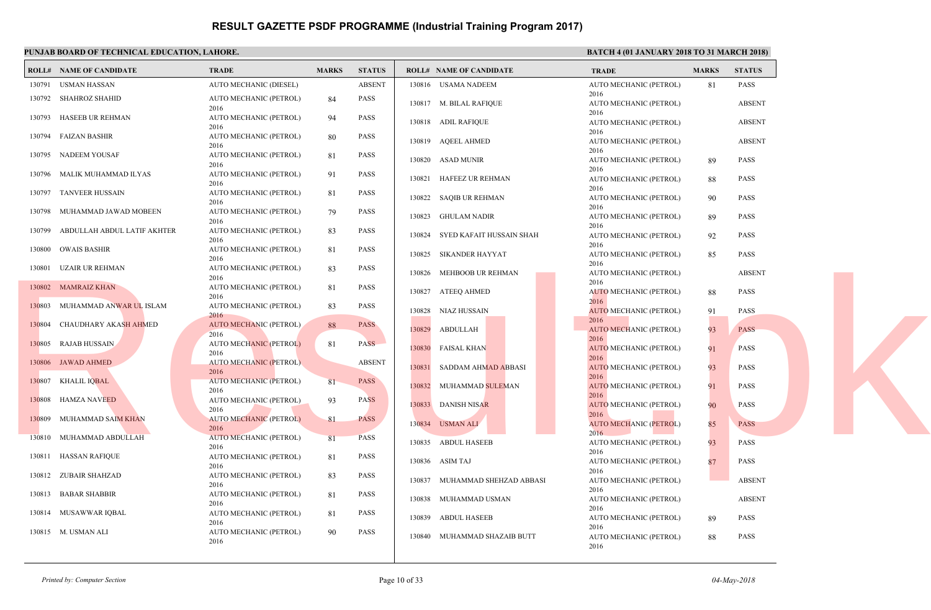|        | PUNJAB BOARD OF TECHNICAL EDUCATION, LAHORE. |                                       |              |               |                                   | <b>BATC</b>                 |
|--------|----------------------------------------------|---------------------------------------|--------------|---------------|-----------------------------------|-----------------------------|
|        | <b>ROLL# NAME OF CANDIDATE</b>               | <b>TRADE</b>                          | <b>MARKS</b> | <b>STATUS</b> | <b>ROLL# NAME OF CANDIDATE</b>    | <b>TRAL</b>                 |
| 130791 | USMAN HASSAN                                 | AUTO MECHANIC (DIESEL)                |              | <b>ABSENT</b> | 130816 USAMA NADEEM               | <b>AUTO</b>                 |
|        | 130792 SHAHROZ SHAHID                        | AUTO MECHANIC (PETROL)<br>2016        | 84           | <b>PASS</b>   | 130817 M. BILAL RAFIQUE           | 2016<br><b>AUTO</b>         |
| 130793 | HASEEB UR REHMAN                             | AUTO MECHANIC (PETROL)<br>2016        | 94           | <b>PASS</b>   | 130818 ADIL RAFIQUE               | 2016<br><b>AUTO</b>         |
|        | 130794 FAIZAN BASHIR                         | AUTO MECHANIC (PETROL)<br>2016        | 80           | <b>PASS</b>   | 130819 AQEEL AHMED                | 2016<br><b>AUTO</b>         |
|        | 130795 NADEEM YOUSAF                         | AUTO MECHANIC (PETROL)<br>2016        | 81           | <b>PASS</b>   | 130820<br>ASAD MUNIR              | 2016<br><b>AUTO</b>         |
| 130796 | MALIK MUHAMMAD ILYAS                         | AUTO MECHANIC (PETROL)<br>2016        | 91           | <b>PASS</b>   | HAFEEZ UR REHMAN<br>130821        | 2016<br><b>AUTO</b>         |
| 130797 | <b>TANVEER HUSSAIN</b>                       | AUTO MECHANIC (PETROL)<br>2016        | 81           | PASS          | 130822 SAQIB UR REHMAN            | 2016<br><b>AUTO</b>         |
| 130798 | MUHAMMAD JAWAD MOBEEN                        | AUTO MECHANIC (PETROL)<br>2016        | 79           | <b>PASS</b>   | 130823 GHULAM NADIR               | 2016<br><b>AUTO</b>         |
| 130799 | ABDULLAH ABDUL LATIF AKHTER                  | AUTO MECHANIC (PETROL)<br>2016        | 83           | <b>PASS</b>   | 130824 SYED KAFAIT HUSSAIN SHAH   | 2016<br><b>AUTO</b>         |
| 130800 | OWAIS BASHIR                                 | AUTO MECHANIC (PETROL)<br>2016        | 81           | <b>PASS</b>   | SIKANDER HAYYAT<br>130825         | 2016<br><b>AUTO</b>         |
| 130801 | UZAIR UR REHMAN                              | AUTO MECHANIC (PETROL)<br>2016        | 83           | <b>PASS</b>   | MEHBOOB UR REHMAN<br>130826       | 2016<br><b>AUTO</b>         |
|        | 130802 MAMRAIZ KHAN                          | AUTO MECHANIC (PETROL)<br>2016        | 81           | <b>PASS</b>   | 130827 ATEEQ AHMED                | 2016<br><b>AUTO</b>         |
|        | 130803 MUHAMMAD ANWAR UL ISLAM               | AUTO MECHANIC (PETROL)<br>2016        | 83           | PASS          | NIAZ HUSSAIN<br>130828            | 2016<br><b>AUTO</b>         |
|        | 130804 CHAUDHARY AKASH AHMED                 | AUTO MECHANIC (PETROL)<br>2016        | 88           | <b>PASS</b>   | 130829<br>ABDULLAH                | 2016<br><b>AUTO</b>         |
|        | 130805 RAJAB HUSSAIN                         | <b>AUTO MECHANIC (PETROL)</b><br>2016 | 81           | <b>PASS</b>   | 130830<br><b>FAISAL KHAN</b>      | 2016<br><b>AUTO</b>         |
|        | 130806 JAWAD AHMED                           | <b>AUTO MECHANIC (PETROL)</b><br>2016 |              | <b>ABSENT</b> | 130831<br>SADDAM AHMAD ABBASI     | 2016<br><b>AUTO</b>         |
|        | 130807 KHALIL IQBAL                          | <b>AUTO MECHANIC (PETROL)</b><br>2016 | 81           | <b>PASS</b>   | 130832<br>MUHAMMAD SULEMAN        | 2016<br><b>AUTO</b>         |
| 130808 | HAMZA NAVEED                                 | <b>AUTO MECHANIC (PETROL)</b><br>2016 | 93           | <b>PASS</b>   | 130833<br>DANISH NISAR            | 2016<br><b>AUTO</b>         |
| 130809 | MUHAMMAD SAIM KHAN                           | <b>AUTO MECHANIC (PETROL)</b><br>2016 | 81           | <b>PASS</b>   | 130834 USMAN ALI                  | 2016<br><b>AUTO</b>         |
|        | 130810 MUHAMMAD ABDULLAH                     | <b>AUTO MECHANIC (PETROL)</b><br>2016 | 81           | <b>PASS</b>   | <b>ABDUL HASEEB</b><br>130835     | 2016<br><b>AUTO</b>         |
| 130811 | <b>HASSAN RAFIQUE</b>                        | AUTO MECHANIC (PETROL)<br>2016        | 81           | <b>PASS</b>   | 130836<br>ASIM TAJ                | 2016<br><b>AUTO</b>         |
|        | 130812 ZUBAIR SHAHZAD                        | AUTO MECHANIC (PETROL)<br>2016        | 83           | <b>PASS</b>   | MUHAMMAD SHEHZAD ABBASI<br>130837 | 2016<br><b>AUTO</b>         |
|        | 130813 BABAR SHABBIR                         | AUTO MECHANIC (PETROL)<br>2016        | 81           | PASS          | 130838 MUHAMMAD USMAN             | 2016<br><b>AUTO</b>         |
|        | 130814 MUSAWWAR IQBAL                        | AUTO MECHANIC (PETROL)<br>2016        | 81           | PASS          | 130839<br>ABDUL HASEEB            | 2016<br><b>AUTO</b>         |
|        | 130815 M. USMAN ALI                          | AUTO MECHANIC (PETROL)<br>2016        | 90           | <b>PASS</b>   | 130840 MUHAMMAD SHAZAIB BUTT      | 2016<br><b>AUTO</b><br>2016 |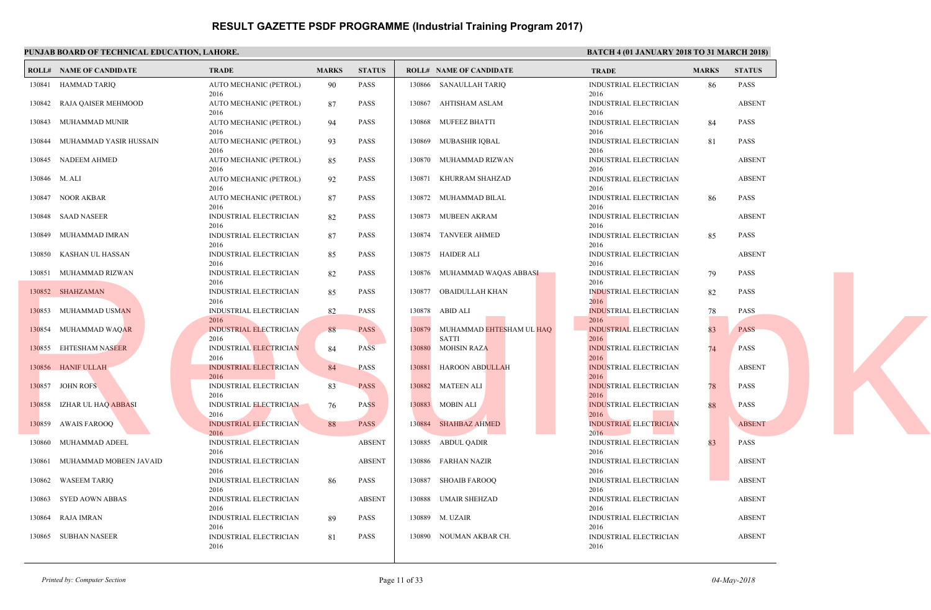|        | PUNJAB BOARD OF TECHNICAL EDUCATION, LAHORE. |                                               |              |               |        |                                    | <b>BATC</b>                  |
|--------|----------------------------------------------|-----------------------------------------------|--------------|---------------|--------|------------------------------------|------------------------------|
|        | <b>ROLL# NAME OF CANDIDATE</b>               | <b>TRADE</b>                                  | <b>MARKS</b> | <b>STATUS</b> |        | <b>ROLL# NAME OF CANDIDATE</b>     | <b>TRAL</b>                  |
| 130841 | <b>HAMMAD TARIQ</b>                          | AUTO MECHANIC (PETROL)<br>2016                | -90          | PASS          | 130866 | <b>SANAULLAH TARIQ</b>             | <b>INDUS</b><br>2016         |
| 130842 | RAJA QAISER MEHMOOD                          | AUTO MECHANIC (PETROL)<br>2016                | 87           | <b>PASS</b>   | 130867 | AHTISHAM ASLAM                     | <b>INDUS</b><br>2016         |
| 130843 | MUHAMMAD MUNIR                               | AUTO MECHANIC (PETROL)<br>2016                | 94           | <b>PASS</b>   | 130868 | <b>MUFEEZ BHATTI</b>               | <b>INDUS</b><br>2016         |
| 130844 | MUHAMMAD YASIR HUSSAIN                       | AUTO MECHANIC (PETROL)<br>2016                | 93           | <b>PASS</b>   |        | 130869 MUBASHIR IQBAL              | <b>INDUS</b><br>2016         |
| 130845 | NADEEM AHMED                                 | AUTO MECHANIC (PETROL)<br>2016                | 85           | <b>PASS</b>   |        | 130870 MUHAMMAD RIZWAN             | <b>INDUS</b><br>2016         |
|        | 130846 M. ALI                                | AUTO MECHANIC (PETROL)<br>2016                | 92           | <b>PASS</b>   | 130871 | KHURRAM SHAHZAD                    | <b>INDUS</b><br>2016         |
| 130847 | NOOR AKBAR                                   | AUTO MECHANIC (PETROL)<br>2016                | 87           | <b>PASS</b>   | 130872 | MUHAMMAD BILAL                     | <b>INDUS</b><br>2016         |
| 130848 | SAAD NASEER                                  | <b>INDUSTRIAL ELECTRICIAN</b><br>2016         | 82           | <b>PASS</b>   | 130873 | MUBEEN AKRAM                       | <b>INDUS</b><br>2016         |
| 130849 | MUHAMMAD IMRAN                               | INDUSTRIAL ELECTRICIAN<br>2016                | 87           | <b>PASS</b>   |        | 130874 TANVEER AHMED               | <b>INDUS</b><br>2016         |
| 130850 | KASHAN UL HASSAN                             | <b>INDUSTRIAL ELECTRICIAN</b><br>2016         | 85           | <b>PASS</b>   | 130875 | HAIDER ALI                         | <b>INDUS</b><br>2016         |
|        | 130851 MUHAMMAD RIZWAN                       | INDUSTRIAL ELECTRICIAN<br>2016                | 82           | <b>PASS</b>   | 130876 | MUHAMMAD WAQAS ABBASI              | <b>INDUS</b><br>2016         |
|        | 130852 SHAHZAMAN                             | INDUSTRIAL ELECTRICIAN<br>2016                | 85           | <b>PASS</b>   | 130877 | OBAIDULLAH KHAN                    | <b>INDUS</b><br>2016         |
|        | 130853 MUHAMMAD USMAN                        | INDUSTRIAL ELECTRICIAN<br>2016                | 82           | <b>PASS</b>   | 130878 | ABID ALI                           | <b>INDUS</b><br>2016         |
|        | 130854 MUHAMMAD WAQAR                        | <b>INDUSTRIAL ELECTRICIAN</b>                 | 88           | <b>PASS</b>   | 130879 | MUHAMMAD EHTESHAM UL HAQ           | <b>INDUS</b>                 |
| 130855 | <b>EHTESHAM NASEER</b>                       | 2016<br><b>INDUSTRIAL ELECTRICIAN</b>         | 84           | <b>PASS</b>   | 130880 | <b>SATTI</b><br><b>MOHSIN RAZA</b> | 2016<br><b>INDUS</b>         |
| 130856 | <b>HANIF ULLAH</b>                           | 2016<br><b>INDUSTRIAL ELECTRICIAN</b>         | 84           | <b>PASS</b>   | 130881 | HAROON ABDULLAH                    | 2016<br><b>INDUS</b>         |
|        | 130857 JOHN ROFS                             | 2016<br>INDUSTRIAL ELECTRICIAN                | 83           | <b>PASS</b>   | 130882 | <b>MATEEN ALI</b>                  | 2016<br><b>INDUS</b>         |
|        | 130858 IZHAR UL HAQ ABBASI                   | 2016<br>INDUSTRIAL ELECTRICIAN                | 76           | <b>PASS</b>   |        | 130883 MOBIN ALI                   | 2016<br><b>INDUS</b><br>2016 |
| 130859 | AWAIS FAROOQ                                 | 2016<br><b>INDUSTRIAL ELECTRICIAN</b><br>2016 | 88           | <b>PASS</b>   |        | 130884 SHAHBAZ AHMED               | <b>INDUS</b><br>2016         |
| 130860 | MUHAMMAD ADEEL                               | INDUSTRIAL ELECTRICIAN<br>2016                |              | <b>ABSENT</b> | 130885 | ABDUL QADIR                        | <b>INDUS</b><br>2016         |
| 130861 | MUHAMMAD MOBEEN JAVAID                       | INDUSTRIAL ELECTRICIAN                        |              | <b>ABSENT</b> | 130886 | <b>FARHAN NAZIR</b>                | <b>INDUS</b>                 |
| 130862 | <b>WASEEM TARIQ</b>                          | 2016<br><b>INDUSTRIAL ELECTRICIAN</b>         | 86           | <b>PASS</b>   | 130887 | SHOAIB FAROOQ                      | 2016<br><b>INDUS</b>         |
| 130863 | SYED AOWN ABBAS                              | 2016<br>INDUSTRIAL ELECTRICIAN<br>2016        |              | <b>ABSENT</b> |        | 130888 UMAIR SHEHZAD               | 2016<br><b>INDUS</b><br>2016 |
| 130864 | RAJA IMRAN                                   | INDUSTRIAL ELECTRICIAN<br>2016                | 89           | PASS          | 130889 | M. UZAIR                           | <b>INDUS</b><br>2016         |
|        | 130865 SUBHAN NASEER                         | <b>INDUSTRIAL ELECTRICIAN</b><br>2016         | 81           | <b>PASS</b>   |        | 130890 NOUMAN AKBAR CH.            | <b>INDUS</b><br>2016         |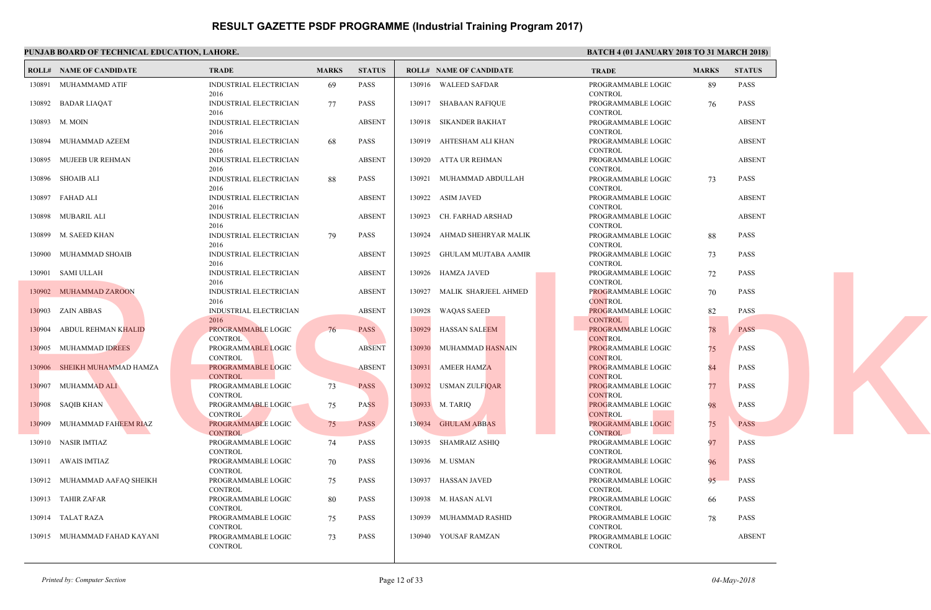|        | PUNJAB BOARD OF TECHNICAL EDUCATION, LAHORE. |                                       |              |               |        |                                | <b>BATC</b>                 |
|--------|----------------------------------------------|---------------------------------------|--------------|---------------|--------|--------------------------------|-----------------------------|
|        | <b>ROLL# NAME OF CANDIDATE</b>               | <b>TRADE</b>                          | <b>MARKS</b> | <b>STATUS</b> |        | <b>ROLL# NAME OF CANDIDATE</b> | <b>TRAL</b>                 |
|        | 130891 MUHAMMAMD ATIF                        | <b>INDUSTRIAL ELECTRICIAN</b><br>2016 | 69           | <b>PASS</b>   |        | 130916 WALEED SAFDAR           | PROG!<br><b>CONT</b>        |
|        | 130892 BADAR LIAQAT                          | INDUSTRIAL ELECTRICIAN<br>2016        | 77           | <b>PASS</b>   |        | 130917 SHABAAN RAFIQUE         | <b>PROG</b><br><b>CONT</b>  |
|        | 130893 M. MOIN                               | INDUSTRIAL ELECTRICIAN<br>2016        |              | <b>ABSENT</b> |        | 130918 SIKANDER BAKHAT         | PROGI<br><b>CONT</b>        |
|        | 130894 MUHAMMAD AZEEM                        | <b>INDUSTRIAL ELECTRICIAN</b><br>2016 | 68           | <b>PASS</b>   | 130919 | AHTESHAM ALI KHAN              | <b>PROG</b><br><b>CONT</b>  |
| 130895 | MUJEEB UR REHMAN                             | <b>INDUSTRIAL ELECTRICIAN</b><br>2016 |              | <b>ABSENT</b> |        | 130920 ATTA UR REHMAN          | <b>PROGI</b><br><b>CONT</b> |
| 130896 | SHOAIB ALI                                   | <b>INDUSTRIAL ELECTRICIAN</b><br>2016 | 88           | <b>PASS</b>   | 130921 | MUHAMMAD ABDULLAH              | PROGI<br><b>CONT</b>        |
| 130897 | FAHAD ALI                                    | <b>INDUSTRIAL ELECTRICIAN</b><br>2016 |              | <b>ABSENT</b> | 130922 | <b>ASIM JAVED</b>              | <b>PROG</b><br><b>CONT</b>  |
| 130898 | MUBARIL ALI                                  | <b>INDUSTRIAL ELECTRICIAN</b><br>2016 |              | <b>ABSENT</b> | 130923 | CH. FARHAD ARSHAD              | <b>PROGI</b><br><b>CONT</b> |
| 130899 | M. SAEED KHAN                                | INDUSTRIAL ELECTRICIAN<br>2016        | 79           | <b>PASS</b>   | 130924 | AHMAD SHEHRYAR MALIK           | <b>PROG</b><br><b>CONT</b>  |
| 130900 | MUHAMMAD SHOAIB                              | <b>INDUSTRIAL ELECTRICIAN</b><br>2016 |              | <b>ABSENT</b> | 130925 | GHULAM MUJTABA AAMIR           | <b>PROGI</b><br><b>CONT</b> |
|        | 130901 SAMI ULLAH                            | <b>INDUSTRIAL ELECTRICIAN</b><br>2016 |              | <b>ABSENT</b> | 130926 | HAMZA JAVED                    | <b>PROG</b><br><b>CONT</b>  |
|        | 130902 MUHAMMAD ZAROON                       | <b>INDUSTRIAL ELECTRICIAN</b><br>2016 |              | <b>ABSENT</b> | 130927 | MALIK SHARJEEL AHMED           | <b>PROG</b><br><b>CONT</b>  |
|        | 130903 ZAIN ABBAS                            | INDUSTRIAL ELECTRICIAN<br>2016        |              | <b>ABSENT</b> | 130928 | <b>WAQAS SAEED</b>             | PROG!<br><b>CONT</b>        |
| 130904 | ABDUL REHMAN KHALID                          | PROGRAMMABLE LOGIC<br><b>CONTROL</b>  | 76           | <b>PASS</b>   | 130929 | <b>HASSAN SALEEM</b>           | <b>PROG</b><br><b>CONT</b>  |
| 130905 | MUHAMMAD IDREES                              | PROGRAMMABLE LOGIC<br><b>CONTROL</b>  |              | <b>ABSENT</b> | 130930 | MUHAMMAD HASNAIN               | <b>PROG</b><br><b>CONT</b>  |
| 130906 | SHEIKH MUHAMMAD HAMZA                        | PROGRAMMABLE LOGIC<br><b>CONTROL</b>  |              | <b>ABSENT</b> | 130931 | <b>AMEER HAMZA</b>             | PROG!<br><b>CONT</b>        |
|        | 130907 MUHAMMAD ALI                          | PROGRAMMABLE LOGIC<br><b>CONTROL</b>  | 73           | <b>PASS</b>   |        | 130932 USMAN ZULFIQAR          | <b>PROGI</b><br><b>CONT</b> |
|        | 130908 SAQIB KHAN                            | PROGRAMMABLE LOGIC<br><b>CONTROL</b>  | 75           | <b>PASS</b>   |        | 130933 M. TARIQ                | <b>PROG</b><br><b>CONT</b>  |
| 130909 | MUHAMMAD FAHEEM RIAZ                         | PROGRAMMABLE LOGIC<br><b>CONTROL</b>  | 75           | <b>PASS</b>   |        | 130934 GHULAM ABBAS            | <b>PROG</b><br><b>CONT</b>  |
|        | 130910 NASIR IMTIAZ                          | PROGRAMMABLE LOGIC<br><b>CONTROL</b>  | 74           | <b>PASS</b>   | 130935 | SHAMRAIZ ASHIQ                 | <b>PROG</b><br><b>CONT</b>  |
|        | 130911 AWAIS IMTIAZ                          | PROGRAMMABLE LOGIC<br><b>CONTROL</b>  | 70           | PASS          |        | 130936 M. USMAN                | PROG!<br><b>CONT</b>        |
|        | 130912 MUHAMMAD AAFAQ SHEIKH                 | PROGRAMMABLE LOGIC<br><b>CONTROL</b>  | 75           | <b>PASS</b>   | 130937 | HASSAN JAVED                   | <b>PROGI</b><br><b>CONT</b> |
|        | 130913 TAHIR ZAFAR                           | PROGRAMMABLE LOGIC<br><b>CONTROL</b>  | 80           | <b>PASS</b>   |        | 130938 M. HASAN ALVI           | PROG!<br><b>CONT</b>        |
|        | 130914 TALAT RAZA                            | PROGRAMMABLE LOGIC<br><b>CONTROL</b>  | 75           | <b>PASS</b>   | 130939 | MUHAMMAD RASHID                | <b>PROG</b><br><b>CONT</b>  |
|        | 130915 MUHAMMAD FAHAD KAYANI                 | PROGRAMMABLE LOGIC<br><b>CONTROL</b>  | 73           | <b>PASS</b>   |        | 130940 YOUSAF RAMZAN           | <b>PROG</b><br><b>CONT</b>  |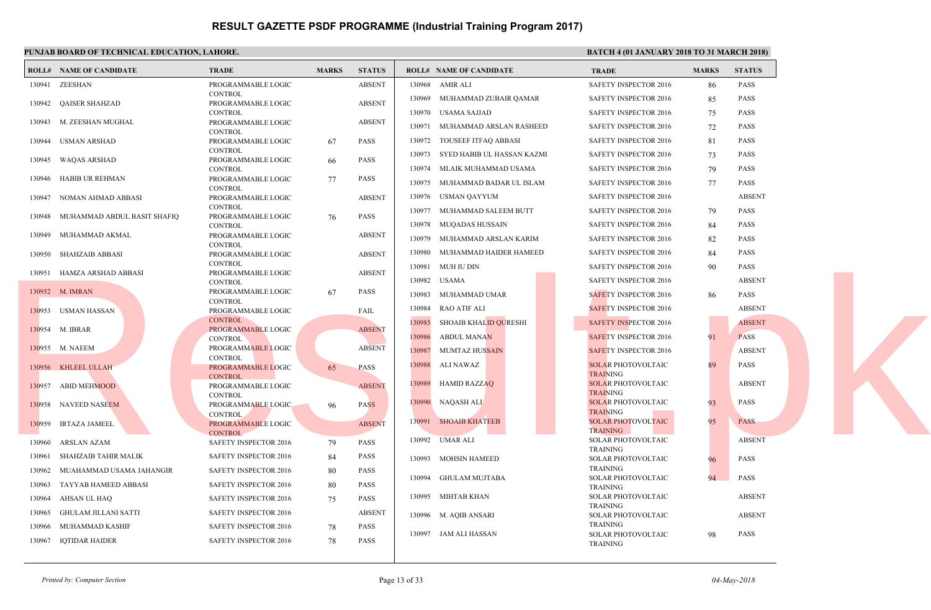|        | PUNJAB BOARD OF TECHNICAL EDUCATION, LAHORE. |                                      |              |               |                                        | <b>BATC</b>                 |
|--------|----------------------------------------------|--------------------------------------|--------------|---------------|----------------------------------------|-----------------------------|
|        | <b>ROLL# NAME OF CANDIDATE</b>               | <b>TRADE</b>                         | <b>MARKS</b> | <b>STATUS</b> | <b>ROLL# NAME OF CANDIDATE</b>         | <b>TRAL</b>                 |
| 130941 | ZEESHAN                                      | PROGRAMMABLE LOGIC                   |              | <b>ABSENT</b> | 130968<br>AMIR ALI                     | <b>SAFET</b>                |
|        |                                              | <b>CONTROL</b>                       |              |               | 130969<br>MUHAMMAD ZUBAIR QAMAR        | <b>SAFET</b>                |
| 130942 | QAISER SHAHZAD                               | PROGRAMMABLE LOGIC<br><b>CONTROL</b> |              | <b>ABSENT</b> | 130970<br>USAMA SAJJAD                 | <b>SAFET</b>                |
|        | 130943 M. ZEESHAN MUGHAL                     | PROGRAMMABLE LOGIC                   |              | <b>ABSENT</b> |                                        |                             |
|        |                                              | <b>CONTROL</b>                       |              |               | 130971<br>MUHAMMAD ARSLAN RASHEED      | <b>SAFET</b>                |
|        | 130944 USMAN ARSHAD                          | PROGRAMMABLE LOGIC                   | -67          | <b>PASS</b>   | TOUSEEF ITFAQ ABBASI<br>130972         | <b>SAFE1</b>                |
| 130945 |                                              | <b>CONTROL</b><br>PROGRAMMABLE LOGIC |              | <b>PASS</b>   | 130973<br>SYED HABIB UL HASSAN KAZMI   | <b>SAFET</b>                |
|        | WAQAS ARSHAD                                 | <b>CONTROL</b>                       | 66           |               | MLAIK MUHAMMAD USAMA<br>130974         | <b>SAFET</b>                |
| 130946 | HABIB UR REHMAN                              | PROGRAMMABLE LOGIC                   | 77           | <b>PASS</b>   | MUHAMMAD BADAR UL ISLAM<br>130975      | <b>SAFET</b>                |
|        |                                              | <b>CONTROL</b>                       |              |               |                                        |                             |
| 130947 | NOMAN AHMAD ABBASI                           | PROGRAMMABLE LOGIC                   |              | <b>ABSENT</b> | 130976<br>USMAN QAYYUM                 | <b>SAFET</b>                |
| 130948 | MUHAMMAD ABDUL BASIT SHAFIQ                  | <b>CONTROL</b><br>PROGRAMMABLE LOGIC | 76           | PASS          | 130977<br>MUHAMMAD SALEEM BUTT         | <b>SAFET</b>                |
|        |                                              | <b>CONTROL</b>                       |              |               | 130978<br>MUQADAS HUSSAIN              | <b>SAFET</b>                |
| 130949 | MUHAMMAD AKMAL                               | PROGRAMMABLE LOGIC                   |              | <b>ABSENT</b> | 130979<br>MUHAMMAD ARSLAN KARIM        | <b>SAFET</b>                |
|        |                                              | <b>CONTROL</b>                       |              |               |                                        |                             |
| 130950 | SHAHZAIB ABBASI                              | PROGRAMMABLE LOGIC<br><b>CONTROL</b> |              | <b>ABSENT</b> | 130980<br>MUHAMMAD HAIDER HAMEED       | <b>SAFET</b>                |
| 130951 | HAMZA ARSHAD ABBASI                          | PROGRAMMABLE LOGIC                   |              | <b>ABSENT</b> | 130981<br>MUH IU DIN                   | <b>SAFET</b>                |
|        |                                              | <b>CONTROL</b>                       |              |               | 130982<br>USAMA                        | <b>SAFET</b>                |
|        | 130952 M. IMRAN                              | PROGRAMMABLE LOGIC                   | -67          | <b>PASS</b>   | 130983<br>MUHAMMAD UMAR                | <b>SAFET</b>                |
|        |                                              | <b>CONTROL</b>                       |              |               | <b>RAO ATIF ALI</b><br>130984          | <b>SAFE1</b>                |
|        | 130953 USMAN HASSAN                          | PROGRAMMABLE LOGIC<br>CONTROL        |              | FAIL          |                                        |                             |
|        | 130954 M. IBRAR                              | PROGRAMMABLE LOGIC                   |              | <b>ABSENT</b> | 130985<br><b>SHOAIB KHALID QURESHI</b> | <b>SAFE1</b>                |
|        |                                              | <b>CONTROL</b>                       |              |               | 130986<br><b>ABDUL MANAN</b>           | <b>SAFET</b>                |
|        | 130955 M. NAEEM                              | PROGRAMMABLE LOGIC                   |              | <b>ABSENT</b> | 130987<br>MUMTAZ HUS <mark>SAIN</mark> | <b>SAFE1</b>                |
|        | 130956 KHLEEL ULLAH                          | <b>CONTROL</b><br>PROGRAMMABLE LOGIC | 65           | <b>PASS</b>   | 130988<br>ALI NAWAZ                    | <b>SOLAI</b>                |
|        |                                              | <b>CONTROL</b>                       |              |               |                                        | <b>TRAIN</b>                |
| 130957 | ABID MEHMOOD                                 | PROGRAMMABLE LOGIC                   |              | <b>ABSENT</b> | 130989<br><b>HAMID RAZZAQ</b>          | <b>SOLA</b>                 |
|        |                                              | <b>CONTROL</b>                       |              |               |                                        | <b>TRAIN</b>                |
|        | 130958 NAVEED NASEEM                         | PROGRAMMABLE LOGIC                   | 96           | <b>PASS</b>   | 130990 NAQASH ALI                      | <b>SOLA</b><br><b>TRAIN</b> |
| 130959 | <b>IRTAZA JAMEEL</b>                         | <b>CONTROL</b><br>PROGRAMMABLE LOGIC |              | <b>ABSENT</b> | <b>SHOAIB KHATEEB</b><br>130991        | <b>SOLAI</b>                |
|        |                                              | <b>CONTROL</b>                       |              |               |                                        | TRAIN                       |
| 130960 | ARSLAN AZAM                                  | <b>SAFETY INSPECTOR 2016</b>         | 79           | <b>PASS</b>   | 130992 UMAR ALI                        | <b>SOLA</b>                 |
| 130961 | SHAHZAIB TAHIR MALIK                         | SAFETY INSPECTOR 2016                | 84           | <b>PASS</b>   | <b>MOHSIN HAMEED</b><br>130993         | <b>TRAIN</b><br><b>SOLA</b> |
| 130962 | MUAHAMMAD USAMA JAHANGIR                     | SAFETY INSPECTOR 2016                | 80           | <b>PASS</b>   |                                        | <b>TRAIN</b>                |
|        |                                              |                                      |              |               | 130994 GHULAM MUJTABA                  | <b>SOLAI</b>                |
| 130963 | TAYYAB HAMEED ABBASI                         | SAFETY INSPECTOR 2016                | 80           | <b>PASS</b>   |                                        | <b>TRAIN</b>                |
| 130964 | AHSAN UL HAQ                                 | SAFETY INSPECTOR 2016                | 75           | <b>PASS</b>   | 130995<br>MIHTAB KHAN                  | <b>SOLA</b><br><b>TRAIN</b> |
| 130965 | <b>GHULAM JILLANI SATTI</b>                  | SAFETY INSPECTOR 2016                |              | <b>ABSENT</b> | 130996<br>M. AQIB ANSARI               | <b>SOLAI</b>                |
| 130966 | MUHAMMAD KASHIF                              | <b>SAFETY INSPECTOR 2016</b>         | 78           | <b>PASS</b>   |                                        | <b>TRAIN</b>                |
| 130967 | <b>IQTIDAR HAIDER</b>                        | <b>SAFETY INSPECTOR 2016</b>         | 78           | <b>PASS</b>   | 130997 JAM ALI HASSAN                  | <b>SOLA</b>                 |
|        |                                              |                                      |              |               |                                        | <b>TRAIN</b>                |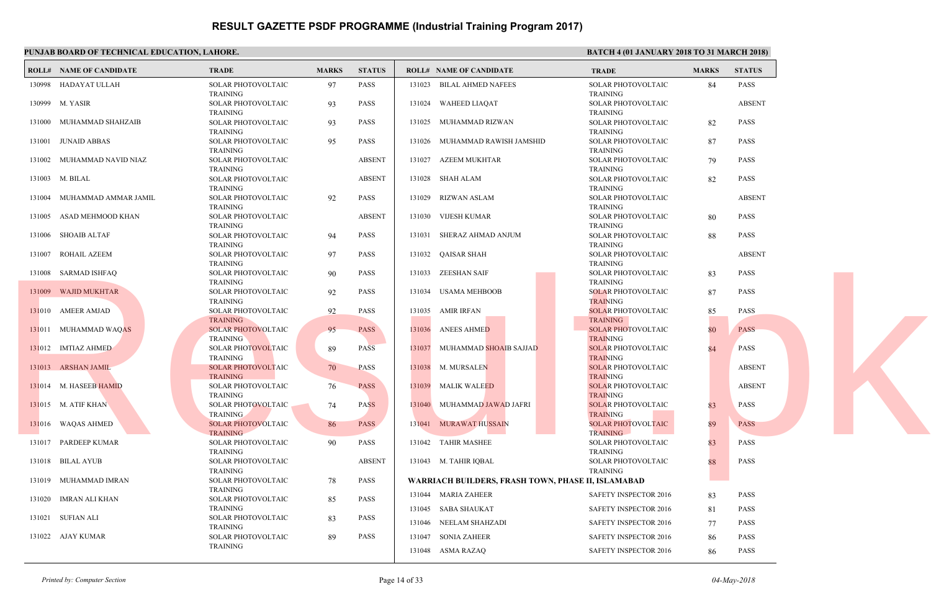|        | PUNJAB BOARD OF TECHNICAL EDUCATION, LAHORE. |                                              |              |               |                                              | <b>BATC</b>                  |
|--------|----------------------------------------------|----------------------------------------------|--------------|---------------|----------------------------------------------|------------------------------|
|        | <b>ROLL# NAME OF CANDIDATE</b>               | <b>TRADE</b>                                 | <b>MARKS</b> | <b>STATUS</b> | <b>ROLL# NAME OF CANDIDATE</b>               | <b>TRAL</b>                  |
|        | 130998 HADAYAT ULLAH                         | SOLAR PHOTOVOLTAIC<br><b>TRAINING</b>        | 97           | <b>PASS</b>   | 131023 BILAL AHMED NAFEES                    | <b>SOLA</b><br><b>TRAIN</b>  |
|        | 130999 M. YASIR                              | SOLAR PHOTOVOLTAIC<br>TRAINING               | 93           | <b>PASS</b>   | 131024 WAHEED LIAQAT                         | <b>SOLA</b><br><b>TRAIN</b>  |
|        | 131000 MUHAMMAD SHAHZAIB                     | SOLAR PHOTOVOLTAIC<br>TRAINING               | 93           | <b>PASS</b>   | 131025 MUHAMMAD RIZWAN                       | <b>SOLAI</b><br><b>TRAIN</b> |
| 131001 | JUNAID ABBAS                                 | SOLAR PHOTOVOLTAIC<br><b>TRAINING</b>        | 95           | <b>PASS</b>   | 131026 MUHAMMAD RAWISH JAMSHID               | <b>SOLAI</b><br><b>TRAIN</b> |
|        | 131002 MUHAMMAD NAVID NIAZ                   | SOLAR PHOTOVOLTAIC<br><b>TRAINING</b>        |              | <b>ABSENT</b> | 131027 AZEEM MUKHTAR                         | <b>SOLAI</b><br><b>TRAIN</b> |
|        | 131003 M. BILAL                              | SOLAR PHOTOVOLTAIC<br><b>TRAINING</b>        |              | <b>ABSENT</b> | 131028 SHAH ALAM                             | <b>SOLAI</b><br><b>TRAIN</b> |
|        | 131004 MUHAMMAD AMMAR JAMIL                  | SOLAR PHOTOVOLTAIC<br><b>TRAINING</b>        | 92           | <b>PASS</b>   | 131029 RIZWAN ASLAM                          | <b>SOLAI</b><br><b>TRAIN</b> |
| 131005 | ASAD MEHMOOD KHAN                            | SOLAR PHOTOVOLTAIC<br><b>TRAINING</b>        |              | <b>ABSENT</b> | 131030 VIJESH KUMAR                          | <b>SOLAI</b><br><b>TRAIN</b> |
| 131006 | <b>SHOAIB ALTAF</b>                          | SOLAR PHOTOVOLTAIC<br><b>TRAINING</b>        | 94           | <b>PASS</b>   | 131031<br>SHERAZ AHMAD ANJUM                 | <b>SOLAI</b><br><b>TRAIN</b> |
|        | 131007 ROHAIL AZEEM                          | SOLAR PHOTOVOLTAIC<br><b>TRAINING</b>        | 97           | PASS          | 131032 QAISAR SHAH                           | <b>SOLA</b><br><b>TRAIN</b>  |
|        | 131008 SARMAD ISHFAQ                         | SOLAR PHOTOVOLTAIC<br><b>TRAINING</b>        | 90           | <b>PASS</b>   | 131033 ZEESHAN SAIF                          | <b>SOLAI</b><br><b>TRAIN</b> |
|        | 131009 WAJID MUKHTAR                         | SOLAR PHOTOVOLTAIC<br><b>TRAINING</b>        | 92           | PASS          | 131034 USAMA MEHBOOB                         | <b>SOLA</b><br><b>TRAIN</b>  |
|        | 131010 AMEER AMJAD                           | SOLAR PHOTOVOLTAIC<br><b>TRAINING</b>        | 92           | PASS          | AMIR IRFAN<br>131035                         | <b>SOLAI</b><br><b>TRAIN</b> |
|        | 131011 MUHAMMAD WAQAS                        | <b>SOLAR PHOTOVOLTAIC</b><br><b>TRAINING</b> | 95           | <b>PASS</b>   | 131036<br><b>ANEES AHMED</b>                 | <b>SOLA</b><br><b>TRAIN</b>  |
|        | 131012 IMTIAZ AHMED                          | <b>SOLAR PHOTOVOLTAIC</b><br>TRAINING        | 89           | <b>PASS</b>   | 131037 MUHAMMAD SHOAIB SAJJAD                | <b>SOLA</b><br><b>TRAIN</b>  |
|        | 131013 ARSHAN JAMIL                          | <b>SOLAR PHOTOVOLTAIC</b><br><b>TRAINING</b> | 70           | <b>PASS</b>   | 131038 M. MURSALEN                           | <b>SOLA</b><br><b>TRAIN</b>  |
|        | 131014 M. HASEEB HAMID                       | SOLAR PHOTOVOLTAIC<br>TRAINING               | 76           | <b>PASS</b>   | 131039 MALIK WALEED                          | <b>SOLA</b><br><b>TRAIN</b>  |
|        | 131015 M. ATIF KHAN                          | SOLAR PHOTOVOLTAIC<br><b>TRAINING</b>        | 74           | <b>PASS</b>   | 131040 MUHAMMAD JAWAD JAFRI                  | <b>SOLAI</b><br><b>TRAIN</b> |
|        | 131016 WAQAS AHMED                           | <b>SOLAR PHOTOVOLTAIC</b><br><b>TRAINING</b> | 86           | <b>PASS</b>   | 131041 MURAWAT HUSSAIN                       | <b>SOLA</b><br><b>TRAIN</b>  |
|        | 131017 PARDEEP KUMAR                         | SOLAR PHOTOVOLTAIC<br><b>TRAINING</b>        | 90           | <b>PASS</b>   | 131042 TAHIR MASHEE                          | <b>SOLAI</b><br><b>TRAIN</b> |
|        | 131018 BILAL AYUB                            | SOLAR PHOTOVOLTAIC<br><b>TRAINING</b>        |              | <b>ABSENT</b> | 131043 M. TAHIR IQBAL                        | <b>SOLA</b><br><b>TRAIN</b>  |
|        | 131019 MUHAMMAD IMRAN                        | SOLAR PHOTOVOLTAIC<br><b>TRAINING</b>        | 78           | <b>PASS</b>   | WARRIACH BUILDERS, FRASH TOWN, PHASE II, ISL |                              |
|        | 131020 IMRAN ALI KHAN                        | SOLAR PHOTOVOLTAIC<br>TRAINING               | 85           | <b>PASS</b>   | 131044 MARIA ZAHEER<br>131045 SABA SHAUKAT   | <b>SAFET</b><br><b>SAFET</b> |
|        | 131021 SUFIAN ALI                            | SOLAR PHOTOVOLTAIC<br><b>TRAINING</b>        | 83           | <b>PASS</b>   | 131046 NEELAM SHAHZADI                       | <b>SAFET</b>                 |
|        | 131022 AJAY KUMAR                            | SOLAR PHOTOVOLTAIC<br><b>TRAINING</b>        | 89           | <b>PASS</b>   | 131047 SONIA ZAHEER                          | <b>SAFET</b>                 |
|        |                                              |                                              |              |               | 131048 ASMA RAZAQ                            | <b>SAFET</b>                 |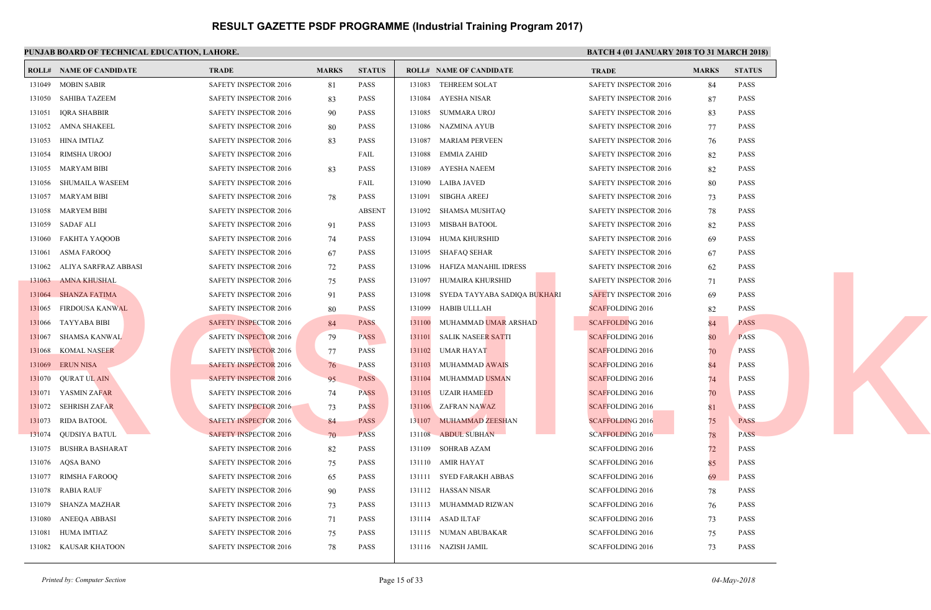#### **PUNJAB BOARD OF TECHNICAL EDUCATION LA**

|        | PUNJAB BOARD OF TECHNICAL EDUCATION, LAHORE. |                              |              |               |        |                                | <b>BAI</b>   |
|--------|----------------------------------------------|------------------------------|--------------|---------------|--------|--------------------------------|--------------|
|        | <b>ROLL# NAME OF CANDIDATE</b>               | <b>TRADE</b>                 | <b>MARKS</b> | <b>STATUS</b> |        | <b>ROLL# NAME OF CANDIDATE</b> | <b>TRAL</b>  |
|        | 131049 MOBIN SABIR                           | SAFETY INSPECTOR 2016        | 81           | <b>PASS</b>   | 131083 | <b>TEHREEM SOLAT</b>           | <b>SAFET</b> |
|        | 131050 SAHIBA TAZEEM                         | SAFETY INSPECTOR 2016        | 83           | <b>PASS</b>   | 131084 | AYESHA NISAR                   | <b>SAFET</b> |
| 131051 | <b>IQRA SHABBIR</b>                          | SAFETY INSPECTOR 2016        | 90           | <b>PASS</b>   | 131085 | SUMMARA UROJ                   | <b>SAFET</b> |
|        | 131052 AMNA SHAKEEL                          | <b>SAFETY INSPECTOR 2016</b> | 80           | <b>PASS</b>   |        | 131086 NAZMINA AYUB            | <b>SAFE1</b> |
| 131053 | HINA IMTIAZ                                  | SAFETY INSPECTOR 2016        | 83           | <b>PASS</b>   | 131087 | <b>MARIAM PERVEEN</b>          | <b>SAFE1</b> |
| 131054 | RIMSHA UROOJ                                 | SAFETY INSPECTOR 2016        |              | FAIL          | 131088 | <b>EMMIA ZAHID</b>             | <b>SAFET</b> |
|        | 131055 MARYAM BIBI                           | SAFETY INSPECTOR 2016        | 83           | <b>PASS</b>   | 131089 | AYESHA NAEEM                   | <b>SAFET</b> |
| 131056 | SHUMAILA WASEEM                              | <b>SAFETY INSPECTOR 2016</b> |              | FAIL          | 131090 | LAIBA JAVED                    | <b>SAFET</b> |
|        | 131057 MARYAM BIBI                           | SAFETY INSPECTOR 2016        | 78           | PASS          | 131091 | SIBGHA AREEJ                   | <b>SAFET</b> |
|        | 131058 MARYEM BIBI                           | SAFETY INSPECTOR 2016        |              | <b>ABSENT</b> | 131092 | SHAMSA MUSHTAQ                 | <b>SAFET</b> |
| 131059 | SADAF ALI                                    | <b>SAFETY INSPECTOR 2016</b> | 91           | <b>PASS</b>   | 131093 | MISBAH BATOOL                  | <b>SAFET</b> |
| 131060 | FAKHTA YAQOOB                                | <b>SAFETY INSPECTOR 2016</b> | 74           | <b>PASS</b>   | 131094 | HUMA KHURSHID                  | <b>SAFET</b> |
| 131061 | <b>ASMA FAROOO</b>                           | <b>SAFETY INSPECTOR 2016</b> | 67           | <b>PASS</b>   | 131095 | SHAFAO SEHAR                   | <b>SAFET</b> |
| 131062 | ALIYA SARFRAZ ABBASI                         | SAFETY INSPECTOR 2016        | 72           | <b>PASS</b>   | 131096 | HAFIZA MANAHIL IDRESS          | <b>SAFET</b> |
| 131063 | <b>AMNA KHUSHAL</b>                          | SAFETY INSPECTOR 2016        | 75           | <b>PASS</b>   | 131097 | HUMAIRA KHURSHID               | <b>SAFET</b> |
| 131064 | <b>SHANZA FATIMA</b>                         | SAFETY INSPECTOR 2016        | 91           | <b>PASS</b>   | 131098 | SYEDA TAYYABA SADIQA BUKHARI   | <b>SAFE1</b> |
| 131065 | FIRDOUSA KANWAL                              | SAFETY INSPECTOR 2016        | 80           | <b>PASS</b>   | 131099 | HABIB ULLLAH                   | <b>SCAFF</b> |
|        | 131066 TAYYABA BIBI                          | <b>SAFETY INSPECTOR 2016</b> | 84           | <b>PASS</b>   | 131100 | MUHAMMAD UMAR ARSHAD           | <b>SCAFF</b> |
|        | 131067 SHAMSA KANWAL                         | <b>SAFETY INSPECTOR 2016</b> | 79           | <b>PASS</b>   | 131101 | SALIK NASEER SATTI             | <b>SCAFF</b> |
|        | 131068 KOMAL NASEER                          | <b>SAFETY INSPECTOR 2016</b> | 77           | <b>PASS</b>   | 131102 | UMAR HAYAT                     | <b>SCAFF</b> |
|        | 131069 ERUN NISA                             | <b>SAFETY INSPECTOR 2016</b> | 76           | PASS          | 131103 | <b>MUHAMMAD AWAIS</b>          | <b>SCAFF</b> |
|        | 131070 QURAT UL AIN                          | <b>SAFETY INSPECTOR 2016</b> | 95           | <b>PASS</b>   | 131104 | MUHAMMAD USMAN                 | <b>SCAFF</b> |
|        | 131071 YASMIN ZAFAR                          | SAFETY INSPECTOR 2016        | 74           | <b>PASS</b>   | 131105 | UZAIR HAMEED                   | <b>SCAFF</b> |
|        | 131072 SEHRISH ZAFAR                         | <b>SAFETY INSPECTOR 2016</b> | 73           | <b>PASS</b>   |        | 131106 ZAFRAN NAWAZ            | <b>SCAFF</b> |
|        | 131073 RIDA BATOOL                           | <b>SAFETY INSPECTOR 2016</b> | 84           | <b>PASS</b>   |        | 131107 MUHAMMAD ZEESHAN        | <b>SCAFF</b> |
|        | 131074 QUDSIYA BATUL                         | <b>SAFETY INSPECTOR 2016</b> | 70           | <b>PASS</b>   | 131108 | <b>ABDUL SUBHAN</b>            | <b>SCAFF</b> |
| 131075 | BUSHRA BASHARAT                              | SAFETY INSPECTOR 2016        | 82           | <b>PASS</b>   | 131109 | SOHRAB AZAM                    | <b>SCAFF</b> |
|        | 131076 AQSA BANO                             | SAFETY INSPECTOR 2016        | 75           | <b>PASS</b>   | 131110 | AMIR HAYAT                     | <b>SCAFF</b> |
| 131077 | RIMSHA FAROOQ                                | <b>SAFETY INSPECTOR 2016</b> | 65           | <b>PASS</b>   |        | 131111 SYED FARAKH ABBAS       | <b>SCAFF</b> |
| 131078 | RABIA RAUF                                   | <b>SAFETY INSPECTOR 2016</b> | 90           | <b>PASS</b>   |        | 131112 HASSAN NISAR            | <b>SCAFF</b> |
| 131079 | SHANZA MAZHAR                                | SAFETY INSPECTOR 2016        | 73           | <b>PASS</b>   |        | 131113 MUHAMMAD RIZWAN         | <b>SCAFF</b> |
| 131080 | ANEEQA ABBASI                                | SAFETY INSPECTOR 2016        | 71           | PASS          |        | 131114 ASAD ILTAF              | <b>SCAFF</b> |
| 131081 | HUMA IMTIAZ                                  | SAFETY INSPECTOR 2016        | 75           | <b>PASS</b>   |        | 131115 NUMAN ABUBAKAR          | <b>SCAFF</b> |
|        | 131082 KAUSAR KHATOON                        | <b>SAFETY INSPECTOR 2016</b> | 78           | <b>PASS</b>   |        | 131116 NAZISH JAMIL            | <b>SCAFF</b> |
|        |                                              |                              |              |               |        |                                |              |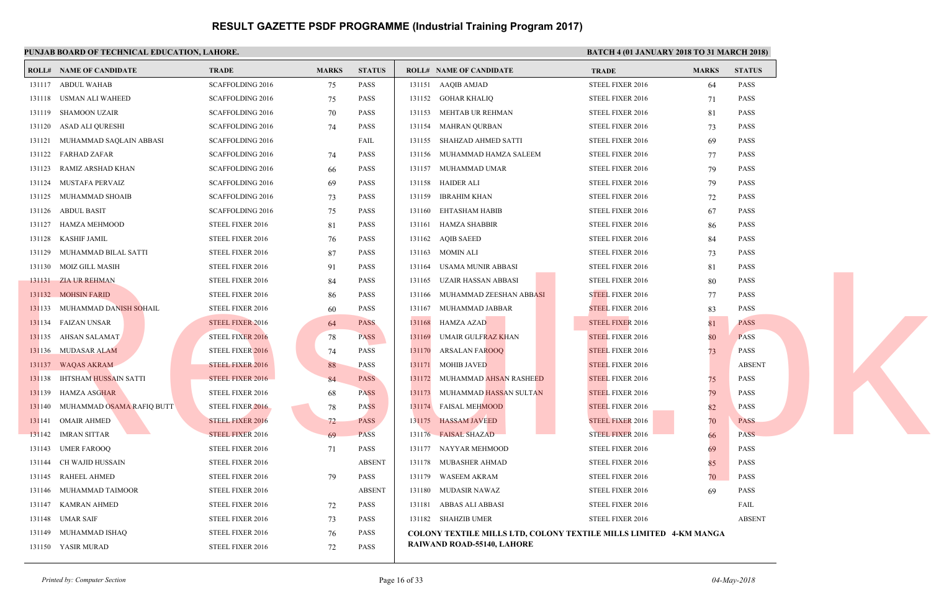#### **PUNJAB BOARD OF TECHNICAL EDUCATION, LAHORE.** BATCH 4 (01 JANUARY 2018 TO 31 MARCH 2018 TO 31 MARCH 2018 TO 31 MARCH 2018) **ROLL# NAME OF CANDIDATE TRADE MARKS STATUS ROLL# NAME OF CANDIDATE TRADE MARKS STATUS** 131117 ABDUL WAHAB SCAFFOLDING 2016 75 PASS 131118 USMAN ALI WAHEED SCAFFOLDING 2016 75 PASS 131119 SHAMOON UZAIR SCAFFOLDING 2016 70 PASS 131120 ASAD ALI QURESHI SCAFFOLDING 2016 74 PASS 131121 MUHAMMAD SAQLAIN ABBASI SCAFFOLDING 2016 FAIL 131122 FARHAD ZAFAR SCAFFOLDING 2016 74 PASS 131123 RAMIZ ARSHAD KHAN SCAFFOLDING 2016 66 PASS 131124 MUSTAFA PERVAIZ SCAFFOLDING 2016 69 PASS 131125 MUHAMMAD SHOAIB SCAFFOLDING 2016 73 PASS 131126 ABDUL BASIT SCAFFOLDING 2016 75 PASS 131127 HAMZA MEHMOOD STEEL FIXER 2016 81 PASS 131128 KASHIF JAMIL STEEL FIXER 2016 76 PASS 131129 MUHAMMAD BILAL SATTI STEEL FIXER 2016 87 PASS 131130 MOIZ GILL MASIH STEEL FIXER 2016 91 PASS 131131 ZIA UR REHMAN STEEL FIXER 2016 84 PASS 131132 MOHSIN FARID STEEL FIXER 2016 86 PASS 131133 MUHAMMAD DA<mark>NISH S</mark>OHAIL STEEL FIXER 2016 60 PASS 131134 FAIZAN UNSAR STEEL FIXER 2016 64 PASS 131135 AHSAN SALAMAT STEEL FIXER 2016 78 PASS 131136 MUDASAR ALAM STEEL FIXER 2016 74 PASS 131137 WAQAS AKRAM STEEL FIXER 2016 88 PASS 131138 IHTSHAM HUSSAIN SATTI STEEL FIXER 2016 84 PASS 131139 HAMZA ASGHAR STEEL FIXER 2016 68 PASS 131140 MUHAMMAD OSAMA RAFIQ BUTT STEEL FIXER 2016 78 PASS 131141 OMAIR AHMED STEEL FIXER 2016 72 PASS 131142 IMRAN SITTAR STEEL FIXER 2016 69 PASS 131143 UMER FAROOQ STEEL FIXER 2016 71 PASS 131144 CH WAJID HUSSAIN STEEL FIXER 2016 ABSENT 131145 RAHEEL AHMED STEEL FIXER 2016 79 PASS 131146 MUHAMMAD TAIMOOR STEEL FIXER 2016 ABSENT 131147 KAMRAN AHMED STEEL FIXER 2016 72 PASS 131148 UMAR SAIF STEEL FIXER 2016 73 PASS 131149 MUHAMMAD ISHAQ STEEL FIXER 2016 76 PASS 131150 YASIR MURAD STEEL FIXER 2016 72 PASS 131151 AAQIB AMJAD STEEL 131152 GOHAR KHALIQ STEEL 131153 MEHTAB UR REHMAN STEEL 131154 MAHRAN OURBAN STEEL 131155 SHAHZAD AHMED SATTI STEEL 131156 MUHAMMAD HAMZA SALEEM STEEL 131157 MUHAMMAD UMAR STEEL 131158 HAIDER ALI STEEL 131159 IBRAHIM KHAN STEEL 131160 EHTASHAM HABIB STEEL 131161 HAMZA SHABBIR STEEL 131162 AQIB SAEED STEEL 131163 MOMIN ALI STEEL 131164 USAMA MUNIR ABBASI STEEL 131165 UZAIR HASSAN ABBASI STEEL 131166 MUHAMMAD ZEESHAN ABBASI STEEL 131167 MUHAMMAD JABBAR STEEL 131168 HAMZA AZAD STEEL 131169 UMAIR GULFRAZ KHAN STEEL 131170 ARSALAN FAROOQ STEEL 131171 MOHIB JAVED STEEL 131172 MUHAMMAD AHSAN RASHEED STEEL 131173 MUHAMMAD HASSAN SULTAN STEEL 131174 FAISAL MEHMOOD STEEL 131175 HASSAM JAVEED STEEL 131176 FAISAL SHAZAD STEEL 131177 NAYYAR MEHMOOD STEEL 131178 MUBASHER AHMAD STEEL 131179 WASEEM AKRAM STEEL 131180 MUDASIR NAWAZ STEEL 131181 ABBAS ALI ABBASI STEEL 131182 SHAHZIB UMER STEEL **COLONY TEXTILE MILLS LTD, COLONY TEXTILE M RAIWAND ROAD-55140, LAHORE** 31119 MOZGILL MASHI<br>
13119 MOZGILL MASHI<br>
13119 MOZGILL MASHI<br>
13119 MORAMAMAD DANISH SOHAIL<br>
13119 MORAMAMAD DANISH SOHAIL<br>
13119 MUANSAR ALAM<br>
13119 MUANSAR ALAM<br>
13119 MUANSAR ALAM<br>
13119 MUANSAR ALAM<br>
13119 MUANSAR ALA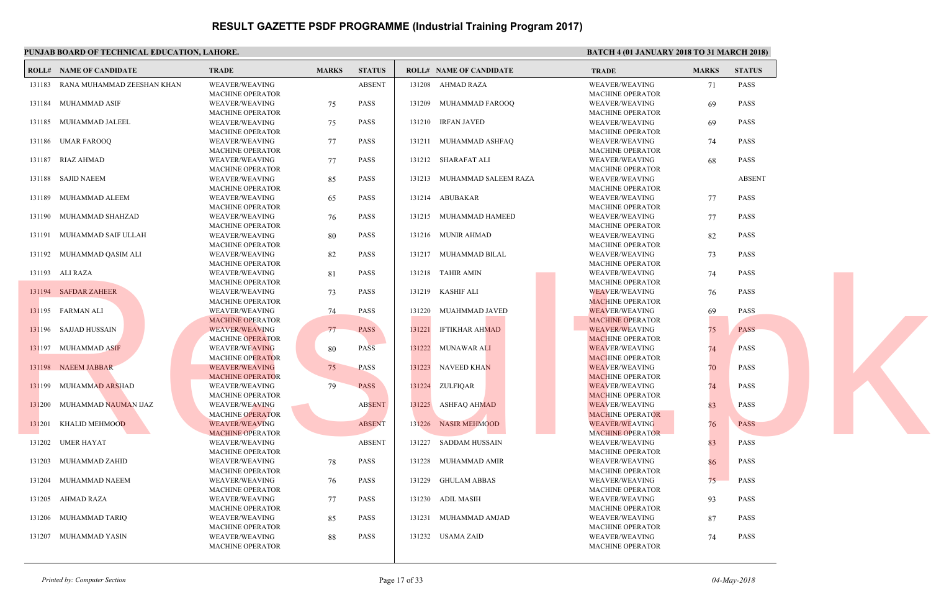|                 | PUNJAB BOARD OF TECHNICAL EDUCATION, LAHORE. |                         |              |               |        |                                | <b>BATC</b> |
|-----------------|----------------------------------------------|-------------------------|--------------|---------------|--------|--------------------------------|-------------|
|                 | <b>ROLL# NAME OF CANDIDATE</b>               | <b>TRADE</b>            | <b>MARKS</b> | <b>STATUS</b> |        | <b>ROLL# NAME OF CANDIDATE</b> | <b>TRAL</b> |
| 131183          | RANA MUHAMMAD ZEESHAN KHAN                   | <b>WEAVER/WEAVING</b>   |              | <b>ABSENT</b> |        | 131208 AHMAD RAZA              | WEAV        |
|                 |                                              | <b>MACHINE OPERATOR</b> |              |               |        |                                | <b>MACH</b> |
|                 | 131184 MUHAMMAD ASIF                         | WEAVER/WEAVING          | 75           | <b>PASS</b>   |        | 131209 MUHAMMAD FAROOQ         | WEAV        |
|                 |                                              | <b>MACHINE OPERATOR</b> |              |               |        |                                | <b>MACH</b> |
|                 | 131185 MUHAMMAD JALEEL                       | WEAVER/WEAVING          | 75           | PASS          |        | 131210 IRFAN JAVED             | WEAV        |
|                 |                                              | <b>MACHINE OPERATOR</b> |              |               |        |                                | <b>MACH</b> |
|                 | 131186 UMAR FAROOQ                           | WEAVER/WEAVING          | 77           | PASS          |        | 131211 MUHAMMAD ASHFAQ         | WEAV        |
|                 |                                              | <b>MACHINE OPERATOR</b> |              |               |        |                                | <b>MACH</b> |
|                 | 131187 RIAZ AHMAD                            | <b>WEAVER/WEAVING</b>   | 77           | <b>PASS</b>   |        | 131212 SHARAFAT ALI            | WEAV        |
|                 |                                              | MACHINE OPERATOR        |              |               |        |                                | <b>MACH</b> |
|                 | 131188 SAJID NAEEM                           | WEAVER/WEAVING          | 85           | <b>PASS</b>   |        | 131213 MUHAMMAD SALEEM RAZA    | WEAV        |
|                 |                                              | MACHINE OPERATOR        |              |               |        |                                | <b>MACH</b> |
|                 | 131189 MUHAMMAD ALEEM                        | <b>WEAVER/WEAVING</b>   | 65           | <b>PASS</b>   |        | 131214 ABUBAKAR                | WEAV        |
|                 |                                              | <b>MACHINE OPERATOR</b> |              |               |        |                                | <b>MACH</b> |
|                 | 131190 MUHAMMAD SHAHZAD                      | <b>WEAVER/WEAVING</b>   | 76           | <b>PASS</b>   |        | 131215 MUHAMMAD HAMEED         | WEAV        |
|                 |                                              | <b>MACHINE OPERATOR</b> |              |               |        |                                | <b>MACH</b> |
|                 | 131191 MUHAMMAD SAIF ULLAH                   | WEAVER/WEAVING          | 80           | <b>PASS</b>   |        | 131216 MUNIR AHMAD             | WEAV        |
|                 |                                              | <b>MACHINE OPERATOR</b> |              |               |        |                                | <b>MACH</b> |
|                 | 131192 MUHAMMAD QASIM ALI                    | WEAVER/WEAVING          | 82           | <b>PASS</b>   |        | 131217 MUHAMMAD BILAL          | WEAV        |
|                 |                                              | <b>MACHINE OPERATOR</b> |              |               |        |                                | <b>MACH</b> |
| 131193 ALI RAZA |                                              | <b>WEAVER/WEAVING</b>   | 81           | <b>PASS</b>   |        | 131218 TAHIR AMIN              | <b>WEAV</b> |
|                 |                                              | MACHINE OPERATOR        |              |               |        |                                | <b>MACH</b> |
|                 | 131194 SAFDAR ZAHEER                         | <b>WEAVER/WEAVING</b>   | 73           | PASS          |        | 131219 KASHIF ALI              | <b>WEAV</b> |
|                 |                                              | <b>MACHINE OPERATOR</b> |              |               |        |                                | <b>MACF</b> |
|                 | 131195 FARMAN ALI                            | WEAVER/WEAVING          | 74           | <b>PASS</b>   |        | 131220 MUAHMMAD JAVED          | <b>WEAV</b> |
|                 |                                              | <b>MACHINE OPERATOR</b> |              |               |        |                                | <b>MACH</b> |
|                 | 131196 SAJJAD HUSSAIN                        | <b>WEAVER/WEAVING</b>   | 77           | <b>PASS</b>   | 131221 | IFTIKHAR AHMAD                 | WEAV        |
|                 |                                              | <b>MACHINE OPERATOR</b> |              |               |        |                                | <b>MACH</b> |
|                 | 131197 MUHAMMAD ASIF                         | <b>WEAVER/WEAVING</b>   | 80           | <b>PASS</b>   |        | 131222 MUNAWAR ALI             | <b>WEAV</b> |
|                 |                                              | <b>MACHINE OPERATOR</b> |              |               |        |                                | <b>MACF</b> |
|                 | 131198 NAEEM JABBAR                          | <b>WEAVER/WEAVING</b>   | 75           | <b>PASS</b>   |        | 131223 NAVEED KHAN             | <b>WEAV</b> |
|                 |                                              | <b>MACHINE OPERATOR</b> |              |               |        |                                | <b>MACF</b> |
|                 | 131199 MUHAMMAD ARSHAD                       | <b>WEAVER/WEAVING</b>   | 79           | <b>PASS</b>   |        | 131224 ZULFIQAR                | WEAV        |
|                 |                                              | <b>MACHINE OPERATOR</b> |              |               |        |                                | <b>MACE</b> |
|                 | 131200 MUHAMMAD NAUMAN IJAZ                  | <b>WEAVER/WEAVING</b>   |              | <b>ABSENT</b> |        | 131225 ASHFAQ AHMAD            | WEAV        |
|                 |                                              | <b>MACHINE OPERATOR</b> |              |               |        |                                | <b>MACH</b> |
| 131201          | KHALID MEHMOOD                               | <b>WEAVER/WEAVING</b>   |              | <b>ABSENT</b> |        | 131226 NASIR MEHMOOD           | WEAV        |
|                 |                                              | <b>MACHINE OPERATOR</b> |              |               |        |                                | <b>MACH</b> |
| 131202          | UMER HAYAT                                   | <b>WEAVER/WEAVING</b>   |              | <b>ABSENT</b> |        | 131227 SADDAM HUSSAIN          | WEAV        |
|                 |                                              | <b>MACHINE OPERATOR</b> |              |               |        |                                | <b>MACH</b> |
| 131203          | MUHAMMAD ZAHID                               | <b>WEAVER/WEAVING</b>   | 78           | <b>PASS</b>   | 131228 | MUHAMMAD AMIR                  | WEAV        |
|                 |                                              | <b>MACHINE OPERATOR</b> |              |               |        |                                | <b>MACH</b> |
|                 | 131204 MUHAMMAD NAEEM                        | <b>WEAVER/WEAVING</b>   | 76           | <b>PASS</b>   |        | 131229 GHULAM ABBAS            | WEAV        |
|                 |                                              | <b>MACHINE OPERATOR</b> |              |               |        |                                | <b>MACH</b> |
|                 | 131205 AHMAD RAZA                            | WEAVER/WEAVING          | 77           | <b>PASS</b>   |        | 131230 ADIL MASIH              | WEAV        |
|                 |                                              | <b>MACHINE OPERATOR</b> |              |               |        |                                | <b>MACH</b> |
| 131206          | MUHAMMAD TARIQ                               | <b>WEAVER/WEAVING</b>   | 85           | <b>PASS</b>   | 131231 | MUHAMMAD AMJAD                 | WEAV        |
|                 |                                              | <b>MACHINE OPERATOR</b> |              |               |        |                                | <b>MACH</b> |
|                 | 131207 MUHAMMAD YASIN                        | WEAVER/WEAVING          | 88           | <b>PASS</b>   |        | 131232 USAMA ZAID              | WEAV        |
|                 |                                              | MACHINE OPERATOR        |              |               |        |                                | <b>MACH</b> |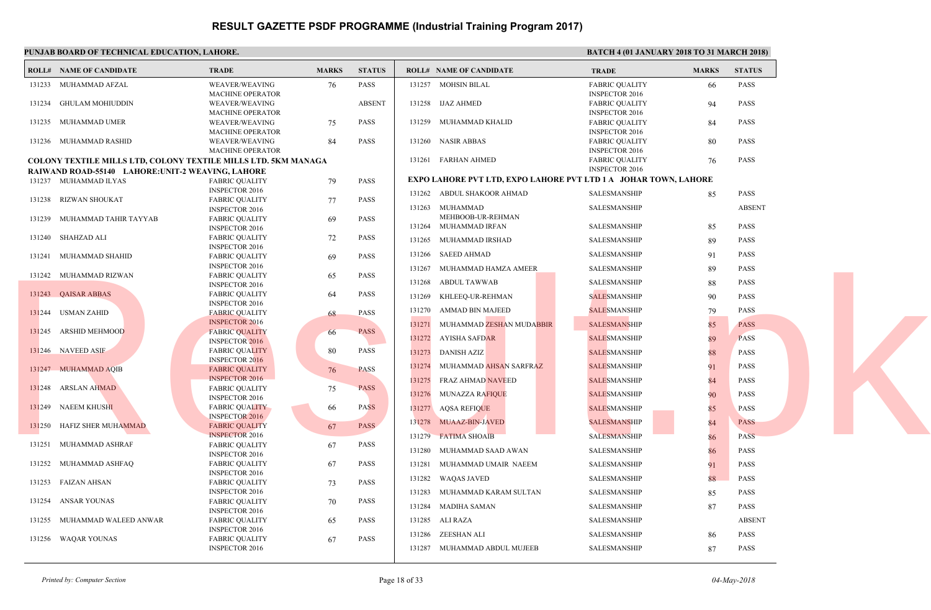|        | PUNJAB BOARD OF TECHNICAL EDUCATION, LAHORE.                          |                         |              |               |        |                                                   | <b>BATC</b>  |
|--------|-----------------------------------------------------------------------|-------------------------|--------------|---------------|--------|---------------------------------------------------|--------------|
|        | <b>ROLL# NAME OF CANDIDATE</b>                                        | <b>TRADE</b>            | <b>MARKS</b> | <b>STATUS</b> |        | <b>ROLL# NAME OF CANDIDATE</b>                    | <b>TRAL</b>  |
|        | 131233 MUHAMMAD AFZAL                                                 | <b>WEAVER/WEAVING</b>   | 76           | <b>PASS</b>   |        | 131257 MOHSIN BILAL                               | FABRI        |
|        |                                                                       | MACHINE OPERATOR        |              |               |        |                                                   | <b>INSPE</b> |
|        | 131234 GHULAM MOHIUDDIN                                               | WEAVER/WEAVING          |              | <b>ABSENT</b> |        | 131258 IJAZ AHMED                                 | <b>FABRI</b> |
|        |                                                                       | <b>MACHINE OPERATOR</b> |              |               |        |                                                   | <b>INSPE</b> |
|        | 131235 MUHAMMAD UMER                                                  | WEAVER/WEAVING          | 75           | <b>PASS</b>   |        | 131259 MUHAMMAD KHALID                            | <b>FABRI</b> |
|        |                                                                       | <b>MACHINE OPERATOR</b> |              |               |        |                                                   | <b>INSPE</b> |
|        | 131236 MUHAMMAD RASHID                                                | <b>WEAVER/WEAVING</b>   | 84           | <b>PASS</b>   |        | 131260 NASIR ABBAS                                | <b>FABRI</b> |
|        |                                                                       | MACHINE OPERATOR        |              |               |        |                                                   | <b>INSPE</b> |
|        | <b>COLONY TEXTILE MILLS LTD, COLONY TEXTILE MILLS LTD. 5KM MANAGA</b> |                         |              |               |        | 131261 FARHAN AHMED                               | <b>FABRI</b> |
|        | RAIWAND ROAD-55140 LAHORE: UNIT-2 WEAVING, LAHORE                     |                         |              |               |        |                                                   | <b>INSPE</b> |
|        |                                                                       |                         |              |               |        | <b>EXPO LAHORE PVT LTD, EXPO LAHORE PVT LTD 1</b> |              |
|        | 131237 MUHAMMAD ILYAS                                                 | <b>FABRIC QUALITY</b>   | 79           | <b>PASS</b>   |        |                                                   |              |
|        |                                                                       | <b>INSPECTOR 2016</b>   |              |               |        | 131262 ABDUL SHAKOOR AHMAD                        | <b>SALES</b> |
|        | 131238 RIZWAN SHOUKAT                                                 | <b>FABRIC QUALITY</b>   | 77           | <b>PASS</b>   |        |                                                   | <b>SALES</b> |
|        |                                                                       | <b>INSPECTOR 2016</b>   |              |               |        | 131263 MUHAMMAD                                   |              |
|        | 131239 MUHAMMAD TAHIR TAYYAB                                          | <b>FABRIC QUALITY</b>   | 69           | <b>PASS</b>   |        | MEHBOOB-UR-REHMAN                                 |              |
|        |                                                                       | <b>INSPECTOR 2016</b>   |              |               |        | 131264 MUHAMMAD IRFAN                             | <b>SALES</b> |
|        | 131240 SHAHZAD ALI                                                    | <b>FABRIC QUALITY</b>   | 72           | <b>PASS</b>   | 131265 | MUHAMMAD IRSHAD                                   | <b>SALES</b> |
|        |                                                                       | <b>INSPECTOR 2016</b>   |              |               |        |                                                   |              |
|        | 131241 MUHAMMAD SHAHID                                                | <b>FABRIC OUALITY</b>   | 69           | <b>PASS</b>   |        | 131266 SAEED AHMAD                                | <b>SALES</b> |
|        |                                                                       | <b>INSPECTOR 2016</b>   |              |               | 131267 | MUHAMMAD HAMZA AMEER                              | <b>SALES</b> |
|        | 131242 MUHAMMAD RIZWAN                                                | <b>FABRIC QUALITY</b>   | 65           | <b>PASS</b>   |        |                                                   |              |
|        |                                                                       | <b>INSPECTOR 2016</b>   |              |               |        | 131268 ABDUL TAWWAB                               | <b>SALES</b> |
|        | 131243 QAISAR ABBAS                                                   | <b>FABRIC QUALITY</b>   | 64           | <b>PASS</b>   |        |                                                   |              |
|        |                                                                       | <b>INSPECTOR 2016</b>   |              |               | 131269 | KHLEEQ-UR-REHMAN                                  | <b>SALES</b> |
|        | 131244 USMAN ZAHID                                                    |                         |              | <b>PASS</b>   | 131270 | AMMAD BIN MAJEED                                  | <b>SALES</b> |
|        |                                                                       | <b>FABRIC QUALITY</b>   | 68           |               |        |                                                   |              |
|        |                                                                       | <b>INSPECTOR 2016</b>   |              |               | 131271 | MUHAMMAD ZESHAN MUDABBIR                          | <b>SALES</b> |
|        | 131245 ARSHID MEHMOOD                                                 | <b>FABRIC QUALITY</b>   | 66           | <b>PASS</b>   | 131272 | AYISHA SAFDAR                                     | <b>SALES</b> |
|        |                                                                       | <b>INSPECTOR 2016</b>   |              |               |        |                                                   |              |
|        | 131246 NAVEED ASIF                                                    | <b>FABRIC QUALITY</b>   | 80           | <b>PASS</b>   | 131273 | <b>DANISH AZIZ</b>                                | <b>SALES</b> |
|        |                                                                       | <b>INSPECTOR 2016</b>   |              |               |        |                                                   |              |
|        | 131247 MUHAMMAD AQIB                                                  | <b>FABRIC QUALITY</b>   | 76           | <b>PASS</b>   | 131274 | MUHAMMAD AHSAN SARFRAZ                            | <b>SALES</b> |
|        |                                                                       | <b>INSPECTOR 2016</b>   |              |               | 131275 | FRAZ AHMAD NAVEED                                 | <b>SALES</b> |
|        | 131248 ARSLAN AHMAD                                                   | <b>FABRIC QUALITY</b>   | 75           | <b>PASS</b>   |        |                                                   |              |
|        |                                                                       | <b>INSPECTOR 2016</b>   |              |               |        | 131276 MUNAZZA RAFIQUE                            | <b>SALES</b> |
|        | 131249 NAEEM KHUSHI                                                   | <b>FABRIC QUALITY</b>   | 66           | <b>PASS</b>   | 131277 | AQSA REFIQUE                                      | <b>SALES</b> |
|        |                                                                       | <b>INSPECTOR 2016</b>   |              |               |        |                                                   |              |
| 131250 | HAFIZ SHER MUHAMMAD                                                   | <b>FABRIC QUALITY</b>   | 67           | <b>PASS</b>   |        | 131278 MUAAZ-BIN-JAVED                            | <b>SALES</b> |
|        |                                                                       | <b>INSPECTOR 2016</b>   |              |               | 131279 | <b>FATIMA SHOAIB</b>                              | <b>SALES</b> |
| 131251 | MUHAMMAD ASHRAF                                                       |                         |              | <b>PASS</b>   |        |                                                   |              |
|        |                                                                       | <b>FABRIC QUALITY</b>   | 67           |               | 131280 | MUHAMMAD SAAD AWAN                                | <b>SALES</b> |
|        |                                                                       | <b>INSPECTOR 2016</b>   |              |               |        |                                                   |              |
|        | 131252 MUHAMMAD ASHFAQ                                                | <b>FABRIC QUALITY</b>   | 67           | <b>PASS</b>   | 131281 | MUHAMMAD UMAIR NAEEM                              | <b>SALES</b> |
|        |                                                                       | <b>INSPECTOR 2016</b>   |              |               | 131282 | <b>WAQAS JAVED</b>                                | <b>SALES</b> |
|        | 131253 FAIZAN AHSAN                                                   | <b>FABRIC QUALITY</b>   | 73           | <b>PASS</b>   |        |                                                   |              |
|        |                                                                       | <b>INSPECTOR 2016</b>   |              |               | 131283 | MUHAMMAD KARAM SULTAN                             | <b>SALES</b> |
|        | 131254 ANSAR YOUNAS                                                   | <b>FABRIC QUALITY</b>   | 70           | <b>PASS</b>   |        |                                                   |              |
|        |                                                                       | <b>INSPECTOR 2016</b>   |              |               |        | 131284 MADIHA SAMAN                               | <b>SALES</b> |
|        | 131255 MUHAMMAD WALEED ANWAR                                          | <b>FABRIC QUALITY</b>   | 65           | <b>PASS</b>   |        | 131285 ALI RAZA                                   | <b>SALES</b> |
|        |                                                                       | <b>INSPECTOR 2016</b>   |              |               |        |                                                   |              |
|        | 131256 WAQAR YOUNAS                                                   | <b>FABRIC QUALITY</b>   | 67           | <b>PASS</b>   | 131286 | ZEESHAN ALI                                       | <b>SALES</b> |
|        |                                                                       |                         |              |               |        |                                                   |              |
|        |                                                                       | <b>INSPECTOR 2016</b>   |              |               |        | 131287 MUHAMMAD ABDUL MUJEEB                      | <b>SALES</b> |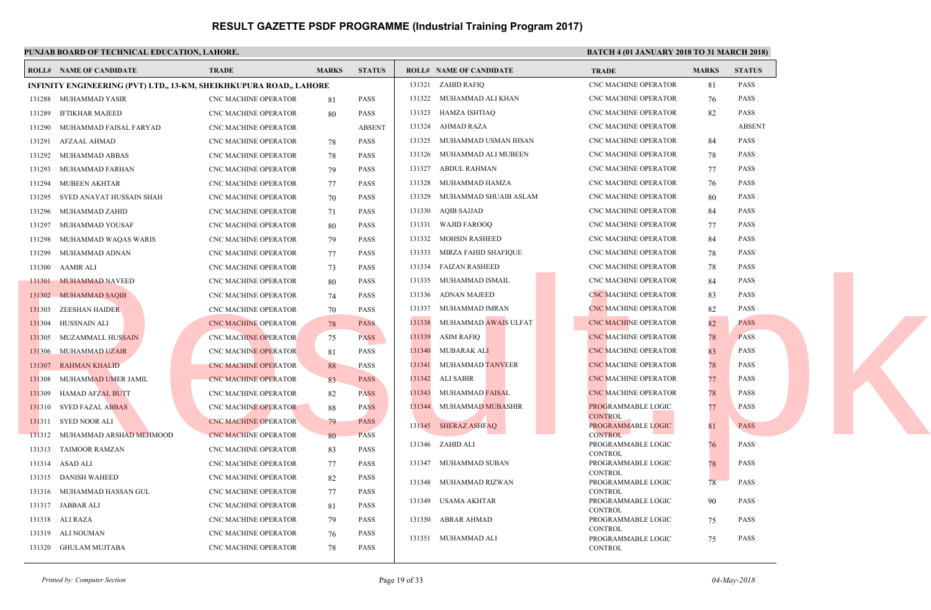|        | PUNJAB BOARD OF TECHNICAL EDUCATION, LAHORE.                       |                             |              |               |        |                                | <b>BATC</b>                |
|--------|--------------------------------------------------------------------|-----------------------------|--------------|---------------|--------|--------------------------------|----------------------------|
|        | <b>ROLL# NAME OF CANDIDATE</b>                                     | <b>TRADE</b>                | <b>MARKS</b> | <b>STATUS</b> |        | <b>ROLL# NAME OF CANDIDATE</b> | <b>TRAL</b>                |
|        | INFINITY ENGINEERING (PVT) LTD., 13-KM, SHEIKHKUPURA ROAD., LAHORE |                             |              |               |        | 131321 ZAHID RAFIO             | CNC <sub>N</sub>           |
|        | 131288 MUHAMMAD YASIR                                              | <b>CNC MACHINE OPERATOR</b> | 81           | <b>PASS</b>   | 131322 | MUHAMMAD ALI KHAN              | CNC <sub>N</sub>           |
| 131289 | IFTIKHAR MAJEED                                                    | <b>CNC MACHINE OPERATOR</b> | 80           | <b>PASS</b>   | 131323 | HAMZA ISHTIAQ                  | CNC <sub>N</sub>           |
| 131290 | MUHAMMAD FAISAL FARYAD                                             | CNC MACHINE OPERATOR        |              | <b>ABSENT</b> | 131324 | AHMAD RAZA                     | CNC <sub>N</sub>           |
| 131291 | AFZAAL AHMAD                                                       | CNC MACHINE OPERATOR        | 78           | <b>PASS</b>   | 131325 | MUHAMMAD USMAN IHSAN           | CNC <sub>N</sub>           |
|        | 131292 MUHAMMAD ABBAS                                              | CNC MACHINE OPERATOR        | 78           | <b>PASS</b>   | 131326 | MUHAMMAD ALI MUBEEN            | CNC <sub>N</sub>           |
|        | 131293 MUHAMMAD FARHAN                                             | CNC MACHINE OPERATOR        | 79           | <b>PASS</b>   | 131327 | ABDUL RAHMAN                   | CNC <sub>N</sub>           |
|        | 131294 MUBEEN AKHTAR                                               | CNC MACHINE OPERATOR        | 77           | <b>PASS</b>   | 131328 | MUHAMMAD HAMZA                 | CNC <sub>N</sub>           |
| 131295 | SYED ANAYAT HUSSAIN SHAH                                           | CNC MACHINE OPERATOR        | 70           | PASS          | 131329 | MUHAMMAD SHUAIB ASLAM          | CNC <sub>N</sub>           |
| 131296 | MUHAMMAD ZAHID                                                     | <b>CNC MACHINE OPERATOR</b> | 71           | <b>PASS</b>   | 131330 | AQIB SAJJAD                    | CNC <sub>N</sub>           |
| 131297 | MUHAMMAD YOUSAF                                                    | <b>CNC MACHINE OPERATOR</b> | 80           | <b>PASS</b>   | 131331 | <b>WAJID FAROOO</b>            | CNC <sub>N</sub>           |
| 131298 | MUHAMMAD WAQAS WARIS                                               | CNC MACHINE OPERATOR        | 79           | <b>PASS</b>   | 131332 | <b>MOHSIN RASHEED</b>          | CNC <sub>N</sub>           |
| 131299 | MUHAMMAD ADNAN                                                     | CNC MACHINE OPERATOR        | 77           | PASS          | 131333 | MIRZA FAHID SHAFIQUE           | CNC <sub>N</sub>           |
| 131300 | AAMIR ALI                                                          | CNC MACHINE OPERATOR        | 73           | <b>PASS</b>   | 131334 | FAIZAN RASHEED                 | CNC <sub>N</sub>           |
|        | 131301 MUHAMMAD NAVEED                                             | CNC MACHINE OPERATOR        | 80           | <b>PASS</b>   | 131335 | MUHAMMAD ISMAIL                | CNC <sub>N</sub>           |
|        | 131302 MUHAMMAD SAQIB                                              | CNC MACHINE OPERATOR        | 74           | PASS          | 131336 | ADNAN MAJEED                   | <b>CNC M</b>               |
| 131303 | ZEESHAN HAIDE <mark>R</mark>                                       | CNC MACHINE OPERATOR        | 70           | PASS          | 131337 | MUHAMMAD IMRAN                 | CNC <sub>N</sub>           |
| 131304 | HUSSNAIN ALI                                                       | CNC MACHINE OPERATOR        | 78           | <b>PASS</b>   | 131338 | MUHAMMAD AWAIS ULFAT           | CNC <sub>N</sub>           |
| 131305 | MUZAMMALL HUSSAIN                                                  | <b>CNC MACHINE OPERATOR</b> | 75           | <b>PASS</b>   | 131339 | <b>ASIM RAFIQ</b>              | CNC <sub>N</sub>           |
|        | 131306 MUHAMMAD UZAIR                                              | <b>CNC MACHINE OPERATOR</b> | -81          | <b>PASS</b>   | 131340 | MUBARAK ALI                    | <b>CNC M</b>               |
| 131307 | <b>RAHMAN KHALID</b>                                               | <b>CNC MACHINE OPERATOR</b> | 88           | <b>PASS</b>   | 131341 | MUHAMMAD TANVEER               | CNC <sub>N</sub>           |
| 131308 | MUHAMMAD UMER JAMIL                                                | <b>CNC MACHINE OPERATOR</b> | 83           | <b>PASS</b>   | 131342 | ALI SABIR                      | CNC <sub>N</sub>           |
| 131309 | HAMAD AFZAL BUTT                                                   | <b>CNC MACHINE OPERATOR</b> | 82           | <b>PASS</b>   | 131343 | MUHAMMAD FAISAL                | <b>CNC M</b>               |
|        | 131310 SYED FAZAL ABBAS                                            | <b>CNC MACHINE OPERATOR</b> | 88           | <b>PASS</b>   |        | 131344 MUHAMMAD MUBASHIR       | <b>PROG</b>                |
| 131311 | SYED NOOR ALI                                                      | <b>CNC MACHINE OPERATOR</b> | 79           | <b>PASS</b>   |        |                                | <b>CONT</b>                |
|        | 131312 MUHAMMAD ARSHAD MEHMOOD                                     | <b>CNC MACHINE OPERATOR</b> | 80           | <b>PASS</b>   |        | 131345 SHERAZ ASHFAQ           | <b>PROG</b><br><b>CONT</b> |
| 131313 | <b>TAIMOOR RAMZAN</b>                                              | <b>CNC MACHINE OPERATOR</b> | 83           | <b>PASS</b>   |        | 131346 ZAHID ALI               | <b>PROG</b>                |
|        | 131314 ASAD ALI                                                    | CNC MACHINE OPERATOR        | 77           | <b>PASS</b>   | 131347 | MUHAMMAD SUBAN                 | <b>CONT</b><br><b>PROG</b> |
| 131315 | DANISH WAHEED                                                      | CNC MACHINE OPERATOR        | 82           | <b>PASS</b>   |        |                                | CONT.                      |
|        | 131316 MUHAMMAD HASSAN GUL                                         | <b>CNC MACHINE OPERATOR</b> | 77           | <b>PASS</b>   |        | 131348 MUHAMMAD RIZWAN         | <b>PROG</b><br><b>CONT</b> |
|        | 131317 JABBAR ALI                                                  | CNC MACHINE OPERATOR        | 81           | <b>PASS</b>   |        | 131349 USAMA AKHTAR            | <b>PROG</b>                |
|        | 131318 ALI RAZA                                                    | CNC MACHINE OPERATOR        | -79          | <b>PASS</b>   | 131350 | ABRAR AHMAD                    | <b>CONT</b><br>PROG!       |
|        | 131319 ALI NOUMAN                                                  | CNC MACHINE OPERATOR        | 76           | <b>PASS</b>   |        |                                | <b>CONT</b>                |
|        | 131320 GHULAM MUJTABA                                              | <b>CNC MACHINE OPERATOR</b> | 78           | <b>PASS</b>   |        | 131351 MUHAMMAD ALI            | PROG!<br><b>CONT</b>       |
|        |                                                                    |                             |              |               |        |                                |                            |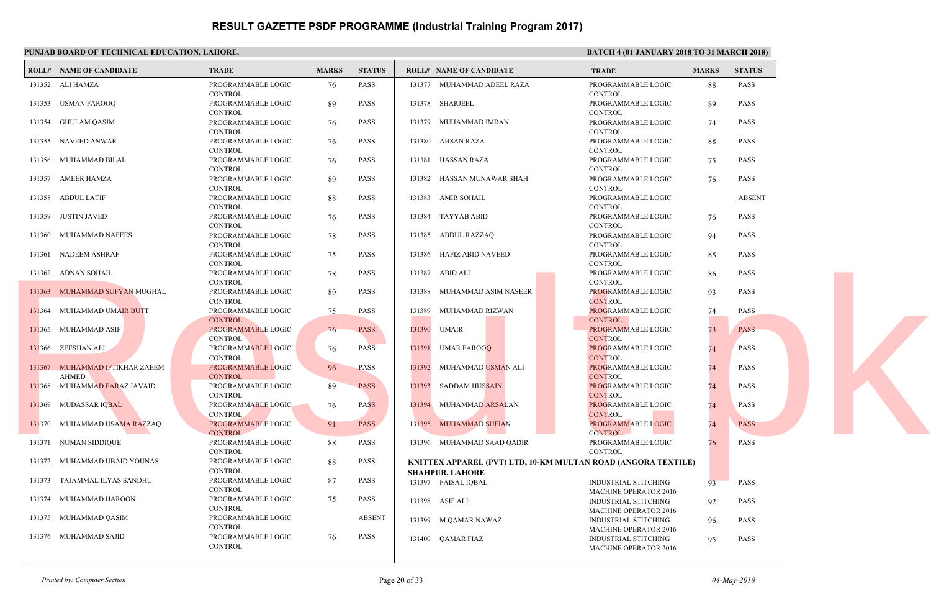|        | PUNJAB BOARD OF TECHNICAL EDUCATION, LAHORE.   |                                      |              |               |                        |                                             | <b>BATC</b>                 |
|--------|------------------------------------------------|--------------------------------------|--------------|---------------|------------------------|---------------------------------------------|-----------------------------|
|        | <b>ROLL# NAME OF CANDIDATE</b>                 | <b>TRADE</b>                         | <b>MARKS</b> | <b>STATUS</b> |                        | <b>ROLL# NAME OF CANDIDATE</b>              | <b>TRAL</b>                 |
|        | 131352 ALI HAMZA                               | PROGRAMMABLE LOGIC<br><b>CONTROL</b> | 76           | PASS          |                        | 131377 MUHAMMAD ADEEL RAZA                  | <b>PROG</b><br><b>CONT</b>  |
|        | 131353 USMAN FAROOQ                            | PROGRAMMABLE LOGIC<br><b>CONTROL</b> | 89           | PASS          | 131378 SHARJEEL        |                                             | <b>PROGI</b><br><b>CONT</b> |
|        | 131354 GHULAM QASIM                            | PROGRAMMABLE LOGIC<br><b>CONTROL</b> | 76           | PASS          |                        | 131379 MUHAMMAD IMRAN                       | <b>PROG</b><br><b>CONT</b>  |
|        | 131355 NAVEED ANWAR                            | PROGRAMMABLE LOGIC<br><b>CONTROL</b> | 76           | PASS          | 131380 AHSAN RAZA      |                                             | PROGI<br><b>CONT</b>        |
|        | 131356 MUHAMMAD BILAL                          | PROGRAMMABLE LOGIC<br><b>CONTROL</b> | 76           | <b>PASS</b>   | 131381 HASSAN RAZA     |                                             | <b>PROG</b><br><b>CONT</b>  |
| 131357 | AMEER HAMZA                                    | PROGRAMMABLE LOGIC<br><b>CONTROL</b> | 89           | <b>PASS</b>   | 131382                 | HASSAN MUNAWAR SHAH                         | PROGI<br><b>CONT</b>        |
|        | 131358 ABDUL LATIF                             | PROGRAMMABLE LOGIC<br><b>CONTROL</b> | 88           | PASS          | 131383 AMIR SOHAIL     |                                             | PROGI<br><b>CONT</b>        |
|        | 131359 JUSTIN JAVED                            | PROGRAMMABLE LOGIC<br><b>CONTROL</b> | 76           | PASS          | 131384 TAYYAB ABID     |                                             | <b>PROG</b><br><b>CONT</b>  |
| 131360 | MUHAMMAD NAFEES                                | PROGRAMMABLE LOGIC<br><b>CONTROL</b> | 78           | <b>PASS</b>   | 131385                 | ABDUL RAZZAQ                                | PROGI<br><b>CONT</b>        |
|        | 131361 NADEEM ASHRAF                           | PROGRAMMABLE LOGIC<br><b>CONTROL</b> | 75           | PASS          |                        | 131386 HAFIZ ABID NAVEED                    | <b>PROG</b><br><b>CONT</b>  |
|        | 131362 ADNAN SOHAIL                            | PROGRAMMABLE LOGIC<br><b>CONTROL</b> | 78           | PASS          | 131387 ABID ALI        |                                             | <b>PROGI</b><br><b>CONT</b> |
|        | 131363 MUHAMMAD SUFYAN MUGHAL                  | PROGRAMMABLE LOGIC<br><b>CONTROL</b> | 89           | <b>PASS</b>   |                        | 131388 MUHAMMAD ASIM NASEER                 | <b>PROG</b><br><b>CONT</b>  |
|        | 131364 MUHAMMAD UMAIR BUTT                     | PROGRAMMABLE LOGIC<br>CONTROL        | 75           | <b>PASS</b>   | 131389                 | MUHAMMAD RIZWAN                             | PROG!<br><b>CONT</b>        |
|        | 131365 MUHAMMAD ASIF                           | PROGRAMMABLE LOGIC<br><b>CONTROL</b> | 76           | <b>PASS</b>   | 131390<br>UMAIR        |                                             | <b>PROG</b><br><b>CONT</b>  |
|        | 131366 ZEESHAN ALI                             | PROGRAMMABLE LOGIC<br><b>CONTROL</b> | 76           | <b>PASS</b>   | 131391 UMAR FAROOQ     |                                             | PROG!<br><b>CONT</b>        |
|        | 131367 MUHAMMAD IFTIKHAR ZAEEM<br><b>AHMED</b> | PROGRAMMABLE LOGIC<br><b>CONTROL</b> | 96           | <b>PASS</b>   |                        | 131392 MUHAMMAD USMAN ALI                   | <b>PROG</b><br><b>CONT</b>  |
|        | 131368 MUHAMMAD FARAZ JAVAID                   | PROGRAMMABLE LOGIC<br><b>CONTROL</b> | 89           | <b>PASS</b>   |                        | 131393 SADDAM HUSSAIN                       | PROG!<br><b>CONT</b>        |
|        | 131369 MUDASSAR IQBAL                          | PROGRAMMABLE LOGIC<br><b>CONTROL</b> | 76           | <b>PASS</b>   |                        | 131394 MUHAMMAD ARSALAN                     | <b>PROGI</b><br><b>CONT</b> |
|        | 131370 MUHAMMAD USAMA RAZZAQ                   | PROGRAMMABLE LOGIC<br><b>CONTROL</b> | 91           | <b>PASS</b>   |                        | 131395 MUHAMMAD SUFIAN                      | <b>PROG</b><br><b>CONT</b>  |
|        | 131371 NUMAN SIDDIQUE                          | PROGRAMMABLE LOGIC<br><b>CONTROL</b> | 88           | <b>PASS</b>   |                        | 131396 MUHAMMAD SAAD QADIR                  | PROG!<br><b>CONT</b>        |
|        | 131372 MUHAMMAD UBAID YOUNAS                   | PROGRAMMABLE LOGIC<br><b>CONTROL</b> | 88           | <b>PASS</b>   | <b>SHAHPUR, LAHORE</b> | KNITTEX APPAREL (PVT) LTD, 10-KM MULTAN ROA |                             |
|        | 131373 TAJAMMAL ILYAS SANDHU                   | PROGRAMMABLE LOGIC<br><b>CONTROL</b> | 87           | <b>PASS</b>   | 131397 FAISAL IQBAL    |                                             | <b>INDUS</b><br><b>MACH</b> |
|        | 131374 MUHAMMAD HAROON                         | PROGRAMMABLE LOGIC<br><b>CONTROL</b> | 75           | <b>PASS</b>   | 131398 ASIF ALI        |                                             | <b>INDUS</b><br><b>MACH</b> |
|        | 131375 MUHAMMAD QASIM                          | PROGRAMMABLE LOGIC<br><b>CONTROL</b> |              | <b>ABSENT</b> |                        | 131399 M QAMAR NAWAZ                        | <b>INDUS</b><br><b>MACH</b> |
|        | 131376 MUHAMMAD SAJID                          | PROGRAMMABLE LOGIC<br><b>CONTROL</b> | 76           | <b>PASS</b>   | 131400 OAMAR FIAZ      |                                             | <b>INDUS</b><br><b>MACH</b> |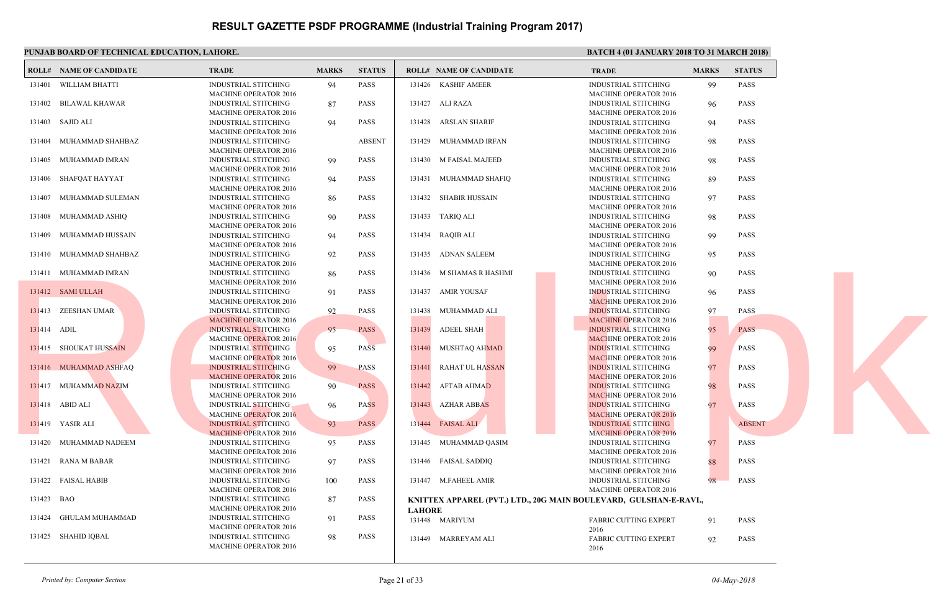|             | PUNJAB BOARD OF TECHNICAL EDUCATION, LAHORE. |                                                             |              |               |                                                                | <b>BATC</b>                 |
|-------------|----------------------------------------------|-------------------------------------------------------------|--------------|---------------|----------------------------------------------------------------|-----------------------------|
|             | <b>ROLL# NAME OF CANDIDATE</b>               | <b>TRADE</b>                                                | <b>MARKS</b> | <b>STATUS</b> | <b>ROLL# NAME OF CANDIDATE</b>                                 | <b>TRAL</b>                 |
|             | 131401 WILLIAM BHATTI                        | <b>INDUSTRIAL STITCHING</b><br><b>MACHINE OPERATOR 2016</b> | 94           | <b>PASS</b>   | 131426 KASHIF AMEER                                            | <b>INDUS</b><br><b>MACH</b> |
|             | 131402 BILAWAL KHAWAR                        | <b>INDUSTRIAL STITCHING</b><br><b>MACHINE OPERATOR 2016</b> | 87           | <b>PASS</b>   | 131427 ALI RAZA                                                | <b>INDUS</b><br><b>MACH</b> |
|             | 131403 SAJID ALI                             | <b>INDUSTRIAL STITCHING</b><br><b>MACHINE OPERATOR 2016</b> | 94           | <b>PASS</b>   | 131428 ARSLAN SHARIF                                           | <b>INDUS</b><br><b>MACH</b> |
| 131404      | MUHAMMAD SHAHBAZ                             | <b>INDUSTRIAL STITCHING</b><br><b>MACHINE OPERATOR 2016</b> |              | <b>ABSENT</b> | MUHAMMAD IRFAN<br>131429                                       | <b>INDUS</b><br><b>MACH</b> |
| 131405      | MUHAMMAD IMRAN                               | <b>INDUSTRIAL STITCHING</b><br>MACHINE OPERATOR 2016        | 99           | <b>PASS</b>   | 131430 M FAISAL MAJEED                                         | <b>INDUS</b><br><b>MACH</b> |
| 131406      | SHAFQAT HAYYAT                               | <b>INDUSTRIAL STITCHING</b><br><b>MACHINE OPERATOR 2016</b> | 94           | <b>PASS</b>   | 131431 MUHAMMAD SHAFIQ                                         | <b>INDUS</b><br><b>MACH</b> |
| 131407      | MUHAMMAD SULEMAN                             | <b>INDUSTRIAL STITCHING</b><br><b>MACHINE OPERATOR 2016</b> | 86           | PASS          | 131432 SHABIR HUSSAIN                                          | <b>INDUS</b><br><b>MACH</b> |
|             | 131408 MUHAMMAD ASHIQ                        | <b>INDUSTRIAL STITCHING</b><br>MACHINE OPERATOR 2016        | 90           | <b>PASS</b>   | 131433 TARIQ ALI                                               | <b>INDUS</b><br><b>MACH</b> |
| 131409      | MUHAMMAD HUSSAIN                             | <b>INDUSTRIAL STITCHING</b><br><b>MACHINE OPERATOR 2016</b> | 94           | <b>PASS</b>   | 131434 RAQIB ALI                                               | <b>INDUS</b><br><b>MACH</b> |
|             | 131410 MUHAMMAD SHAHBAZ                      | <b>INDUSTRIAL STITCHING</b><br><b>MACHINE OPERATOR 2016</b> | 92           | <b>PASS</b>   | 131435 ADNAN SALEEM                                            | <b>INDUS</b><br><b>MACH</b> |
|             | 131411 MUHAMMAD IMRAN                        | INDUSTRIAL STITCHING<br><b>MACHINE OPERATOR 2016</b>        | 86           | <b>PASS</b>   | 131436 M SHAMAS R HASHMI                                       | <b>INDUS</b><br><b>MACH</b> |
|             | 131412 SAMI ULLAH                            | INDUSTRIAL STITCHING<br><b>MACHINE OPERATOR 2016</b>        | 91           | <b>PASS</b>   | 131437 AMIR YOUSAF                                             | <b>INDUS</b><br><b>MACH</b> |
|             | 131413 ZEESHAN UMAR                          | INDUSTRIAL STITCHING<br><b>MACHINE OPERATOR 2016</b>        | 92           | <b>PASS</b>   | 131438 MUHAMMAD ALI                                            | <b>INDUS</b><br><b>MACH</b> |
| 131414 ADIL |                                              | <b>INDUSTRIAL STITCHING</b><br><b>MACHINE OPERATOR 2016</b> | 95           | <b>PASS</b>   | 131439<br><b>ADEEL SHAH</b>                                    | <b>INDUS</b><br><b>MACH</b> |
|             | 131415 SHOUKAT HUSSAIN                       | <b>INDUSTRIAL STITCHING</b><br><b>MACHINE OPERATOR 2016</b> | 95           | <b>PASS</b>   | 131440 MUSHTAQ AHMAD                                           | <b>INDUS</b><br><b>MACH</b> |
|             | 131416 MUHAMMAD ASHFAQ                       | <b>INDUSTRIAL STITCHING</b><br><b>MACHINE OPERATOR 2016</b> | 99           | <b>PASS</b>   | RAHAT UL HA <mark>SSAN</mark><br>131441                        | <b>INDUS</b><br><b>MACF</b> |
|             | 131417 MUHAMMAD NAZIM                        | <b>INDUSTRIAL STITCHING</b><br><b>MACHINE OPERATOR 2016</b> | 90           | <b>PASS</b>   | 131442 AFTAB AHMAD                                             | <b>INDUS</b><br><b>MACH</b> |
|             | 131418 ABID ALI                              | <b>INDUSTRIAL STITCHING</b><br><b>MACHINE OPERATOR 2016</b> | 96           | <b>PASS</b>   | 131443 AZHAR ABBAS                                             | <b>INDUS</b><br><b>MACH</b> |
|             | 131419 YASIR ALI                             | <b>INDUSTRIAL STITCHING</b><br><b>MACHINE OPERATOR 2016</b> | 93           | <b>PASS</b>   | 131444 FAISAL ALI                                              | <b>INDUS</b><br><b>MACH</b> |
|             | 131420 MUHAMMAD NADEEM                       | <b>INDUSTRIAL STITCHING</b><br><b>MACHINE OPERATOR 2016</b> | 95           | PASS          | 131445 MUHAMMAD OASIM                                          | <b>INDUS</b><br><b>MACH</b> |
|             | 131421 RANA M BABAR                          | <b>INDUSTRIAL STITCHING</b><br>MACHINE OPERATOR 2016        | 97           | <b>PASS</b>   | 131446 FAISAL SADDIQ                                           | <b>INDUS</b><br><b>MACH</b> |
|             | 131422 FAISAL HABIB                          | <b>INDUSTRIAL STITCHING</b><br><b>MACHINE OPERATOR 2016</b> | 100          | PASS          | 131447 M.FAHEEL AMIR                                           | <b>INDUS</b><br><b>MACH</b> |
| 131423 BAO  |                                              | <b>INDUSTRIAL STITCHING</b><br><b>MACHINE OPERATOR 2016</b> | 87           | <b>PASS</b>   | KNITTEX APPAREL (PVT.) LTD., 20G MAIN BOULEV.<br><b>LAHORE</b> |                             |
|             | 131424 GHULAM MUHAMMAD                       | <b>INDUSTRIAL STITCHING</b><br>MACHINE OPERATOR 2016        | 91           | <b>PASS</b>   | 131448 MARIYUM                                                 | FABRI<br>2016               |
|             | 131425 SHAHID IQBAL                          | INDUSTRIAL STITCHING<br><b>MACHINE OPERATOR 2016</b>        | 98           | <b>PASS</b>   | 131449 MARREYAM ALI                                            | <b>FABRI</b><br>2016        |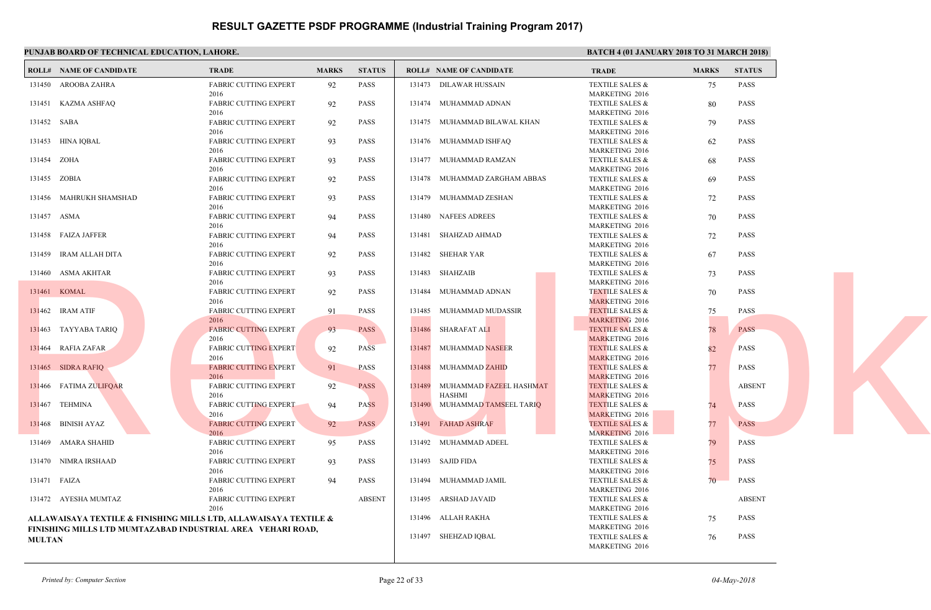|               | <b>ROLL# NAME OF CANDIDATE</b> | <b>TRADE</b>                                                                                                                    | <b>MARKS</b> | <b>STATUS</b> |        | <b>ROLL# NAME OF CANDIDATE</b> |  |
|---------------|--------------------------------|---------------------------------------------------------------------------------------------------------------------------------|--------------|---------------|--------|--------------------------------|--|
|               |                                |                                                                                                                                 |              |               |        |                                |  |
|               | 131450 AROOBA ZAHRA            | <b>FABRIC CUTTING EXPERT</b>                                                                                                    | 92           | <b>PASS</b>   |        | 131473 DILAWAR HUSSAIN         |  |
|               | 131451 KAZMA ASHFAQ            | 2016<br>FABRIC CUTTING EXPERT                                                                                                   | 92           | <b>PASS</b>   |        | 131474 MUHAMMAD ADNAN          |  |
|               |                                | 2016                                                                                                                            |              |               |        |                                |  |
| 131452 SABA   |                                | <b>FABRIC CUTTING EXPERT</b>                                                                                                    | 92           | <b>PASS</b>   |        | 131475 MUHAMMAD BILAWAL KHAN   |  |
|               |                                | 2016                                                                                                                            |              |               |        |                                |  |
|               | 131453 HINA IQBAL              | <b>FABRIC CUTTING EXPERT</b>                                                                                                    | 93           | <b>PASS</b>   |        | 131476 MUHAMMAD ISHFAQ         |  |
| 131454 ZOHA   |                                | 2016<br><b>FABRIC CUTTING EXPERT</b>                                                                                            | 93           | <b>PASS</b>   |        | 131477 MUHAMMAD RAMZAN         |  |
|               |                                | 2016                                                                                                                            |              |               |        |                                |  |
| 131455 ZOBIA  |                                | FABRIC CUTTING EXPERT                                                                                                           | 92           | PASS          |        | 131478 MUHAMMAD ZARGHAM ABBAS  |  |
|               |                                | 2016                                                                                                                            |              |               |        |                                |  |
|               | 131456 MAHRUKH SHAMSHAD        | FABRIC CUTTING EXPERT                                                                                                           | 93           | <b>PASS</b>   |        | 131479 MUHAMMAD ZESHAN         |  |
|               |                                | 2016                                                                                                                            |              |               |        |                                |  |
| 131457 ASMA   |                                | <b>FABRIC CUTTING EXPERT</b><br>2016                                                                                            | 94           | <b>PASS</b>   |        | 131480 NAFEES ADREES           |  |
|               | 131458 FAIZA JAFFER            | <b>FABRIC CUTTING EXPERT</b>                                                                                                    | 94           | <b>PASS</b>   |        | 131481 SHAHZAD AHMAD           |  |
|               |                                | 2016                                                                                                                            |              |               |        |                                |  |
|               | 131459 IRAM ALLAH DITA         | <b>FABRIC CUTTING EXPERT</b>                                                                                                    | 92           | <b>PASS</b>   |        | 131482 SHEHAR YAR              |  |
|               |                                | 2016                                                                                                                            |              |               |        |                                |  |
|               | 131460 ASMA AKHTAR             | <b>FABRIC CUTTING EXPERT</b>                                                                                                    | 93           | <b>PASS</b>   |        | 131483 SHAHZAIB                |  |
|               |                                | 2016                                                                                                                            |              |               |        |                                |  |
|               | 131461 KOMAL                   | FABRIC CUTTING EXPERT<br>2016                                                                                                   | 92           | <b>PASS</b>   |        | 131484 MUHAMMAD ADNAN          |  |
|               | 131462 IRAM ATIF               | FABRIC CUTTING EXPERT                                                                                                           | 91           | <b>PASS</b>   | 131485 | MUHAMMAD MUDASSIR              |  |
|               |                                | 2016                                                                                                                            |              |               |        |                                |  |
|               | 131463 TAYYABA TARIQ           | <b>FABRIC CUTTING EXPERT</b>                                                                                                    | 93           | <b>PASS</b>   |        | 131486 SHARAFAT ALI            |  |
|               |                                | 2016                                                                                                                            |              |               |        |                                |  |
|               | 131464 RAFIA ZAFAR             | <b>FABRIC CUTTING EXPERT</b>                                                                                                    | 92           | <b>PASS</b>   |        | 131487 MUHAMMAD NASEER         |  |
|               |                                | 2016                                                                                                                            |              |               |        |                                |  |
|               | 131465 SIDRA RAFIQ             | <b>FABRIC CUTTING EXPERT</b><br>2016                                                                                            | 91           | <b>PASS</b>   |        | 131488 MUHAMMAD ZAHID          |  |
|               | 131466 FATIMA ZULIFQAR         | <b>FABRIC CUTTING EXPERT</b>                                                                                                    | 92           | <b>PASS</b>   |        | 131489 MUHAMMAD FAZEEL HASHMAT |  |
|               |                                | 2016                                                                                                                            |              |               |        | HASHMI                         |  |
|               | 131467 TEHMINA                 | <b>FABRIC CUTTING EXPERT</b>                                                                                                    | 94           | <b>PASS</b>   |        | 131490 MUHAMMAD TAMSEEL TARIQ  |  |
|               |                                | 2016                                                                                                                            |              |               |        |                                |  |
|               | 131468 BINISH AYAZ             | <b>FABRIC CUTTING EXPERT</b>                                                                                                    | 92           | <b>PASS</b>   |        | 131491 FAHAD ASHRAF            |  |
| 131469        | AMARA SHAHID                   | 2016<br><b>FABRIC CUTTING EXPERT</b>                                                                                            | 95           | PASS          |        | 131492 MUHAMMAD ADEEL          |  |
|               |                                | 2016                                                                                                                            |              |               |        |                                |  |
|               | 131470 NIMRA IRSHAAD           | <b>FABRIC CUTTING EXPERT</b>                                                                                                    | 93           | <b>PASS</b>   |        | 131493 SAJID FIDA              |  |
|               |                                | 2016                                                                                                                            |              |               |        |                                |  |
| 131471 FAIZA  |                                | <b>FABRIC CUTTING EXPERT</b>                                                                                                    | 94           | <b>PASS</b>   |        | 131494 MUHAMMAD JAMIL          |  |
|               |                                | 2016                                                                                                                            |              |               |        |                                |  |
|               | 131472 AYESHA MUMTAZ           | <b>FABRIC CUTTING EXPERT</b>                                                                                                    |              | <b>ABSENT</b> |        | 131495 ARSHAD JAVAID           |  |
|               |                                | 2016                                                                                                                            |              |               |        | 131496 ALLAH RAKHA             |  |
|               |                                | ALLAWAISAYA TEXTILE & FINISHING MILLS LTD, ALLAWAISAYA TEXTILE &<br>FINISHING MILLS LTD MUMTAZABAD INDUSTRIAL AREA VEHARI ROAD, |              |               |        |                                |  |
| <b>MULTAN</b> |                                |                                                                                                                                 |              |               |        | 131497 SHEHZAD IQBAL           |  |
|               |                                |                                                                                                                                 |              |               |        |                                |  |

*Printed by: Computer Section* Page 22 of 33

MARK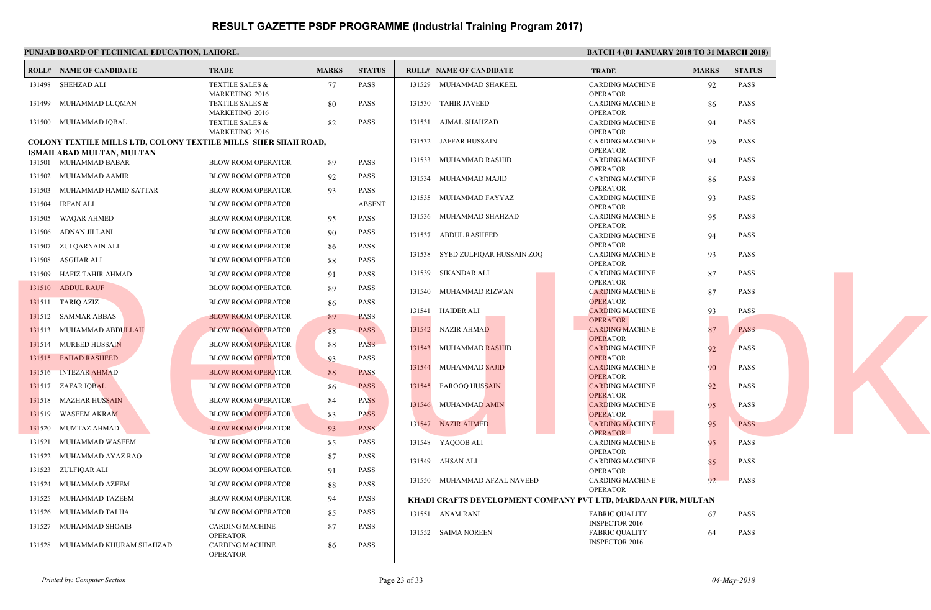|        | PUNJAB BOARD OF TECHNICAL EDUCATION, LAHORE.                          |                                              |              |               |                                          | <b>BATC</b>                  |
|--------|-----------------------------------------------------------------------|----------------------------------------------|--------------|---------------|------------------------------------------|------------------------------|
|        | <b>ROLL# NAME OF CANDIDATE</b>                                        | <b>TRADE</b>                                 | <b>MARKS</b> | <b>STATUS</b> | <b>ROLL# NAME OF CANDIDATE</b>           | <b>TRAL</b>                  |
|        | 131498 SHEHZAD ALI                                                    | <b>TEXTILE SALES &amp;</b>                   | 77           | <b>PASS</b>   | 131529<br>MUHAMMAD SHAKEEL               | CARD                         |
|        |                                                                       | MARKETING 2016                               |              |               |                                          | <b>OPER</b>                  |
| 131499 | MUHAMMAD LUQMAN                                                       | <b>TEXTILE SALES &amp;</b><br>MARKETING 2016 | 80           | <b>PASS</b>   | 131530 TAHIR JAVEED                      | <b>CARD</b><br>OPERA         |
|        | 131500 MUHAMMAD IQBAL                                                 | <b>TEXTILE SALES &amp;</b>                   | 82           | <b>PASS</b>   | 131531<br>AJMAL SHAHZAD                  | <b>CARD</b>                  |
|        |                                                                       | MARKETING 2016                               |              |               |                                          | OPERA                        |
|        | <b>COLONY TEXTILE MILLS LTD, COLONY TEXTILE MILLS SHER SHAH ROAD,</b> |                                              |              |               | JAFFAR HUSSAIN<br>131532                 | <b>CARD</b><br>OPERA         |
|        | <b>ISMAILABAD MULTAN, MULTAN</b><br>131501 MUHAMMAD BABAR             | <b>BLOW ROOM OPERATOR</b>                    | 89           | <b>PASS</b>   | 131533<br>MUHAMMAD RASHID                | <b>CARD</b>                  |
|        | 131502 MUHAMMAD AAMIR                                                 | <b>BLOW ROOM OPERATOR</b>                    | 92           | <b>PASS</b>   | 131534 MUHAMMAD MAJID                    | OPER/<br><b>CARD</b>         |
| 131503 | MUHAMMAD HAMID SATTAR                                                 | <b>BLOW ROOM OPERATOR</b>                    | 93           | <b>PASS</b>   |                                          | OPERA                        |
| 131504 | IRFAN ALI                                                             | <b>BLOW ROOM OPERATOR</b>                    |              | <b>ABSENT</b> | 131535 MUHAMMAD FAYYAZ                   | CARD<br>OPER/                |
| 131505 | WAQAR AHMED                                                           | <b>BLOW ROOM OPERATOR</b>                    | 95           | <b>PASS</b>   | 131536 MUHAMMAD SHAHZAD                  | <b>CARD</b>                  |
| 131506 | ADNAN JILLANI                                                         | <b>BLOW ROOM OPERATOR</b>                    | 90           | <b>PASS</b>   | 131537<br><b>ABDUL RASHEED</b>           | OPER/<br>CARD                |
|        | 131507 ZULQARNAIN ALI                                                 | <b>BLOW ROOM OPERATOR</b>                    | 86           | <b>PASS</b>   |                                          | OPER/                        |
| 131508 | ASGHAR ALI                                                            | <b>BLOW ROOM OPERATOR</b>                    | 88           | <b>PASS</b>   | 131538 SYED ZULFIQAR HUSSAIN ZOQ         | <b>CARD</b><br>OPER/         |
|        | 131509 HAFIZ TAHIR AHMAD                                              | <b>BLOW ROOM OPERATOR</b>                    | 91           | <b>PASS</b>   | 131539 SIKANDAR ALI                      | CARD                         |
|        | 131510 ABDUL RAUF                                                     | <b>BLOW ROOM OPERATOR</b>                    | 89           | <b>PASS</b>   | MUHAMMAD RIZWAN<br>131540                | OPERA<br><b>CARD</b>         |
|        | 131511 TARIQ AZIZ                                                     | <b>BLOW ROOM OPERATOR</b>                    | 86           | PASS          | <b>HAIDER ALI</b><br>131541              | <b>OPER</b><br><b>CARD</b>   |
|        | 131512 SAMMAR ABBAS                                                   | <b>BLOW ROOM OPERATOR</b>                    | 89           | <b>PASS</b>   |                                          | OPER <sub>A</sub>            |
|        | 131513 MUHAMMAD ABDULLAH                                              | <b>BLOW ROOM OPERATOR</b>                    | 88           | <b>PASS</b>   | 131542 NAZIR AHMAD                       | <b>CARD</b><br><b>OPER</b>   |
|        | 131514 MUREED HUSSAIN                                                 | <b>BLOW ROOM OPERATOR</b>                    | 88           | <b>PASS</b>   | MUHAMMAD RASHID<br>131543                | <b>CARD</b>                  |
|        | 131515 FAHAD RASHEED                                                  | <b>BLOW ROOM OPERATOR</b>                    | 93           | <b>PASS</b>   | 131544<br>MUHAMMAD SAJID                 | OPER/<br><b>CARD</b>         |
|        | 131516 INTEZAR AHMAD                                                  | <b>BLOW ROOM OPERATOR</b>                    | 88           | <b>PASS</b>   |                                          | <b>OPER</b>                  |
|        | 131517 ZAFAR IQBAL                                                    | <b>BLOW ROOM OPERATOR</b>                    | 86           | <b>PASS</b>   | 131545 FAROOQ HUSSAIN                    | <b>CARD</b><br>OPER/         |
|        | 131518 MAZHAR HUSSAIN                                                 | <b>BLOW ROOM OPERATOR</b>                    | 84           | <b>PASS</b>   | 131546 MUHAMMAD AMIN                     | <b>CARD</b>                  |
| 131519 | WASEEM AKRAM                                                          | <b>BLOW ROOM OPERATOR</b>                    | 83           | <b>PASS</b>   |                                          | OPER/                        |
| 131520 | MUMTAZ AHMAD                                                          | <b>BLOW ROOM OPERATOR</b>                    | 93           | <b>PASS</b>   | 131547 NAZIR AHMED                       | <b>CARD</b><br><b>OPERA</b>  |
| 131521 | MUHAMMAD WASEEM                                                       | <b>BLOW ROOM OPERATOR</b>                    | 85           | <b>PASS</b>   | 131548 YAQOOB ALI                        | <b>CARD</b>                  |
| 131522 | MUHAMMAD AYAZ RAO                                                     | <b>BLOW ROOM OPERATOR</b>                    | 87           | <b>PASS</b>   | 131549 AHSAN ALI                         | OPER/<br><b>CARD</b>         |
|        | 131523 ZULFIQAR ALI                                                   | <b>BLOW ROOM OPERATOR</b>                    | 91           | <b>PASS</b>   |                                          | OPERA                        |
|        | 131524 MUHAMMAD AZEEM                                                 | BLOW ROOM OPERATOR                           | 88           | <b>PASS</b>   | 131550 MUHAMMAD AFZAL NAVEED             | CARD<br>OPER/                |
| 131525 | MUHAMMAD TAZEEM                                                       | <b>BLOW ROOM OPERATOR</b>                    | 94           | <b>PASS</b>   | KHADI CRAFTS DEVELOPMENT COMPANY PVT LTI |                              |
| 131526 | MUHAMMAD TALHA                                                        | <b>BLOW ROOM OPERATOR</b>                    | 85           | <b>PASS</b>   | 131551 ANAM RANI                         | <b>FABRI</b>                 |
| 131527 | MUHAMMAD SHOAIB                                                       | <b>CARDING MACHINE</b><br><b>OPERATOR</b>    | 87           | <b>PASS</b>   | 131552 SAIMA NOREEN                      | <b>INSPE</b><br><b>FABRI</b> |
|        | 131528 MUHAMMAD KHURAM SHAHZAD                                        | <b>CARDING MACHINE</b><br><b>OPERATOR</b>    | 86           | <b>PASS</b>   |                                          | <b>INSPE</b>                 |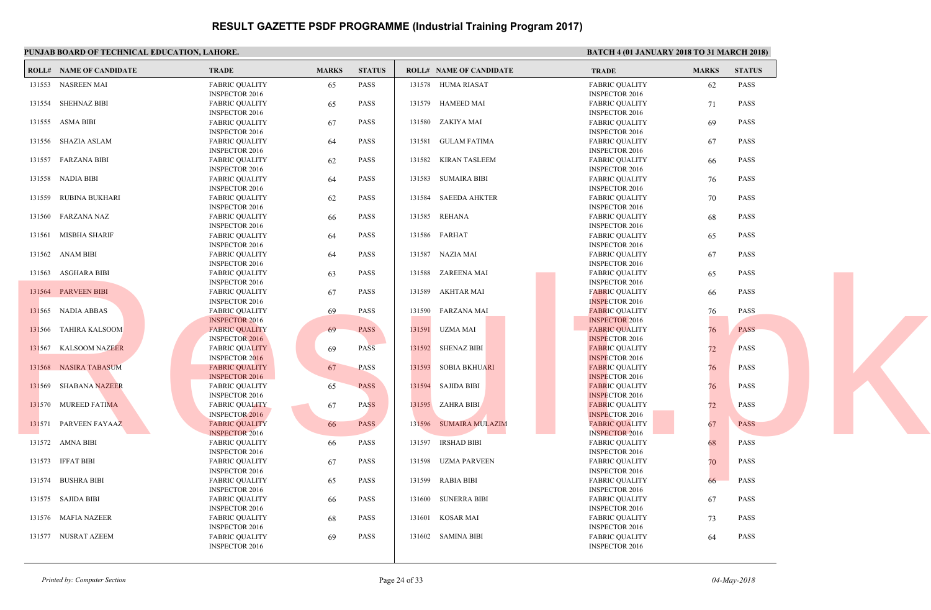|        | PUNJAB BOARD OF TECHNICAL EDUCATION, LAHORE. |                                                                         |              |               |        |                                | <b>BATC</b>                  |
|--------|----------------------------------------------|-------------------------------------------------------------------------|--------------|---------------|--------|--------------------------------|------------------------------|
|        | <b>ROLL# NAME OF CANDIDATE</b>               | <b>TRADE</b>                                                            | <b>MARKS</b> | <b>STATUS</b> |        | <b>ROLL# NAME OF CANDIDATE</b> | <b>TRAD</b>                  |
|        | 131553 NASREEN MAI                           | <b>FABRIC OUALITY</b><br><b>INSPECTOR 2016</b>                          | 65           | PASS          |        | 131578 HUMA RIASAT             | FABRI<br><b>INSPE</b>        |
|        | 131554 SHEHNAZ BIBI                          | <b>FABRIC QUALITY</b><br><b>INSPECTOR 2016</b>                          | 65           | <b>PASS</b>   |        | 131579 HAMEED MAI              | <b>FABRI</b><br><b>INSPE</b> |
|        | 131555 ASMA BIBI                             | <b>FABRIC QUALITY</b><br><b>INSPECTOR 2016</b>                          | 67           | <b>PASS</b>   |        | 131580 ZAKIYA MAI              | <b>FABRI</b><br><b>INSPE</b> |
|        | 131556 SHAZIA ASLAM                          | <b>FABRIC QUALITY</b><br><b>INSPECTOR 2016</b>                          | 64           | <b>PASS</b>   |        | 131581 GULAM FATIMA            | <b>FABRI</b><br><b>INSPE</b> |
|        | 131557 FARZANA BIBI                          | <b>FABRIC QUALITY</b><br><b>INSPECTOR 2016</b>                          | 62           | <b>PASS</b>   |        | 131582 KIRAN TASLEEM           | <b>FABRI</b><br><b>INSPE</b> |
|        | 131558 NADIA BIBI                            | <b>FABRIC QUALITY</b>                                                   | 64           | <b>PASS</b>   | 131583 | <b>SUMAIRA BIBI</b>            | FABRI<br><b>INSPE</b>        |
|        | 131559 RUBINA BUKHARI                        | <b>INSPECTOR 2016</b><br><b>FABRIC QUALITY</b><br><b>INSPECTOR 2016</b> | 62           | PASS          |        | 131584 SAEEDA AHKTER           | <b>FABRI</b><br><b>INSPE</b> |
|        | 131560 FARZANA NAZ                           | <b>FABRIC QUALITY</b><br><b>INSPECTOR 2016</b>                          | 66           | <b>PASS</b>   |        | 131585 REHANA                  | <b>FABRI</b><br><b>INSPE</b> |
|        | 131561 MISBHA SHARIF                         | <b>FABRIC QUALITY</b><br><b>INSPECTOR 2016</b>                          | 64           | <b>PASS</b>   |        | 131586 FARHAT                  | <b>FABRI</b><br><b>INSPE</b> |
|        | 131562 ANAM BIBI                             | <b>FABRIC QUALITY</b><br><b>INSPECTOR 2016</b>                          | 64           | <b>PASS</b>   |        | 131587 NAZIA MAI               | <b>FABRI</b><br><b>INSPE</b> |
|        | 131563 ASGHARA BIBI                          | <b>FABRIC QUALITY</b><br><b>INSPECTOR 2016</b>                          | 63           | <b>PASS</b>   | 131588 | ZAREENA MAI                    | <b>FABRI</b><br><b>INSPE</b> |
|        | 131564 PARVEEN BIBI                          | <b>FABRIC QUALITY</b><br><b>INSPECTOR 2016</b>                          | 67           | PASS          |        | 131589 AKHTAR MAI              | <b>FABRI</b><br><b>INSPE</b> |
|        | 131565 NADIA ABBAS                           | <b>FABRIC QUALITY</b><br><b>INSPECTOR 2016</b>                          | 69           | <b>PASS</b>   |        | 131590 FARZANA MAI             | <b>FABRI</b><br><b>INSPE</b> |
|        | 131566 TAHIRA KALSOOM                        | <b>FABRIC QUALITY</b><br><b>INSPECTOR 2016</b>                          | 69           | <b>PASS</b>   |        | 131591 UZMA MAI                | <b>FABRI</b><br><b>INSPE</b> |
|        | 131567 KALSOOM NAZEER                        | <b>FABRIC QUALITY</b><br><b>INSPECTOR 2016</b>                          | 69           | <b>PASS</b>   |        | 131592 SHENAZ BIBI             | <b>FABRI</b><br><b>INSPE</b> |
| 131568 | <b>NASIRA TABASUM</b>                        | <b>FABRIC QUALITY</b><br><b>INSPECTOR 2016</b>                          | 67           | <b>PASS</b>   | 131593 | <b>SOBIA BKHUARI</b>           | <b>FABRI</b><br><b>INSPE</b> |
|        | 131569 SHABANA NAZEER                        | <b>FABRIC QUALITY</b><br><b>INSPECTOR 2016</b>                          | 65           | <b>PASS</b>   |        | 131594 SAJIDA BIBI             | <b>FABRI</b><br><b>INSPE</b> |
|        | 131570 MUREED FATIMA                         | <b>FABRIC QUALITY</b><br><b>INSPECTOR 2016</b>                          | 67           | <b>PASS</b>   |        | 131595 ZAHRA BIBI              | <b>FABRI</b><br><b>INSPE</b> |
|        | 131571 PARVEEN FAYAAZ                        | <b>FABRIC QUALITY</b><br><b>INSPECTOR 2016</b>                          | 66           | <b>PASS</b>   |        | 131596 SUMAIRA MULAZIM         | FABRI<br><b>INSPE</b>        |
|        | 131572 AMNA BIBI                             | <b>FABRIC QUALITY</b><br><b>INSPECTOR 2016</b>                          | 66           | PASS          |        | 131597 IRSHAD BIBI             | <b>FABRI</b><br><b>INSPE</b> |
|        | 131573 IFFAT BIBI                            | <b>FABRIC QUALITY</b><br><b>INSPECTOR 2016</b>                          | 67           | PASS          | 131598 | UZMA PARVEEN                   | <b>FABRI</b><br><b>INSPE</b> |
|        | 131574 BUSHRA BIBI                           | <b>FABRIC QUALITY</b><br><b>INSPECTOR 2016</b>                          | 65           | <b>PASS</b>   |        | 131599 RABIA BIBI              | <b>FABRI</b><br><b>INSPE</b> |
|        | 131575 SAJIDA BIBI                           | <b>FABRIC QUALITY</b><br><b>INSPECTOR 2016</b>                          | 66           | <b>PASS</b>   |        | 131600 SUNERRA BIBI            | <b>FABRI</b><br><b>INSPE</b> |
|        | 131576 MAFIA NAZEER                          | <b>FABRIC QUALITY</b><br><b>INSPECTOR 2016</b>                          | 68           | <b>PASS</b>   |        | 131601 KOSAR MAI               | <b>FABRI</b><br><b>INSPE</b> |
|        | 131577 NUSRAT AZEEM                          | <b>FABRIC QUALITY</b><br><b>INSPECTOR 2016</b>                          | 69           | <b>PASS</b>   |        | 131602 SAMINA BIBI             | FABRI<br><b>INSPE</b>        |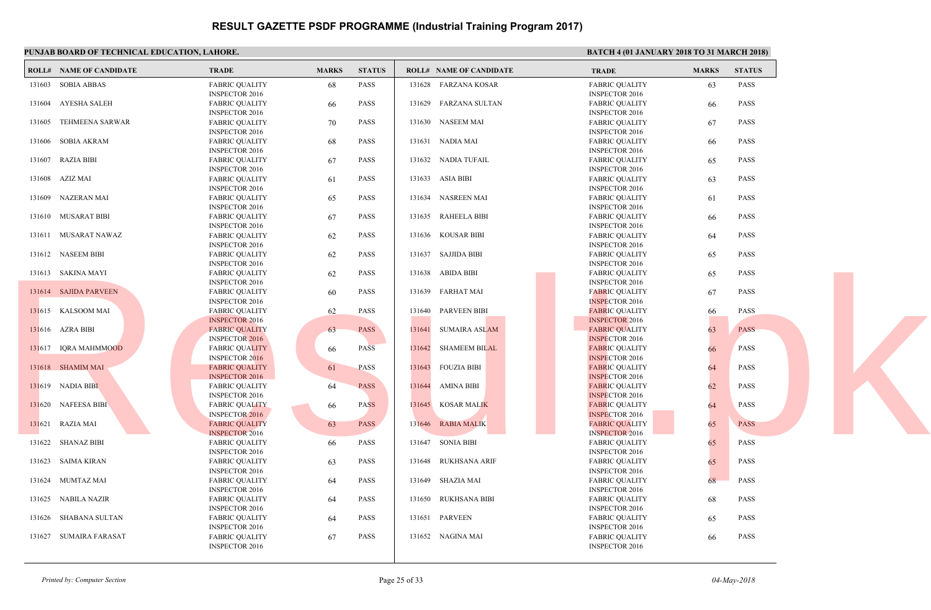|        | PUNJAB BOARD OF TECHNICAL EDUCATION, LAHORE. |                                                |              |               |        |                                | <b>BATC</b>                  |
|--------|----------------------------------------------|------------------------------------------------|--------------|---------------|--------|--------------------------------|------------------------------|
|        | <b>ROLL# NAME OF CANDIDATE</b>               | <b>TRADE</b>                                   | <b>MARKS</b> | <b>STATUS</b> |        | <b>ROLL# NAME OF CANDIDATE</b> | <b>TRAD</b>                  |
|        | 131603 SOBIA ABBAS                           | <b>FABRIC OUALITY</b><br><b>INSPECTOR 2016</b> | 68           | PASS          |        | 131628 FARZANA KOSAR           | FABRI<br><b>INSPE</b>        |
|        | 131604 AYESHA SALEH                          | <b>FABRIC QUALITY</b><br><b>INSPECTOR 2016</b> | 66           | <b>PASS</b>   |        | 131629 FARZANA SULTAN          | <b>FABRI</b><br><b>INSPE</b> |
| 131605 | TEHMEENA SARWAR                              | <b>FABRIC QUALITY</b><br><b>INSPECTOR 2016</b> | 70           | <b>PASS</b>   |        | 131630 NASEEM MAI              | <b>FABRI</b><br><b>INSPE</b> |
|        | 131606 SOBIA AKRAM                           | <b>FABRIC QUALITY</b><br><b>INSPECTOR 2016</b> | 68           | <b>PASS</b>   |        | 131631 NADIA MAI               | <b>FABRI</b><br><b>INSPE</b> |
|        | 131607 RAZIA BIBI                            | <b>FABRIC QUALITY</b><br><b>INSPECTOR 2016</b> | 67           | <b>PASS</b>   |        | 131632 NADIA TUFAIL            | <b>FABRI</b><br><b>INSPE</b> |
| 131608 | AZIZ MAI                                     | <b>FABRIC QUALITY</b><br><b>INSPECTOR 2016</b> | 61           | <b>PASS</b>   |        | 131633 ASIA BIBI               | FABRI<br><b>INSPE</b>        |
|        | 131609 NAZERAN MAI                           | <b>FABRIC QUALITY</b><br><b>INSPECTOR 2016</b> | 65           | PASS          |        | 131634 NASREEN MAI             | <b>FABRI</b><br><b>INSPE</b> |
|        | 131610 MUSARAT BIBI                          | <b>FABRIC QUALITY</b><br><b>INSPECTOR 2016</b> | 67           | <b>PASS</b>   |        | 131635 RAHEELA BIBI            | <b>FABRI</b><br><b>INSPE</b> |
|        | 131611 MUSARAT NAWAZ                         | <b>FABRIC QUALITY</b><br><b>INSPECTOR 2016</b> | 62           | <b>PASS</b>   |        | 131636 KOUSAR BIBI             | <b>FABRI</b><br><b>INSPE</b> |
|        | 131612 NASEEM BIBI                           | <b>FABRIC QUALITY</b><br><b>INSPECTOR 2016</b> | 62           | <b>PASS</b>   |        | 131637 SAJJIDA BIBI            | <b>FABRI</b><br><b>INSPE</b> |
|        | 131613 SAKINA MAYI                           | <b>FABRIC QUALITY</b><br><b>INSPECTOR 2016</b> | 62           | <b>PASS</b>   |        | 131638 ABIDA BIBI              | FABRI<br><b>INSPE</b>        |
|        | 131614 SAJIDA PARVEEN                        | <b>FABRIC QUALITY</b><br><b>INSPECTOR 2016</b> | 60           | PASS          |        | 131639 FARHAT MAI              | <b>FABRI</b><br><b>INSPE</b> |
|        | 131615 KALSOOM MAI                           | <b>FABRIC QUALITY</b><br><b>INSPECTOR 2016</b> | 62           | <b>PASS</b>   |        | 131640 PARVEEN BIBI            | <b>FABRI</b><br><b>INSPE</b> |
|        | 131616 AZRA BIBI                             | <b>FABRIC QUALITY</b><br><b>INSPECTOR 2016</b> | 63           | <b>PASS</b>   | 131641 | <b>SUMAIRA ASLAM</b>           | <b>FABRI</b><br><b>INSPE</b> |
|        | 131617 IQRA MAHMMOOD                         | <b>FABRIC QUALITY</b><br><b>INSPECTOR 2016</b> | 66           | <b>PASS</b>   |        | 131642 SHAMEEM BILAL           | <b>FABRI</b><br><b>INSPE</b> |
|        | 131618 SHAMIM MAI                            | <b>FABRIC QUALITY</b><br><b>INSPECTOR 2016</b> | 61           | <b>PASS</b>   |        | 131643 FOUZIA BIBI             | <b>FABRI</b><br><b>INSPE</b> |
|        | 131619 NADIA BIBI                            | <b>FABRIC QUALITY</b><br><b>INSPECTOR 2016</b> | 64           | <b>PASS</b>   |        | 131644 AMINA BIBI              | <b>FABRI</b><br><b>INSPE</b> |
|        | 131620 NAFEESA BIBI                          | <b>FABRIC QUALITY</b><br><b>INSPECTOR 2016</b> | 66           | <b>PASS</b>   |        | 131645 KOSAR MALIK             | <b>FABRI</b><br><b>INSPE</b> |
|        | 131621 RAZIA MAI                             | <b>FABRIC QUALITY</b><br><b>INSPECTOR 2016</b> | 63           | <b>PASS</b>   |        | 131646 RABIA MALIK             | FABRI<br><b>INSPE</b>        |
|        | 131622 SHANAZ BIBI                           | <b>FABRIC QUALITY</b><br><b>INSPECTOR 2016</b> | 66           | PASS          |        | 131647 SONIA BIBI              | <b>FABRI</b><br><b>INSPE</b> |
|        | 131623 SAIMA KIRAN                           | <b>FABRIC QUALITY</b><br><b>INSPECTOR 2016</b> | 63           | PASS          |        | 131648 RUKHSANA ARIF           | <b>FABRI</b><br><b>INSPE</b> |
|        | 131624 MUMTAZ MAI                            | <b>FABRIC QUALITY</b><br><b>INSPECTOR 2016</b> | 64           | PASS          |        | 131649 SHAZIA MAI              | <b>FABRI</b><br><b>INSPE</b> |
|        | 131625 NABILA NAZIR                          | <b>FABRIC QUALITY</b><br><b>INSPECTOR 2016</b> | 64           | <b>PASS</b>   |        | 131650 RUKHSANA BIBI           | <b>FABRI</b><br><b>INSPE</b> |
|        | 131626 SHABANA SULTAN                        | <b>FABRIC QUALITY</b><br><b>INSPECTOR 2016</b> | 64           | <b>PASS</b>   |        | 131651 PARVEEN                 | <b>FABRI</b><br><b>INSPE</b> |
|        | 131627 SUMAIRA FARASAT                       | <b>FABRIC QUALITY</b><br><b>INSPECTOR 2016</b> | 67           | <b>PASS</b>   |        | 131652 NAGINA MAI              | FABRI<br><b>INSPE</b>        |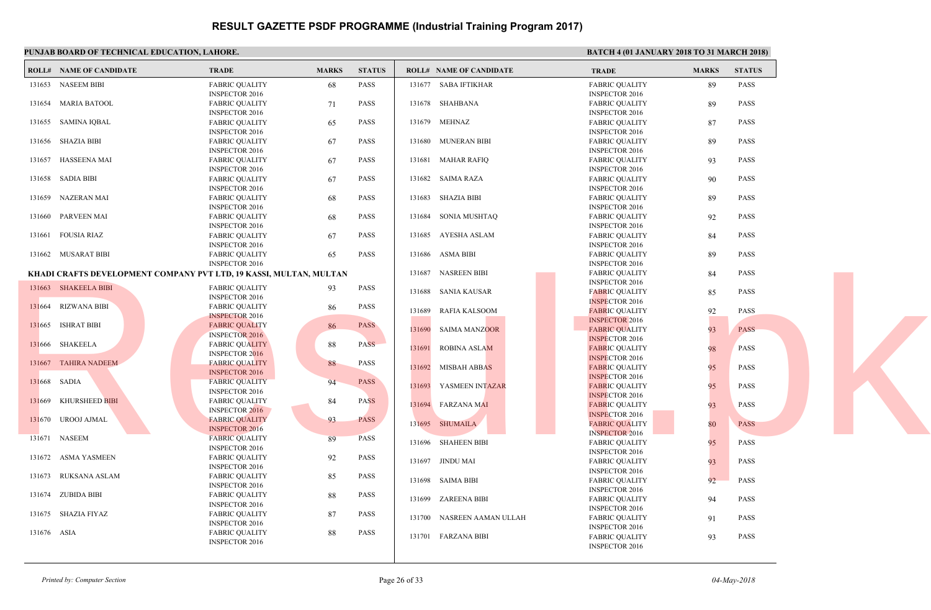|              | PUNJAB BOARD OF TECHNICAL EDUCATION, LAHORE. |                                                                                                    |              |               |                                | <b>BATC</b>                                  |
|--------------|----------------------------------------------|----------------------------------------------------------------------------------------------------|--------------|---------------|--------------------------------|----------------------------------------------|
|              | <b>ROLL# NAME OF CANDIDATE</b>               | <b>TRADE</b>                                                                                       | <b>MARKS</b> | <b>STATUS</b> | <b>ROLL# NAME OF CANDIDATE</b> | <b>TRAD</b>                                  |
|              | 131653 NASEEM BIBI                           | <b>FABRIC QUALITY</b><br><b>INSPECTOR 2016</b>                                                     | 68           | PASS          | 131677 SABA IFTIKHAR           | FABRI<br><b>INSPE</b>                        |
|              | 131654 MARIA BATOOL                          | <b>FABRIC QUALITY</b><br><b>INSPECTOR 2016</b>                                                     | 71           | <b>PASS</b>   | 131678 SHAHBANA                | <b>FABRI</b><br><b>INSPE</b>                 |
|              | 131655 SAMINA IQBAL                          | <b>FABRIC QUALITY</b><br><b>INSPECTOR 2016</b>                                                     | 65           | <b>PASS</b>   | 131679 MEHNAZ                  | <b>FABRI</b><br><b>INSPE</b>                 |
|              | 131656 SHAZIA BIBI                           | <b>FABRIC QUALITY</b><br><b>INSPECTOR 2016</b>                                                     | 67           | <b>PASS</b>   | 131680 MUNERAN BIBI            | <b>FABRI</b><br><b>INSPE</b>                 |
|              | 131657 HASSEENA MAI                          | <b>FABRIC QUALITY</b>                                                                              | 67           | <b>PASS</b>   | 131681 MAHAR RAFIQ             | <b>FABRI</b>                                 |
|              | 131658 SADIA BIBI                            | <b>INSPECTOR 2016</b><br><b>FABRIC QUALITY</b>                                                     | 67           | <b>PASS</b>   | 131682 SAIMA RAZA              | <b>INSPE</b><br>FABRI                        |
|              | 131659 NAZERAN MAI                           | <b>INSPECTOR 2016</b><br><b>FABRIC QUALITY</b>                                                     | 68           | PASS          | 131683 SHAZIA BIBI             | <b>INSPE</b><br><b>FABRI</b>                 |
|              | 131660 PARVEEN MAI                           | <b>INSPECTOR 2016</b><br><b>FABRIC QUALITY</b>                                                     | 68           | PASS          | 131684 SONIA MUSHTAQ           | <b>INSPE</b><br><b>FABRI</b>                 |
|              | 131661 FOUSIA RIAZ                           | <b>INSPECTOR 2016</b><br><b>FABRIC QUALITY</b>                                                     | 67           | <b>PASS</b>   | 131685 AYESHA ASLAM            | <b>INSPE</b><br><b>FABRI</b>                 |
|              | 131662 MUSARAT BIBI                          | <b>INSPECTOR 2016</b><br><b>FABRIC QUALITY</b>                                                     | 65           | <b>PASS</b>   | 131686 ASMA BIBI               | <b>INSPE</b><br>FABRI                        |
|              |                                              | <b>INSPECTOR 2016</b><br><b>KHADI CRAFTS DEVELOPMENT COMPANY PVT LTD, 19 KASSI, MULTAN, MULTAN</b> |              |               | <b>NASREEN BIBI</b><br>131687  | <b>INSPE</b><br><b>FABRI</b>                 |
|              | 131663 SHAKEELA BIBI                         | <b>FABRIC QUALITY</b><br><b>INSPECTOR 2016</b>                                                     | 93           | PASS          | 131688 SANIA KAUSAR            | <b>INSPE</b><br><b>FABRI</b>                 |
|              | 131664 RIZWANA BIBI                          | <b>FABRIC QUALITY</b><br><b>INSPECTOR 2016</b>                                                     | 86           | <b>PASS</b>   | 131689 RAFIA KALSOOM           | <b>INSPE</b><br><b>FABRI</b>                 |
|              | 131665 ISHRAT BIBI                           | <b>FABRIC QUALITY</b><br><b>INSPECTOR 2016</b>                                                     | 86           | <b>PASS</b>   | 131690<br><b>SAIMA MANZOOR</b> | <b>INSPE</b><br><b>FABRI</b>                 |
|              | 131666 SHAKEELA                              | <b>FABRIC QUALITY</b><br><b>INSPECTOR 2016</b>                                                     | 88           | <b>PASS</b>   | 131691 ROBINA ASLAM            | <b>INSPE</b><br><b>FABRI</b>                 |
|              | 131667 TAHIRA NADEEM                         | <b>FABRIC QUALITY</b><br><b>INSPECTOR 2016</b>                                                     | 88           | <b>PASS</b>   | 131692 MISBAH ABBAS            | <b>INSPE</b><br><b>FABRI</b>                 |
| 131668 SADIA |                                              | <b>FABRIC QUALITY</b><br><b>INSPECTOR 2016</b>                                                     | 94           | <b>PASS</b>   | 131693 YASMEEN INTAZAR         | <b>INSPE</b><br><b>FABRI</b>                 |
|              | 131669 KHURSHEED BIBI                        | <b>FABRIC QUALITY</b><br><b>INSPECTOR 2016</b>                                                     | 84           | <b>PASS</b>   | 131694 FARZANA MAI             | <b>INSPE</b><br><b>FABRI</b>                 |
|              | 131670 UROOJ AJMAL                           | <b>FABRIC OUALITY</b><br><b>INSPECTOR 2016</b>                                                     | 93           | <b>PASS</b>   | 131695 SHUMAILA                | <b>INSPE</b><br>FABRI                        |
|              | 131671 NASEEM                                | <b>FABRIC QUALITY</b><br><b>INSPECTOR 2016</b>                                                     | 89           | <b>PASS</b>   | 131696 SHAHEEN BIBI            | <b>INSPE</b><br><b>FABRI</b>                 |
|              | 131672 ASMA YASMEEN                          | <b>FABRIC QUALITY</b><br><b>INSPECTOR 2016</b>                                                     | 92           | <b>PASS</b>   | 131697 JINDU MAI               | <b>INSPE</b><br><b>FABRI</b>                 |
|              | 131673 RUKSANA ASLAM                         | <b>FABRIC QUALITY</b><br><b>INSPECTOR 2016</b>                                                     | 85           | <b>PASS</b>   | 131698 SAIMA BIBI              | <b>INSPE</b><br><b>FABRI</b>                 |
|              | 131674 ZUBIDA BIBI                           | <b>FABRIC QUALITY</b><br><b>INSPECTOR 2016</b>                                                     | 88           | <b>PASS</b>   | 131699 ZAREENA BIBI            | <b>INSPE</b><br><b>FABRI</b>                 |
|              | 131675 SHAZIA FIYAZ                          | <b>FABRIC QUALITY</b><br><b>INSPECTOR 2016</b>                                                     | 87           | <b>PASS</b>   | 131700<br>NASREEN AAMAN ULLAH  | <b>INSPE</b><br>FABRI                        |
| 131676 ASIA  |                                              | <b>FABRIC QUALITY</b><br><b>INSPECTOR 2016</b>                                                     | 88           | <b>PASS</b>   | 131701 FARZANA BIBI            | <b>INSPE</b><br><b>FABRI</b><br><b>INSPE</b> |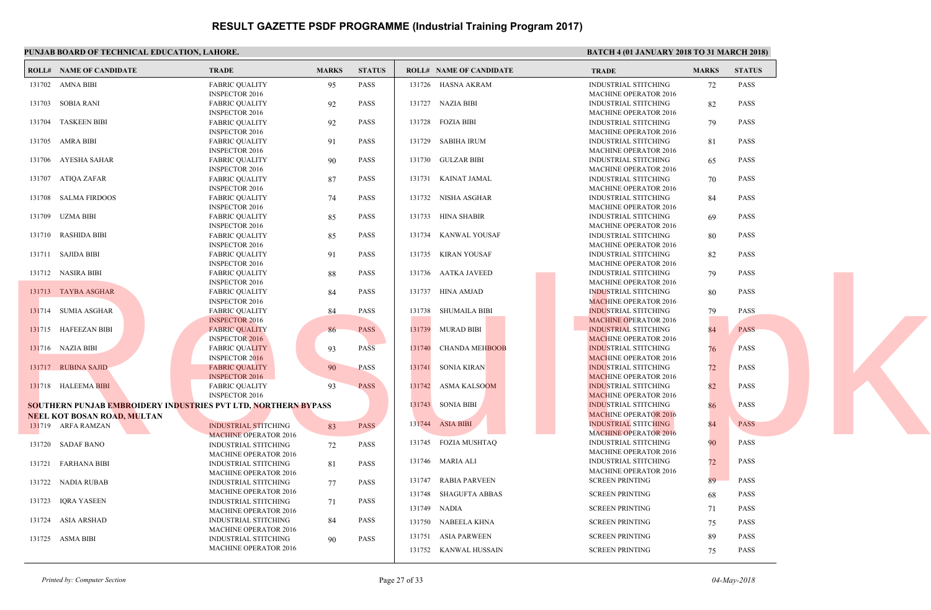| PUNJAB BOARD OF TECHNICAL EDUCATION, LAHORE. |                                                                       |              |               |        |                                | <b>BATC</b>  |
|----------------------------------------------|-----------------------------------------------------------------------|--------------|---------------|--------|--------------------------------|--------------|
| <b>ROLL# NAME OF CANDIDATE</b>               | <b>TRADE</b>                                                          | <b>MARKS</b> | <b>STATUS</b> |        | <b>ROLL# NAME OF CANDIDATE</b> | <b>TRAL</b>  |
| 131702 AMNA BIBI                             | <b>FABRIC QUALITY</b>                                                 | 95           | <b>PASS</b>   |        | 131726 HASNA AKRAM             | <b>INDUS</b> |
|                                              | <b>INSPECTOR 2016</b>                                                 |              |               |        |                                | <b>MACH</b>  |
| 131703 SOBIA RANI                            | <b>FABRIC QUALITY</b>                                                 | 92           | <b>PASS</b>   |        | 131727 NAZIA BIBI              | <b>INDUS</b> |
|                                              | <b>INSPECTOR 2016</b>                                                 |              |               |        |                                | <b>MACH</b>  |
| 131704 TASKEEN BIBI                          | <b>FABRIC QUALITY</b>                                                 | 92           | <b>PASS</b>   |        | 131728 FOZIA BIBI              | <b>INDUS</b> |
|                                              | <b>INSPECTOR 2016</b>                                                 |              |               |        |                                | <b>MACH</b>  |
| 131705 AMRA BIBI                             | <b>FABRIC QUALITY</b>                                                 | 91           | PASS          |        | 131729 SABIHA IRUM             | <b>INDUS</b> |
|                                              | <b>INSPECTOR 2016</b>                                                 |              |               |        |                                | <b>MACH</b>  |
| 131706 AYESHA SAHAR                          | <b>FABRIC QUALITY</b>                                                 | 90           | <b>PASS</b>   |        | 131730 GULZAR BIBI             | <b>INDUS</b> |
|                                              | <b>INSPECTOR 2016</b>                                                 |              |               |        |                                | <b>MACH</b>  |
| 131707 ATIQA ZAFAR                           | <b>FABRIC QUALITY</b>                                                 | 87           | <b>PASS</b>   |        | 131731 KAINAT JAMAL            | <b>INDUS</b> |
|                                              | <b>INSPECTOR 2016</b>                                                 |              |               |        |                                | <b>MACH</b>  |
| 131708 SALMA FIRDOOS                         | <b>FABRIC QUALITY</b>                                                 | 74           | PASS          |        | 131732 NISHA ASGHAR            | <b>INDUS</b> |
|                                              | <b>INSPECTOR 2016</b>                                                 |              |               |        |                                | <b>MACH</b>  |
| 131709 UZMA BIBI                             | <b>FABRIC QUALITY</b>                                                 | 85           | <b>PASS</b>   |        | 131733 HINA SHABIR             | <b>INDUS</b> |
|                                              | <b>INSPECTOR 2016</b>                                                 |              |               |        |                                | <b>MACH</b>  |
| 131710 RASHIDA BIBI                          | <b>FABRIC OUALITY</b>                                                 | 85           | <b>PASS</b>   |        | 131734 KANWAL YOUSAF           | <b>INDUS</b> |
|                                              | <b>INSPECTOR 2016</b>                                                 |              |               |        |                                | <b>MACH</b>  |
| 131711 SAJIDA BIBI                           | <b>FABRIC QUALITY</b>                                                 | 91           | PASS          |        | 131735 KIRAN YOUSAF            | <b>INDUS</b> |
|                                              | <b>INSPECTOR 2016</b>                                                 |              |               |        |                                | <b>MACH</b>  |
| 131712 NASIRA BIBI                           | <b>FABRIC QUALITY</b>                                                 | 88           | PASS          |        | 131736 AATKA JAVEED            | <b>INDUS</b> |
|                                              | <b>INSPECTOR 2016</b>                                                 |              |               |        |                                | <b>MACH</b>  |
| 131713 TAYBA ASGHAR                          | <b>FABRIC QUALITY</b>                                                 | 84           | <b>PASS</b>   |        | 131737 HINA AMJAD              | <b>INDUS</b> |
|                                              | <b>INSPECTOR 2016</b>                                                 |              |               |        |                                | <b>MACF</b>  |
| 131714 SUMIA ASGHAR                          | <b>FABRIC QUALITY</b>                                                 | 84           | <b>PASS</b>   |        | 131738 SHUMAILA BIBI           | <b>INDUS</b> |
|                                              | <b>INSPECTOR 2016</b>                                                 |              |               |        |                                | <b>MACH</b>  |
| 131715 HAFEEZAN BIBI                         | <b>FABRIC QUALITY</b>                                                 | 86           | <b>PASS</b>   |        | 131739 MURAD BIBI              | <b>INDUS</b> |
|                                              | <b>INSPECTOR 2016</b>                                                 |              |               |        |                                | <b>MACH</b>  |
| 131716 NAZIA BIBI                            | <b>FABRIC QUALITY</b>                                                 | 93           | <b>PASS</b>   |        | 131740 CHANDA MEHBOOB          | <b>INDUS</b> |
|                                              | <b>INSPECTOR 2016</b>                                                 |              |               |        |                                | <b>MACF</b>  |
| 131717 RUBINA SAJID                          | <b>FABRIC QUALITY</b>                                                 | 90           | <b>PASS</b>   |        | 131741 SONIA KIRAN             | <b>INDUS</b> |
|                                              | <b>INSPECTOR 2016</b>                                                 |              |               |        |                                | <b>MACE</b>  |
| 131718 HALEEMA BIBI                          | <b>FABRIC QUALITY</b>                                                 | 93           | <b>PASS</b>   | 131742 | <b>ASMA KALSOOM</b>            | <b>INDUS</b> |
|                                              | <b>INSPECTOR 2016</b>                                                 |              |               |        |                                | <b>MACF</b>  |
|                                              | <b>SOUTHERN PUNJAB EMBROIDERY INDUSTRIES PVT LTD, NORTHERN BYPASS</b> |              |               |        | 131743 SONIA BIBI              | <b>INDUS</b> |
| <b>NEEL KOT BOSAN ROAD, MULTAN</b>           |                                                                       |              |               |        |                                | <b>MACH</b>  |
| 131719 ARFA RAMZAN                           | <b>INDUSTRIAL STITCHING</b>                                           | 83           | <b>PASS</b>   |        | 131744 ASIA BIBI               | <b>INDUS</b> |
|                                              | <b>MACHINE OPERATOR 2016</b>                                          |              |               |        |                                | <b>MACH</b>  |
| 131720 SADAF BANO                            | <b>INDUSTRIAL STITCHING</b>                                           | 72           | PASS          |        | 131745 FOZIA MUSHTAQ           | <b>INDUS</b> |
|                                              | <b>MACHINE OPERATOR 2016</b>                                          |              |               |        |                                | <b>MACH</b>  |
| 131721 FARHANA BIBI                          | <b>INDUSTRIAL STITCHING</b>                                           | 81           | PASS          |        | 131746 MARIA ALI               | <b>INDUS</b> |
|                                              | <b>MACHINE OPERATOR 2016</b>                                          |              |               |        |                                | <b>MACH</b>  |
| 131722 NADIA RUBAB                           | INDUSTRIAL STITCHING                                                  | 77           | <b>PASS</b>   | 131747 | RABIA PARVEEN                  | <b>SCREE</b> |
|                                              | <b>MACHINE OPERATOR 2016</b>                                          |              |               | 131748 | SHAGUFTA ABBAS                 | <b>SCREE</b> |
| 131723 IQRA YASEEN                           | INDUSTRIAL STITCHING                                                  | 71           | <b>PASS</b>   |        |                                |              |
|                                              | <b>MACHINE OPERATOR 2016</b>                                          |              |               |        | 131749 NADIA                   | <b>SCREE</b> |
| 131724 ASIA ARSHAD                           | INDUSTRIAL STITCHING                                                  | 84           | <b>PASS</b>   |        | 131750 NABEELA KHNA            | <b>SCREE</b> |
|                                              | <b>MACHINE OPERATOR 2016</b>                                          |              |               |        |                                |              |
| 131725 ASMA BIBI                             | INDUSTRIAL STITCHING                                                  | 90           | PASS          | 131751 | ASIA PARWEEN                   | <b>SCREE</b> |
|                                              | <b>MACHINE OPERATOR 2016</b>                                          |              |               |        | 131752 KANWAL HUSSAIN          | <b>SCREE</b> |
|                                              |                                                                       |              |               |        |                                |              |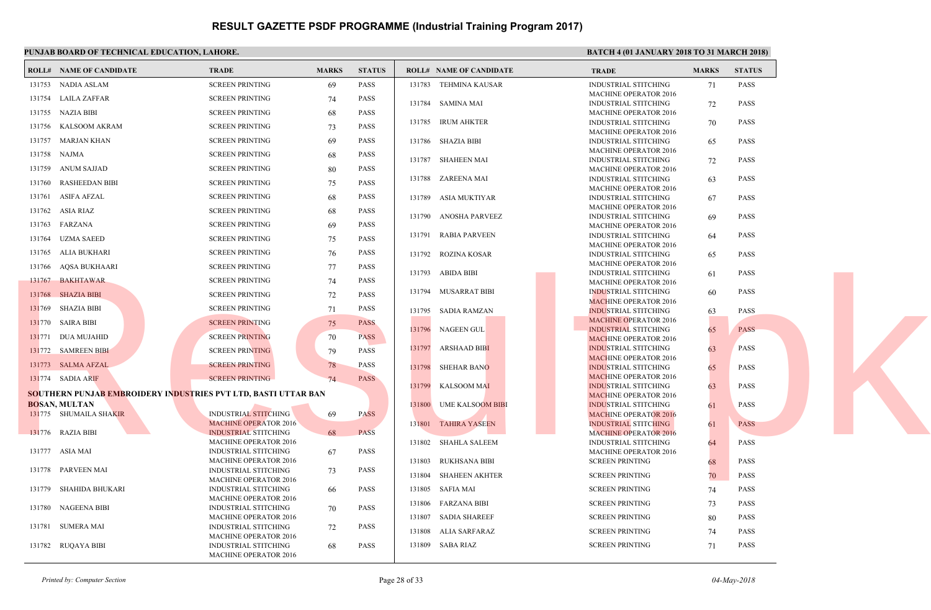| PUNJAB BOARD OF TECHNICAL EDUCATION, LAHORE.                          |                                                             |              |               |        |                                | <b>BATC</b>                 |
|-----------------------------------------------------------------------|-------------------------------------------------------------|--------------|---------------|--------|--------------------------------|-----------------------------|
| <b>ROLL# NAME OF CANDIDATE</b>                                        | <b>TRADE</b>                                                | <b>MARKS</b> | <b>STATUS</b> |        | <b>ROLL# NAME OF CANDIDATE</b> | <b>TRAL</b>                 |
| 131753 NADIA ASLAM                                                    | <b>SCREEN PRINTING</b>                                      | 69           | <b>PASS</b>   |        | 131783 TEHMINA KAUSAR          | <b>INDUS</b>                |
| 131754 LAILA ZAFFAR                                                   | <b>SCREEN PRINTING</b>                                      | 74           | <b>PASS</b>   |        | 131784 SAMINA MAI              | <b>MACH</b><br><b>INDUS</b> |
| 131755 NAZIA BIBI                                                     | <b>SCREEN PRINTING</b>                                      | 68           | <b>PASS</b>   |        |                                | <b>MACH</b>                 |
| 131756 KALSOOM AKRAM                                                  | <b>SCREEN PRINTING</b>                                      | 73           | PASS          |        | 131785 IRUM AHKTER             | <b>INDUS</b><br><b>MACH</b> |
| 131757 MARJAN KHAN                                                    | <b>SCREEN PRINTING</b>                                      | 69           | <b>PASS</b>   |        | 131786 SHAZIA BIBI             | <b>INDUS</b>                |
| 131758 NAJMA                                                          | <b>SCREEN PRINTING</b>                                      | 68           | <b>PASS</b>   |        |                                | <b>MACH</b>                 |
| 131759 ANUM SAJJAD                                                    | <b>SCREEN PRINTING</b>                                      | 80           | <b>PASS</b>   |        | 131787 SHAHEEN MAI             | <b>INDUS</b><br><b>MACH</b> |
| 131760 RASHEEDAN BIBI                                                 | <b>SCREEN PRINTING</b>                                      | 75           | <b>PASS</b>   |        | 131788 ZAREENA MAI             | <b>INDUS</b>                |
| 131761 ASIFA AFZAL                                                    | <b>SCREEN PRINTING</b>                                      | 68           | <b>PASS</b>   |        | 131789 ASIA MUKTIYAR           | <b>MACH</b><br><b>INDUS</b> |
| 131762 ASIA RIAZ                                                      | <b>SCREEN PRINTING</b>                                      | 68           | <b>PASS</b>   |        |                                | <b>MACH</b>                 |
| 131763 FARZANA                                                        | <b>SCREEN PRINTING</b>                                      | 69           | PASS          | 131790 | ANOSHA PARVEEZ                 | <b>INDUS</b><br><b>MACH</b> |
| 131764 UZMA SAEED                                                     | <b>SCREEN PRINTING</b>                                      | 75           | PASS          |        | 131791 RABIA PARVEEN           | <b>INDUS</b>                |
| 131765 ALIA BUKHARI                                                   | <b>SCREEN PRINTING</b>                                      | 76           | <b>PASS</b>   |        | 131792 ROZINA KOSAR            | <b>MACH</b><br><b>INDUS</b> |
| 131766 AQSA BUKHAARI                                                  | <b>SCREEN PRINTING</b>                                      | 77           | <b>PASS</b>   |        |                                | <b>MACH</b>                 |
| 131767 BAKHTAWAR                                                      | <b>SCREEN PRINTING</b>                                      | 74           | <b>PASS</b>   |        | 131793 ABIDA BIBI              | <b>INDUS</b><br><b>MACH</b> |
| 131768 SHAZIA BIBI                                                    | <b>SCREEN PRINTING</b>                                      | 72           | <b>PASS</b>   |        | 131794 MUSARRAT BIBI           | <b>INDUS</b>                |
| 131769 SHAZIA BIBI                                                    | <b>SCREEN PRINTING</b>                                      | 71           | PASS          |        | 131795 SADIA RAMZAN            | <b>MACH</b><br><b>INDUS</b> |
| 131770 SAIRA BIBI                                                     | <b>SCREEN PRINTING</b>                                      | 75           | <b>PASS</b>   |        |                                | <b>MACH</b>                 |
| 131771 DUA MUJAHID                                                    | <b>SCREEN PRINTING</b>                                      | 70           | <b>PASS</b>   | 131796 | NAGEEN GUL                     | <b>INDUS</b><br><b>MACH</b> |
| 131772 SAMREEN BIBI                                                   | <b>SCREEN PRINTING</b>                                      | 79           | <b>PASS</b>   | 131797 | <b>ARSHAAD BIBI</b>            | <b>INDUS</b>                |
| 131773 SALMA AFZAL                                                    | <b>SCREEN PRINTING</b>                                      | 78           | PASS          | 131798 | <b>SHEHAR BANO</b>             | <b>MACE</b><br><b>INDUS</b> |
| 131774 SADIA ARIF                                                     | <b>SCREEN PRINTING</b>                                      | 74           | <b>PASS</b>   |        |                                | <b>MACH</b>                 |
| <b>SOUTHERN PUNJAB EMBROIDERY INDUSTRIES PVT LTD, BASTI UTTAR BAN</b> |                                                             |              |               |        | 131799 KALSOOM MAI             | <b>INDUS</b><br><b>MACF</b> |
| <b>BOSAN, MULTAN</b>                                                  |                                                             |              |               |        | 131800 UME KALSOOM BIBI        | <b>INDUS</b>                |
| 131775 SHUMAILA SHAKIR                                                | INDUSTRIAL STITCHING<br><b>MACHINE OPERATOR 2016</b>        | 69           | <b>PASS</b>   |        |                                | <b>MACH</b>                 |
| 131776 RAZIA BIBI                                                     | <b>INDUSTRIAL STITCHING</b>                                 | 68           | <b>PASS</b>   |        | 131801 TAHIRA YASEEN           | <b>INDUS</b><br><b>MACH</b> |
|                                                                       | <b>MACHINE OPERATOR 2016</b>                                |              |               |        | 131802 SHAHLA SALEEM           | <b>INDUS</b>                |
| 131777 ASIA MAI                                                       | <b>INDUSTRIAL STITCHING</b><br>MACHINE OPERATOR 2016        | 67           | <b>PASS</b>   |        | 131803 RUKHSANA BIBI           | <b>MACH</b><br><b>SCREE</b> |
| 131778 PARVEEN MAI                                                    | <b>INDUSTRIAL STITCHING</b>                                 | 73           | <b>PASS</b>   |        | 131804 SHAHEEN AKHTER          | <b>SCREE</b>                |
| 131779 SHAHIDA BHUKARI                                                | MACHINE OPERATOR 2016<br>INDUSTRIAL STITCHING               | -66          | <b>PASS</b>   |        | 131805 SAFIA MAI               | <b>SCREE</b>                |
|                                                                       | <b>MACHINE OPERATOR 2016</b>                                |              |               | 131806 | FARZANA BIBI                   | <b>SCREE</b>                |
| 131780 NAGEENA BIBI                                                   | INDUSTRIAL STITCHING<br>MACHINE OPERATOR 2016               | 70           | PASS          |        | 131807 SADIA SHAREEF           | <b>SCREE</b>                |
| 131781 SUMERA MAI                                                     | <b>INDUSTRIAL STITCHING</b>                                 | 72           | <b>PASS</b>   | 131808 | ALIA SARFARAZ                  | <b>SCREE</b>                |
| 131782 RUQAYA BIBI                                                    | <b>MACHINE OPERATOR 2016</b><br><b>INDUSTRIAL STITCHING</b> | 68           | <b>PASS</b>   |        | 131809 SABA RIAZ               | <b>SCREE</b>                |
|                                                                       | <b>MACHINE OPERATOR 2016</b>                                |              |               |        |                                |                             |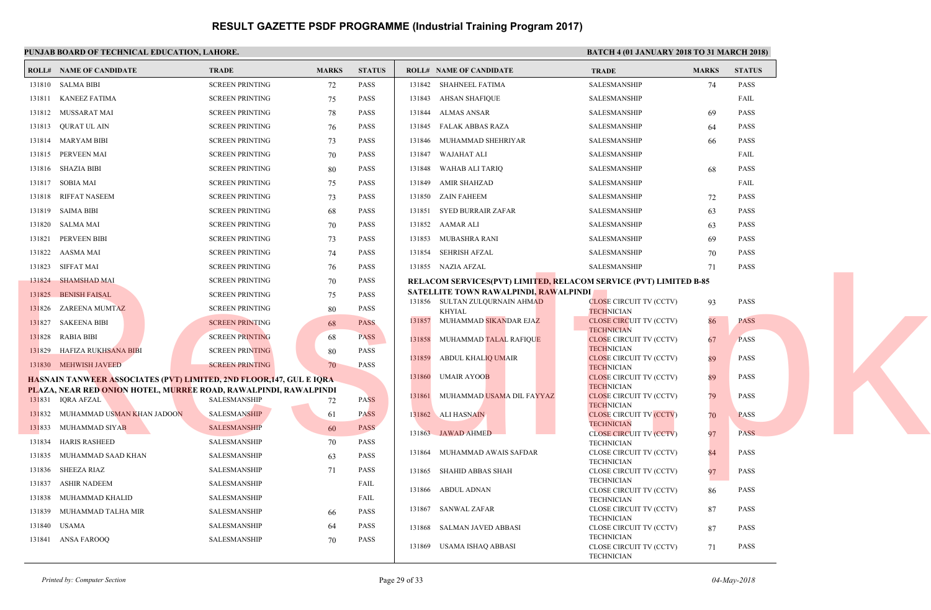| RESULT GAZETTE PSDF PROGRAMME (Industrial Training Program 2017) |  |  |
|------------------------------------------------------------------|--|--|
|------------------------------------------------------------------|--|--|

|        | <b>ROLL# NAME OF CANDIDATE</b>                                             | <b>TRADE</b>           | <b>MARKS</b> | <b>STATUS</b> |        | <b>ROLL# NAME OF CANDIDATE</b>                    | <b>TRAL</b>                  |
|--------|----------------------------------------------------------------------------|------------------------|--------------|---------------|--------|---------------------------------------------------|------------------------------|
|        | 131810 SALMA BIBI                                                          | <b>SCREEN PRINTING</b> | 72           | <b>PASS</b>   |        | 131842 SHAHNEEL FATIMA                            | <b>SALES</b>                 |
|        | 131811 KANEEZ FATIMA                                                       | <b>SCREEN PRINTING</b> | 75           | <b>PASS</b>   |        | 131843 AHSAN SHAFIQUE                             | <b>SALES</b>                 |
|        | 131812 MUSSARAT MAI                                                        | <b>SCREEN PRINTING</b> | 78           | <b>PASS</b>   |        | 131844 ALMAS ANSAR                                | <b>SALES</b>                 |
|        | 131813 QURAT UL AIN                                                        | <b>SCREEN PRINTING</b> | 76           | PASS          |        | 131845 FALAK ABBAS RAZA                           | <b>SALES</b>                 |
|        | 131814 MARYAM BIBI                                                         | <b>SCREEN PRINTING</b> | 73           | PASS          |        | 131846 MUHAMMAD SHEHRIYAR                         | <b>SALES</b>                 |
|        | 131815 PERVEEN MAI                                                         | <b>SCREEN PRINTING</b> | 70           | PASS          |        | 131847 WAJAHAT ALI                                | <b>SALES</b>                 |
|        | 131816 SHAZIA BIBI                                                         | <b>SCREEN PRINTING</b> | 80           | PASS          |        | 131848 WAHAB ALI TARIQ                            | <b>SALES</b>                 |
|        | 131817 SOBIA MAI                                                           | <b>SCREEN PRINTING</b> | 75           | PASS          | 131849 | AMIR SHAHZAD                                      | <b>SALES</b>                 |
|        | 131818 RIFFAT NASEEM                                                       | <b>SCREEN PRINTING</b> | 73           | PASS          |        | 131850 ZAIN FAHEEM                                | <b>SALES</b>                 |
|        | 131819 SAIMA BIBI                                                          | <b>SCREEN PRINTING</b> | 68           | PASS          | 131851 | SYED BURRAIR ZAFAR                                | <b>SALES</b>                 |
|        | 131820 SALMA MAI                                                           | <b>SCREEN PRINTING</b> | 70           | <b>PASS</b>   |        | 131852 AAMAR ALI                                  | <b>SALES</b>                 |
| 131821 | PERVEEN BIBI                                                               | <b>SCREEN PRINTING</b> | 73           | <b>PASS</b>   | 131853 | MUBASHRA RANI                                     | <b>SALES</b>                 |
|        | 131822 AASMA MAI                                                           | <b>SCREEN PRINTING</b> | 74           | <b>PASS</b>   |        | 131854 SEHRISH AFZAL                              | <b>SALES</b>                 |
|        | 131823 SIFFAT MAI                                                          | <b>SCREEN PRINTING</b> | 76           | <b>PASS</b>   |        | 131855 NAZIA AFZAL                                | <b>SALES</b>                 |
|        | 131824 SHAMSHAD MAI                                                        | <b>SCREEN PRINTING</b> | 70           | PASS          |        | <b>RELACOM SERVICES(PVT) LIMITED, RELACOM SER</b> |                              |
|        | 131825 BENISH FAISAL                                                       | <b>SCREEN PRINTING</b> | 75           | <b>PASS</b>   |        | SATELLITE TOWN RAWALPINDI, RAWALPINDI             |                              |
|        | 131826 ZAREENA MUMTAZ                                                      | <b>SCREEN PRINTING</b> | 80           | PASS          |        | 131856 SULTAN ZULQURNAIN AHMAD<br>KHYIAL          | <b>CLOSE</b><br><b>TECHI</b> |
|        | 131827 SAKEENA BIBI                                                        | <b>SCREEN PRINTING</b> | 68           | <b>PASS</b>   | 131857 | MUHAMMAD SIKANDAR EJAZ                            | <b>CLOSE</b>                 |
|        | 131828 RABIA BIBI                                                          | <b>SCREEN PRINTING</b> | 68           | <b>PASS</b>   |        | 131858 MUHAMMAD TALAL RAFIQUE                     | <b>TECHN</b><br><b>CLOSE</b> |
|        | 131829 HAFIZA RUKHSANA BIBI                                                | <b>SCREEN PRINTING</b> | 80           | <b>PASS</b>   |        |                                                   | <b>TECHN</b>                 |
|        | 131830 MEHWISH JAVEED                                                      | <b>SCREEN PRINTING</b> | 70           | <b>PASS</b>   | 131859 | ABDUL KHALIQ UMAIR                                | <b>CLOSE</b><br><b>TECHI</b> |
|        | <b>HASNAIN TANWEER ASSOCIATES (PVT) LIMITED, 2ND FLOOR,147, GUL E IQRA</b> |                        |              |               |        | 131860 UMAIR AYOOB                                | <b>CLOSE</b>                 |
|        | PLAZA, NEAR RED ONION HOTEL, MURREE ROAD, RAWALPINDI, RAWALPINDI           |                        |              |               | 131861 | MUHAMMAD USAMA DIL FAYYAZ                         | <b>TECHI</b><br><b>CLOSE</b> |
|        | 131831 IQRA AFZAL                                                          | <b>SALESMANSHIP</b>    | 72           | <b>PASS</b>   |        |                                                   | <b>TECHI</b>                 |
|        | 131832 MUHAMMAD USMAN KHAN JADOON                                          | <b>SALESMANSHIP</b>    | 61           | <b>PASS</b>   |        | 131862 ALI HASNAIN                                | <b>CLOSE</b><br><b>TECHN</b> |
|        | 131833 MUHAMMAD SIYAB                                                      | <b>SALESMANSHIP</b>    | 60           | <b>PASS</b>   |        | 131863 JAWAD AHMED                                | <b>CLOSE</b>                 |
|        | 131834 HARIS RASHEED                                                       | SALESMANSHIP           | 70           | PASS          |        | 131864 MUHAMMAD AWAIS SAFDAR                      | <b>TECHI</b><br><b>CLOSE</b> |
|        | 131835 MUHAMMAD SAAD KHAN                                                  | SALESMANSHIP           | 63           | <b>PASS</b>   |        |                                                   | <b>TECHN</b>                 |
|        | 131836 SHEEZA RIAZ                                                         | SALESMANSHIP           | 71           | PASS          | 131865 | SHAHID ABBAS SHAH                                 | <b>CLOSE</b><br><b>TECHN</b> |
| 131837 | ASHIR NADEEM                                                               | SALESMANSHIP           |              | FAIL          |        | 131866 ABDUL ADNAN                                | <b>CLOSE</b>                 |
| 131838 | MUHAMMAD KHALID                                                            | <b>SALESMANSHIP</b>    |              | FAIL          |        |                                                   | <b>TECHN</b>                 |
| 131839 | MUHAMMAD TALHA MIR                                                         | <b>SALESMANSHIP</b>    | 66           | <b>PASS</b>   |        | 131867 SANWAL ZAFAR                               | <b>CLOSE</b><br><b>TECHN</b> |
| 131840 | USAMA                                                                      | <b>SALESMANSHIP</b>    | 64           | <b>PASS</b>   | 131868 | SALMAN JAVED ABBASI                               | <b>CLOSE</b>                 |
|        | 131841 ANSA FAROOQ                                                         | SALESMANSHIP           | 70           | <b>PASS</b>   |        | 131869 USAMA ISHAQ ABBASI                         | <b>TECHN</b><br><b>CLOSI</b> |
|        |                                                                            |                        |              |               |        |                                                   | <b>TECHI</b>                 |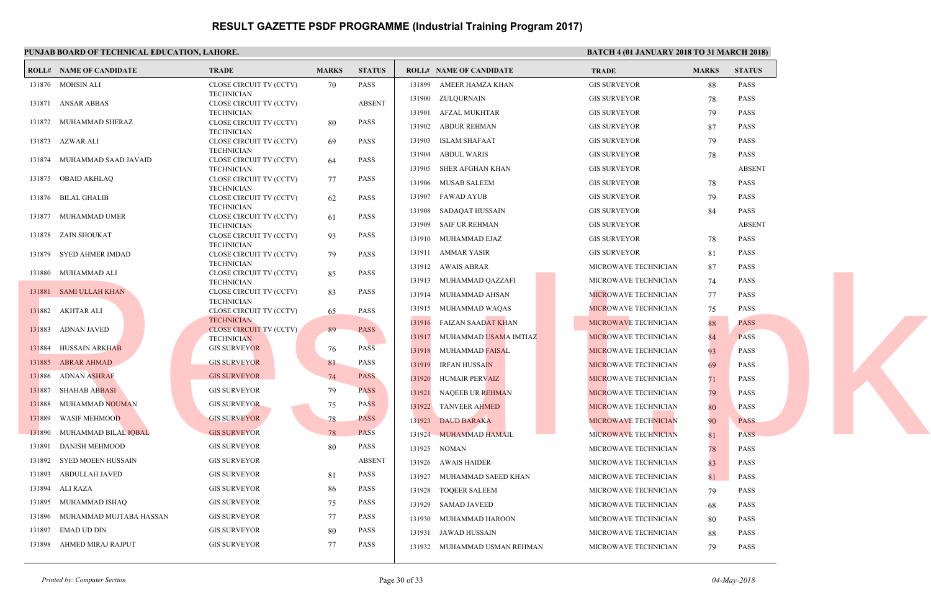|        | PUNJAB BOARD OF TECHNICAL EDUCATION, LAHORE. |                                              |              |               |                                             |               |
|--------|----------------------------------------------|----------------------------------------------|--------------|---------------|---------------------------------------------|---------------|
|        | <b>ROLL# NAME OF CANDIDATE</b>               | <b>TRADE</b>                                 | <b>MARKS</b> | <b>STATUS</b> | <b>ROLL# NAME OF CANDIDATE</b>              | <b>TRAL</b>   |
|        | 131870 MOHSIN ALI                            | CLOSE CIRCUIT TV (CCTV)                      | 70           | PASS          | 131899<br>AMEER HAMZA KHAN                  | <b>GIS SU</b> |
|        |                                              | <b>TECHNICIAN</b>                            |              |               | ZULQURNAIN<br>131900                        | <b>GIS SU</b> |
|        | 131871 ANSAR ABBAS                           | CLOSE CIRCUIT TV (CCTV)<br><b>TECHNICIAN</b> |              | <b>ABSENT</b> | 131901<br>AFZAL MUKHTAR                     | <b>GIS SU</b> |
|        | 131872 MUHAMMAD SHERAZ                       | CLOSE CIRCUIT TV (CCTV)                      | 80           | PASS          | 131902<br>ABDUR REHMAN                      | <b>GIS SU</b> |
|        |                                              | <b>TECHNICIAN</b>                            |              |               |                                             |               |
|        | 131873 AZWAR ALI                             | CLOSE CIRCUIT TV (CCTV)<br><b>TECHNICIAN</b> | 69           | <b>PASS</b>   | <b>ISLAM SHAFAAT</b><br>131903              | <b>GIS SU</b> |
|        | 131874 MUHAMMAD SAAD JAVAID                  | CLOSE CIRCUIT TV (CCTV)                      | -64          | <b>PASS</b>   | 131904<br>ABDUL WARIS                       | <b>GIS SU</b> |
|        |                                              | <b>TECHNICIAN</b>                            |              |               | SHER AFGHAN KHAN<br>131905                  | <b>GIS SU</b> |
|        | 131875 OBAID AKHLAQ                          | CLOSE CIRCUIT TV (CCTV)                      | 77           | <b>PASS</b>   | 131906 MUSAB SALEEM                         | <b>GIS SU</b> |
|        | 131876 BILAL GHALIB                          | <b>TECHNICIAN</b><br>CLOSE CIRCUIT TV (CCTV) | 62           | <b>PASS</b>   | 131907<br>FAWAD AYUB                        | <b>GIS SU</b> |
|        |                                              | <b>TECHNICIAN</b>                            |              |               | 131908<br>SADAQAT HUSSAIN                   | <b>GIS SU</b> |
|        | 131877 MUHAMMAD UMER                         | CLOSE CIRCUIT TV (CCTV)                      | 61           | <b>PASS</b>   |                                             |               |
|        | 131878 ZAIN SHOUKAT                          | <b>TECHNICIAN</b><br>CLOSE CIRCUIT TV (CCTV) | 93           | <b>PASS</b>   | 131909<br>SAIF UR REHMAN                    | <b>GIS SU</b> |
|        |                                              | <b>TECHNICIAN</b>                            |              |               | 131910 MUHAMMAD EJAZ                        | <b>GIS SU</b> |
|        | 131879 SYED AHMER IMDAD                      | CLOSE CIRCUIT TV (CCTV)                      | 79           | <b>PASS</b>   | <b>AMMAR YASIR</b><br>131911                | <b>GIS SU</b> |
|        |                                              | <b>TECHNICIAN</b>                            |              |               | 131912 AWAIS ABRAR                          | <b>MICRO</b>  |
|        | 131880 MUHAMMAD ALI                          | CLOSE CIRCUIT TV (CCTV)<br><b>TECHNICIAN</b> | 85           | <b>PASS</b>   | MUHAMMAD QAZZAFI<br>131913                  | <b>MICRO</b>  |
|        | 131881 SAMI ULLAH KHAN                       | CLOSE CIRCUIT TV (CCTV)                      | 83           | PASS          | 131914<br>MUHAMMAD AHSAN                    | <b>MICRO</b>  |
|        |                                              | <b>TECHNICIAN</b>                            |              |               |                                             | <b>MICRO</b>  |
|        | 131882 AKHTAR ALI                            | CLOSE CIRCUIT TV (CCTV)<br><b>TECHNICIAN</b> | 65           | <b>PASS</b>   | MUHAMMAD WAQAS<br>131915                    |               |
|        | 131883 ADNAN JAVED                           | <b>CLOSE CIRCUIT TV (CCTV)</b>               | 89           | <b>PASS</b>   | 131916<br>FAIZAN SAAD <mark>AT KH</mark> AN | <b>MICRO</b>  |
|        |                                              | <b>TECHNICIAN</b>                            |              |               | 131917<br>MUHAMMAD USAMA IMTIAZ             | <b>MICRO</b>  |
|        | 131884 HUSSAIN ARKHAB                        | <b>GIS SURVEYOR</b>                          | 76           | <b>PASS</b>   | 131918<br><b>MUHAMMAD FAISAL</b>            | <b>MICRO</b>  |
|        | 131885 ABRAR AHMAD                           | <b>GIS SURVEYOR</b>                          | 81           | <b>PASS</b>   | 131919<br><b>IRFAN HUSSAIN</b>              | <b>MICRO</b>  |
|        | 131886 ADNAN ASHRAF                          | <b>GIS SURVEYOR</b>                          | 74           | <b>PASS</b>   | 131920<br><b>HUMAIR PERVAIZ</b>             | <b>MICRO</b>  |
| 131887 | SHAHAB ABBASI                                | <b>GIS SURVEYOR</b>                          | 79           | <b>PASS</b>   | 131921<br>NAQEEB UR REHMAN                  | <b>MICRO</b>  |
| 131888 | MUHAMMAD NOUMAN                              | <b>GIS SURVEYOR</b>                          | 75           | <b>PASS</b>   | 131922<br>TANVEER AHMED                     |               |
| 131889 | <b>WASIF MEHMOOD</b>                         | <b>GIS SURVEYOR</b>                          |              | <b>PASS</b>   |                                             | <b>MICRO</b>  |
| 131890 | MUHAMMAD BILAL IQBAL                         | <b>GIS SURVEYOR</b>                          | 78<br>78     | <b>PASS</b>   | 131923<br><b>DAUD BARAKA</b>                | <b>MICRO</b>  |
| 131891 | <b>DANISH MEHMOOD</b>                        | <b>GIS SURVEYOR</b>                          |              | <b>PASS</b>   | 131924<br>MUHAMMAD HAMAIL                   | <b>MICRO</b>  |
|        |                                              |                                              | 80           |               | 131925<br>NOMAN                             | <b>MICRO</b>  |
|        | 131892 SYED MOEEN HUSSAIN                    | <b>GIS SURVEYOR</b>                          |              | <b>ABSENT</b> | 131926 AWAIS HAIDER                         | <b>MICRO</b>  |
| 131893 | ABDULLAH JAVED                               | <b>GIS SURVEYOR</b>                          | 81           | PASS          | 131927<br>MUHAMMAD SAEED KHAN               | <b>MICRO</b>  |
| 131894 | ALI RAZA                                     | <b>GIS SURVEYOR</b>                          | 86           | <b>PASS</b>   | 131928<br><b>TOQEER SALEEM</b>              | <b>MICRO</b>  |
| 131895 | MUHAMMAD ISHAO                               | <b>GIS SURVEYOR</b>                          | 75           | <b>PASS</b>   | <b>SAMAD JAVEED</b><br>131929               | <b>MICRO</b>  |
| 131896 | MUHAMMAD MUJTABA HASSAN                      | <b>GIS SURVEYOR</b>                          | 77           | <b>PASS</b>   | 131930<br>MUHAMMAD HAROON                   | <b>MICRO</b>  |
| 131897 | <b>EMAD UD DIN</b>                           | <b>GIS SURVEYOR</b>                          | 80           | <b>PASS</b>   | JAWAD HUSSAIN<br>131931                     | <b>MICRO</b>  |
|        | 131898 AHMED MIRAJ RAJPUT                    | <b>GIS SURVEYOR</b>                          | 77           | <b>PASS</b>   | 131932 MUHAMMAD USMAN REHMAN                | <b>MICRO</b>  |
|        |                                              |                                              |              |               |                                             |               |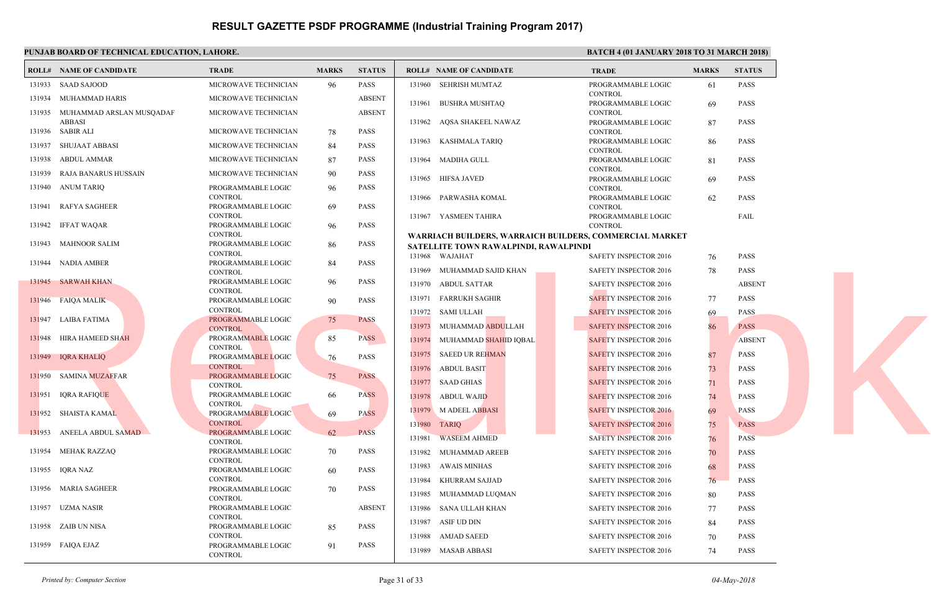|        | <b>BATC</b><br>PUNJAB BOARD OF TECHNICAL EDUCATION, LAHORE. |                                      |              |               |                                                         |                              |  |
|--------|-------------------------------------------------------------|--------------------------------------|--------------|---------------|---------------------------------------------------------|------------------------------|--|
|        | <b>ROLL# NAME OF CANDIDATE</b>                              | <b>TRADE</b>                         | <b>MARKS</b> | <b>STATUS</b> | <b>ROLL# NAME OF CANDIDATE</b>                          | <b>TRAL</b>                  |  |
|        | 131933 SAAD SAJOOD                                          | MICROWAVE TECHNICIAN                 | 96           | PASS          | 131960 SEHRISH MUMTAZ                                   | <b>PROGI</b>                 |  |
|        | 131934 MUHAMMAD HARIS                                       | MICROWAVE TECHNICIAN                 |              | <b>ABSENT</b> |                                                         | <b>CONTI</b>                 |  |
|        | 131935 MUHAMMAD ARSLAN MUSQADAF                             | MICROWAVE TECHNICIAN                 |              | <b>ABSENT</b> | 131961 BUSHRA MUSHTAQ                                   | <b>PROG</b><br><b>CONT</b>   |  |
|        | <b>ABBASI</b>                                               |                                      |              |               | 131962 AQSA SHAKEEL NAWAZ                               | <b>PROGI</b>                 |  |
|        | 131936 SABIR ALI                                            | MICROWAVE TECHNICIAN                 | 78           | PASS          |                                                         | <b>CONT</b>                  |  |
| 131937 | SHUJAAT ABBASI                                              | MICROWAVE TECHNICIAN                 | 84           | PASS          | KASHMALA TARIQ<br>131963                                | <b>PROGI</b>                 |  |
| 131938 | <b>ABDUL AMMAR</b>                                          | MICROWAVE TECHNICIAN                 | 87           | PASS          | 131964 MADIHA GULL                                      | <b>CONT</b><br><b>PROGI</b>  |  |
| 131939 | RAJA BANARUS HUSSAIN                                        | MICROWAVE TECHNICIAN                 | 90           | PASS          |                                                         | <b>CONT</b>                  |  |
|        | 131940 ANUM TARIQ                                           | PROGRAMMABLE LOGIC                   | 96           | <b>PASS</b>   | 131965 HIFSA JAVED                                      | PROG!<br><b>CONT</b>         |  |
|        |                                                             | <b>CONTROL</b>                       |              |               | 131966 PARWASHA KOMAL                                   | <b>PROGI</b>                 |  |
|        | 131941 RAFYA SAGHEER                                        | PROGRAMMABLE LOGIC                   | 69           | <b>PASS</b>   |                                                         | <b>CONT</b>                  |  |
|        |                                                             | <b>CONTROL</b>                       |              |               | 131967 YASMEEN TAHIRA                                   | <b>PROG</b>                  |  |
|        | 131942 IFFAT WAQAR                                          | PROGRAMMABLE LOGIC                   | 96           | <b>PASS</b>   |                                                         | <b>CONT</b>                  |  |
|        | 131943 MAHNOOR SALIM                                        | <b>CONTROL</b><br>PROGRAMMABLE LOGIC | 86           | <b>PASS</b>   | WARRIACH BUILDERS, WARRAICH BUILDERS, COM               |                              |  |
|        |                                                             | <b>CONTROL</b>                       |              |               | SATELLITE TOWN RAWALPINDI, RAWALPINDI<br>131968 WAJAHAT |                              |  |
|        | 131944 NADIA AMBER                                          | PROGRAMMABLE LOGIC                   | 84           | <b>PASS</b>   | 131969 MUHAMMAD SAJID KHAN                              | <b>SAFET</b><br><b>SAFET</b> |  |
|        | 131945 SARWAH KHAN                                          | <b>CONTROL</b><br>PROGRAMMABLE LOGIC | 96           | <b>PASS</b>   |                                                         |                              |  |
|        |                                                             | <b>CONTROL</b>                       |              |               | 131970 ABDUL SATTAR                                     | <b>SAFET</b>                 |  |
|        | 131946 FAIQA MALIK                                          | PROGRAMMABLE LOGIC                   | 90           | <b>PASS</b>   | 131971<br>FARRUKH SAGHIR                                | <b>SAFET</b>                 |  |
|        |                                                             | <b>CONTROL</b>                       |              |               | 131972 SAMI ULLAH                                       | <b>SAFET</b>                 |  |
|        | 131947 LAIBA FATIMA                                         | PROGRAMMABLE LOGIC                   | 75           | <b>PASS</b>   | 131973<br>MUHAMMAD ABDULLAH                             | <b>SAFET</b>                 |  |
|        |                                                             | <b>CONTROL</b>                       |              |               |                                                         |                              |  |
|        | 131948 HIRA HAMEED SHAH                                     | PROGRAMMABLE LOGIC<br><b>CONTROL</b> | 85           | <b>PASS</b>   | 131974 MUHAMMAD SHAHID IQBAL                            | <b>SAFE1</b>                 |  |
|        | 131949 IQRA KHALIQ                                          | PROGRAMMABLE LOGIC                   | -76          | <b>PASS</b>   | 131975<br><b>SAEED UR REHMAN</b>                        | <b>SAFET</b>                 |  |
|        |                                                             | <b>CONTROL</b>                       |              |               | 131976<br><b>ABDUL BASIT</b>                            | <b>SAFET</b>                 |  |
|        | 131950 SAMINA MUZAFFAR                                      | PROGRAMMABLE LOGIC                   | 75           | <b>PASS</b>   | 131977<br>SAAD GHIAS                                    | <b>SAFE1</b>                 |  |
|        | 131951 IQRA RAFIQUE                                         | <b>CONTROL</b><br>PROGRAMMABLE LOGIC |              | <b>PASS</b>   |                                                         |                              |  |
|        |                                                             | <b>CONTROL</b>                       | 66           |               | 131978<br><b>ABDUL WAJID</b>                            | <b>SAFE1</b>                 |  |
|        | 131952 SHAISTA KAMAL                                        | PROGRAMMABLE LOGIC                   | 69           | <b>PASS</b>   | 131979<br>M ADEEL ABBASI                                | <b>SAFET</b>                 |  |
|        |                                                             | <b>CONTROL</b>                       |              |               | 131980 TARIQ                                            | <b>SAFET</b>                 |  |
|        | 131953 ANEELA ABDUL SAMAD                                   | PROGRAMMABLE LOGIC                   | 62           | <b>PASS</b>   | <b>WASEEM AHMED</b><br>131981                           | <b>SAFET</b>                 |  |
|        |                                                             | <b>CONTROL</b>                       |              |               |                                                         |                              |  |
|        | 131954 MEHAK RAZZAQ                                         | PROGRAMMABLE LOGIC<br><b>CONTROL</b> | 70           | <b>PASS</b>   | 131982<br>MUHAMMAD AREEB                                | <b>SAFET</b>                 |  |
|        | 131955 IQRA NAZ                                             | PROGRAMMABLE LOGIC                   | 60           | <b>PASS</b>   | 131983<br>AWAIS MINHAS                                  | <b>SAFET</b>                 |  |
|        |                                                             | <b>CONTROL</b>                       |              |               | 131984<br>KHURRAM SAJJAD                                | <b>SAFET</b>                 |  |
|        | 131956 MARIA SAGHEER                                        | PROGRAMMABLE LOGIC                   | 70           | <b>PASS</b>   | 131985<br>MUHAMMAD LUQMAN                               | <b>SAFET</b>                 |  |
|        | 131957 UZMA NASIR                                           | <b>CONTROL</b><br>PROGRAMMABLE LOGIC |              | <b>ABSENT</b> |                                                         |                              |  |
|        |                                                             | <b>CONTROL</b>                       |              |               | 131986<br>SANA ULLAH KHAN                               | <b>SAFET</b>                 |  |
|        | 131958 ZAIB UN NISA                                         | PROGRAMMABLE LOGIC                   | 85           | <b>PASS</b>   | 131987<br>ASIF UD DIN                                   | <b>SAFET</b>                 |  |
|        |                                                             | <b>CONTROL</b>                       |              |               | 131988<br><b>AMJAD SAEED</b>                            | <b>SAFET</b>                 |  |
|        | 131959 FAIQA EJAZ                                           | PROGRAMMABLE LOGIC<br><b>CONTROL</b> | 91           | <b>PASS</b>   | 131989 MASAB ABBASI                                     | <b>SAFE1</b>                 |  |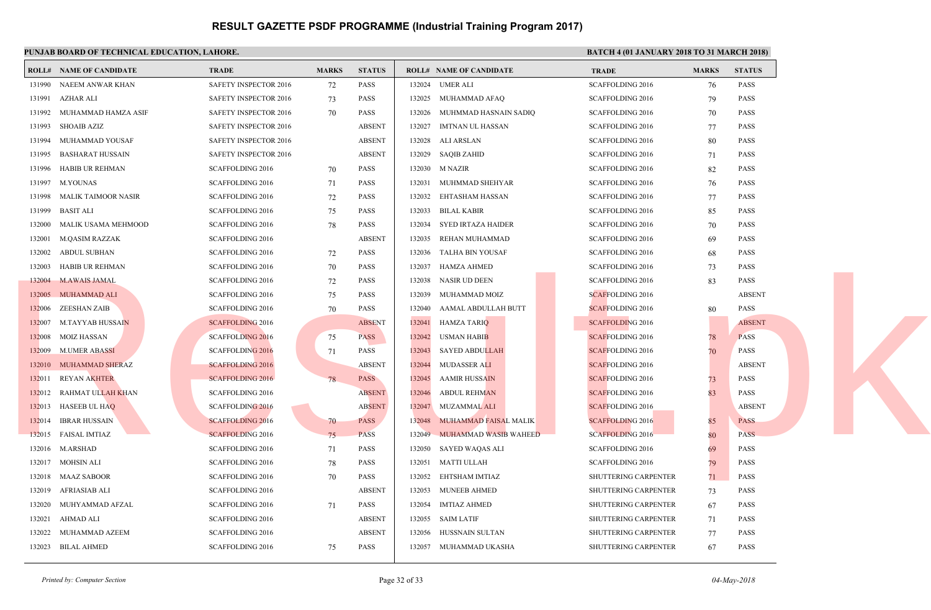#### **PUNJAB BOARD OF TECHNICAL EDUCATION, LAH**

|        | PUNJAB BOARD OF TECHNICAL EDUCATION, LAHORE. |                              |              |               |        |                                |                   |
|--------|----------------------------------------------|------------------------------|--------------|---------------|--------|--------------------------------|-------------------|
|        | <b>ROLL# NAME OF CANDIDATE</b>               | <b>TRADE</b>                 | <b>MARKS</b> | <b>STATUS</b> |        | <b>ROLL# NAME OF CANDIDATE</b> | <b>TRAL</b>       |
| 131990 | NAEEM ANWAR KHAN                             | SAFETY INSPECTOR 2016        | 72           | PASS          |        | 132024 UMER ALI                | <b>SCAFF</b>      |
| 131991 | AZHAR ALI                                    | SAFETY INSPECTOR 2016        | 73           | <b>PASS</b>   | 132025 | MUHAMMAD AFAQ                  | <b>SCAFF</b>      |
| 131992 | MUHAMMAD HAMZA ASIF                          | <b>SAFETY INSPECTOR 2016</b> | 70           | <b>PASS</b>   | 132026 | MUHMMAD HASNAIN SADIQ          | <b>SCAFF</b>      |
| 131993 | SHOAIB AZIZ                                  | <b>SAFETY INSPECTOR 2016</b> |              | <b>ABSENT</b> | 132027 | IMTNAN UL HASSAN               | <b>SCAFF</b>      |
|        | 131994 MUHAMMAD YOUSAF                       | SAFETY INSPECTOR 2016        |              | <b>ABSENT</b> | 132028 | ALI ARSLAN                     | <b>SCAFF</b>      |
| 131995 | <b>BASHARAT HUSSAIN</b>                      | SAFETY INSPECTOR 2016        |              | <b>ABSENT</b> | 132029 | <b>SAQIB ZAHID</b>             | <b>SCAFF</b>      |
| 131996 | HABIB UR REHMAN                              | <b>SCAFFOLDING 2016</b>      | 70           | <b>PASS</b>   |        | 132030 M NAZIR                 | <b>SCAFF</b>      |
|        | 131997 M.YOUNAS                              | <b>SCAFFOLDING 2016</b>      | 71           | <b>PASS</b>   | 132031 | MUHMMAD SHEHYAR                | <b>SCAFF</b>      |
| 131998 | MALIK TAIMOOR NASIR                          | <b>SCAFFOLDING 2016</b>      | 72           | <b>PASS</b>   | 132032 | EHTASHAM HASSAN                | <b>SCAFF</b>      |
| 131999 | <b>BASIT ALI</b>                             | <b>SCAFFOLDING 2016</b>      | 75           | <b>PASS</b>   | 132033 | <b>BILAL KABIR</b>             | <b>SCAFF</b>      |
| 132000 | MALIK USAMA MEHMOOD                          | <b>SCAFFOLDING 2016</b>      | 78           | <b>PASS</b>   | 132034 | SYED IRTAZA HAIDER             | <b>SCAFF</b>      |
| 132001 | <b>M.QASIM RAZZAK</b>                        | <b>SCAFFOLDING 2016</b>      |              | <b>ABSENT</b> | 132035 | REHAN MUHAMMAD                 | <b>SCAFF</b>      |
| 132002 | <b>ABDUL SUBHAN</b>                          | <b>SCAFFOLDING 2016</b>      | 72           | <b>PASS</b>   | 132036 | TALHA BIN YOUSAF               | <b>SCAFF</b>      |
| 132003 | HABIB UR REHMAN                              | <b>SCAFFOLDING 2016</b>      | 70           | <b>PASS</b>   | 132037 | HAMZA AHMED                    | <b>SCAFF</b>      |
| 132004 | <b>M.AWAIS JAMAL</b>                         | <b>SCAFFOLDING 2016</b>      | 72           | <b>PASS</b>   | 132038 | NASIR UD DEEN                  | <b>SCAFF</b>      |
| 132005 | MUHAMMAD ALI                                 | <b>SCAFFOLDING 2016</b>      | 75           | <b>PASS</b>   | 132039 | MUHAMMAD MOIZ                  | <b>SCAFF</b>      |
| 132006 | ZEESHAN ZAIB                                 | <b>SCAFFOLDING 2016</b>      | 70           | <b>PASS</b>   | 132040 | AAMAL ABDULLAH BUTT            | <b>SCAFF</b>      |
| 132007 | M.TAYYAB HUSS <mark>AIN</mark>               | <b>SCAFFOLDING 2016</b>      |              | <b>ABSENT</b> | 132041 | HAMZA TARIQ                    | <b>SCAFF</b>      |
| 132008 | <b>MOIZ HASSAN</b>                           | <b>SCAFFOLDING 2016</b>      | 75           | <b>PASS</b>   | 132042 | USMAN HABIB                    | <b>SCAFF</b>      |
|        | 132009 M.UMER ABASSI                         | <b>SCAFFOLDING 2016</b>      | 71           | <b>PASS</b>   | 132043 | <b>SAYED ABDULLAH</b>          | <b>SCAFF</b>      |
|        | 132010 MUHAMMAD SHERAZ                       | <b>SCAFFOLDING 2016</b>      |              | <b>ABSENT</b> | 132044 | MUDASSER ALI                   | <b>SCAFF</b>      |
|        | 132011 REYAN AKHTER                          | <b>SCAFFOLDING 2016</b>      | 78           | <b>PASS</b>   | 132045 | <b>AAMIR HUSSAIN</b>           | <b>SCAFF</b>      |
| 132012 | RAHMAT ULLAH KHAN                            | SCAFFOLDING 2016             |              | <b>ABSENT</b> | 132046 | <b>ABDUL REHMAN</b>            | <b>SCAFF</b>      |
| 132013 | <b>HASEEB UL HAQ</b>                         | <b>SCAFFOLDING 2016</b>      |              | <b>ABSENT</b> | 132047 | MUZAMMAL ALI                   | <b>SCAFF</b>      |
| 132014 | IBRAR HUSSAIN                                | <b>SCAFFOLDING 2016</b>      | 70           | <b>PASS</b>   | 132048 | MUHAMMAD FAISAL MALIK          | <b>SCAFF</b>      |
|        | 132015 FAISAL IMTIAZ                         | <b>SCAFFOLDING 2016</b>      | 75           | <b>PASS</b>   | 132049 | MUHAMMAD WASIB WAHEED          | <b>SCAFF</b>      |
|        | 132016 M.ARSHAD                              | <b>SCAFFOLDING 2016</b>      | 71           | <b>PASS</b>   | 132050 | SAYED WAQAS ALI                | <b>SCAFF</b>      |
|        | 132017 MOHSIN ALI                            | <b>SCAFFOLDING 2016</b>      | 78           | <b>PASS</b>   | 132051 | MATTI ULLAH                    | <b>SCAFF</b>      |
|        | 132018 MAAZ SABOOR                           | SCAFFOLDING 2016             | 70           | <b>PASS</b>   | 132052 | EHTSHAM IMTIAZ                 | SHUT <sup>®</sup> |
| 132019 | AFRIASIAB ALI                                | SCAFFOLDING 2016             |              | <b>ABSENT</b> | 132053 | <b>MUNEEB AHMED</b>            | SHUT <sup>®</sup> |
| 132020 | MUHYAMMAD AFZAL                              | <b>SCAFFOLDING 2016</b>      | 71           | <b>PASS</b>   | 132054 | IMTIAZ AHMED                   | SHUT <sup>®</sup> |
| 132021 | AHMAD ALI                                    | <b>SCAFFOLDING 2016</b>      |              | <b>ABSENT</b> | 132055 | <b>SAIM LATIF</b>              | <b>SHUT</b>       |
| 132022 | MUHAMMAD AZEEM                               | <b>SCAFFOLDING 2016</b>      |              | <b>ABSENT</b> | 132056 | HUSSNAIN SULTAN                | <b>SHUT</b>       |
|        | 132023 BILAL AHMED                           | <b>SCAFFOLDING 2016</b>      | 75           | <b>PASS</b>   | 132057 | MUHAMMAD UKASHA                | <b>SHUT</b>       |
|        |                                              |                              |              |               |        |                                |                   |